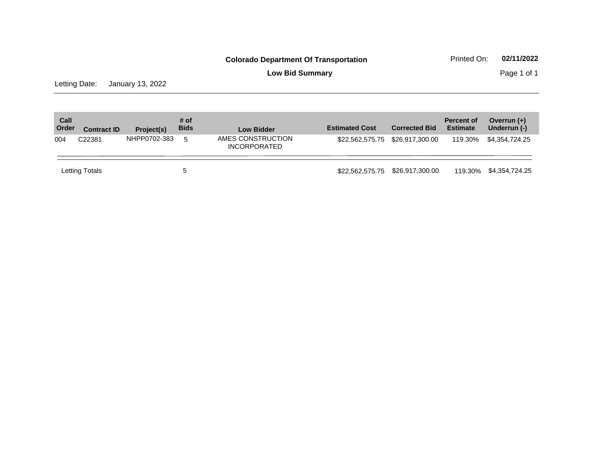Letting Date: January 13, 2022

| Call<br>Order | <b>Contract ID</b> | Project(s)   | # of<br><b>Bids</b> | <b>Low Bidder</b>                        | <b>Estimated Cost</b> | <b>Corrected Bid</b>            | <b>Percent of</b><br><b>Estimate</b> | Overrun $(+)$<br>Underrun (-) |
|---------------|--------------------|--------------|---------------------|------------------------------------------|-----------------------|---------------------------------|--------------------------------------|-------------------------------|
| 004           | C22381             | NHPP0702-383 | 5                   | AMES CONSTRUCTION<br><b>INCORPORATED</b> |                       | \$22,562,575.75 \$26,917,300.00 | 119.30%                              | \$4.354.724.25                |
|               | Letting Totals     |              | $\mathbf b$         |                                          | \$22.562.575.75       | \$26,917,300.00                 | 119.30%                              | \$4,354,724.25                |

# **Low Bid Summary Page 1 of 1**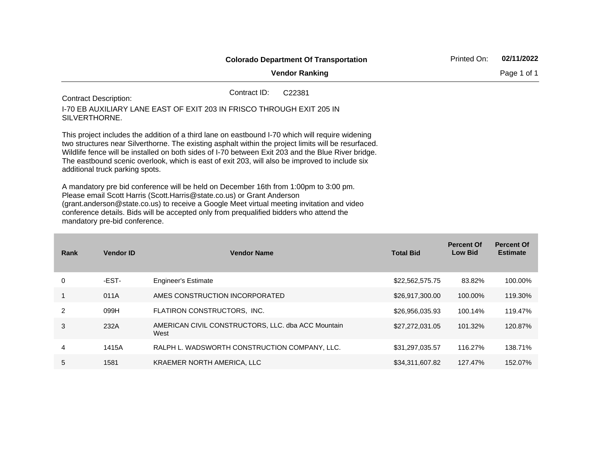|                                               |                                                                                                                                                                                                                                                                                                                                                                                                                                                                                                                                                                                                                                                                                                                                                                                                                                                 | Printed On:                                                                                     | 02/11/2022       |                                     |                                      |
|-----------------------------------------------|-------------------------------------------------------------------------------------------------------------------------------------------------------------------------------------------------------------------------------------------------------------------------------------------------------------------------------------------------------------------------------------------------------------------------------------------------------------------------------------------------------------------------------------------------------------------------------------------------------------------------------------------------------------------------------------------------------------------------------------------------------------------------------------------------------------------------------------------------|-------------------------------------------------------------------------------------------------|------------------|-------------------------------------|--------------------------------------|
|                                               |                                                                                                                                                                                                                                                                                                                                                                                                                                                                                                                                                                                                                                                                                                                                                                                                                                                 | <b>Vendor Ranking</b>                                                                           |                  |                                     | Page 1 of 1                          |
| <b>Contract Description:</b><br>SILVERTHORNE. |                                                                                                                                                                                                                                                                                                                                                                                                                                                                                                                                                                                                                                                                                                                                                                                                                                                 | Contract ID:<br>C22381<br>I-70 EB AUXILIARY LANE EAST OF EXIT 203 IN FRISCO THROUGH EXIT 205 IN |                  |                                     |                                      |
|                                               | This project includes the addition of a third lane on eastbound I-70 which will require widening<br>two structures near Silverthorne. The existing asphalt within the project limits will be resurfaced.<br>Wildlife fence will be installed on both sides of I-70 between Exit 203 and the Blue River bridge.<br>The eastbound scenic overlook, which is east of exit 203, will also be improved to include six<br>additional truck parking spots.<br>A mandatory pre bid conference will be held on December 16th from 1:00pm to 3:00 pm.<br>Please email Scott Harris (Scott.Harris@state.co.us) or Grant Anderson<br>(grant.anderson@state.co.us) to receive a Google Meet virtual meeting invitation and video<br>conference details. Bids will be accepted only from prequalified bidders who attend the<br>mandatory pre-bid conference. |                                                                                                 |                  |                                     |                                      |
| Rank                                          | <b>Vendor ID</b>                                                                                                                                                                                                                                                                                                                                                                                                                                                                                                                                                                                                                                                                                                                                                                                                                                | <b>Vendor Name</b>                                                                              | <b>Total Bid</b> | <b>Percent Of</b><br><b>Low Bid</b> | <b>Percent Of</b><br><b>Estimate</b> |
| 0                                             | -EST-                                                                                                                                                                                                                                                                                                                                                                                                                                                                                                                                                                                                                                                                                                                                                                                                                                           | <b>Engineer's Estimate</b>                                                                      | \$22,562,575.75  | 83.82%                              | 100.00%                              |
| 1                                             | 011A                                                                                                                                                                                                                                                                                                                                                                                                                                                                                                                                                                                                                                                                                                                                                                                                                                            | AMES CONSTRUCTION INCORPORATED                                                                  | \$26,917,300.00  | 100.00%                             | 119.30%                              |
| $\overline{c}$                                | 099H                                                                                                                                                                                                                                                                                                                                                                                                                                                                                                                                                                                                                                                                                                                                                                                                                                            | FLATIRON CONSTRUCTORS, INC.                                                                     | \$26,956,035.93  | 100.14%                             | 119.47%                              |
| 3                                             | 232A                                                                                                                                                                                                                                                                                                                                                                                                                                                                                                                                                                                                                                                                                                                                                                                                                                            | AMERICAN CIVIL CONSTRUCTORS, LLC. dba ACC Mountain<br>West                                      | \$27,272,031.05  | 101.32%                             | 120.87%                              |

4 1415A RALPH L. WADSWORTH CONSTRUCTION COMPANY, LLC. \$31,297,035.57 116.27% 138.71%

5 1581 KRAEMER NORTH AMERICA, LLC \$34,311,607.82 127.47% 152.07%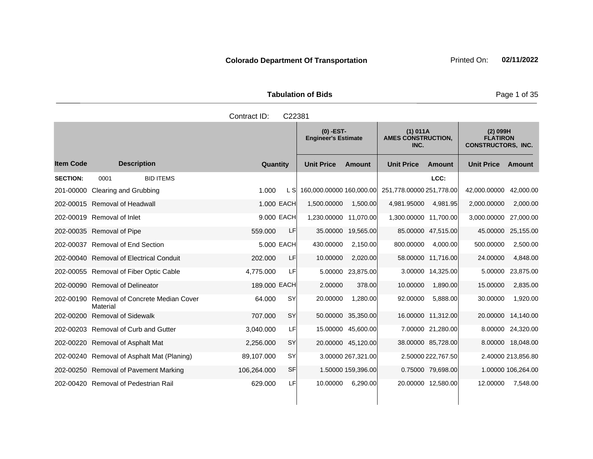| <b>Tabulation of Bids</b> | Page 1 o |
|---------------------------|----------|
| Contract ID: C22381       |          |
|                           |          |

|                  |                                                        |                  |              |            | $(0)$ -EST-<br><b>Engineer's Estimate</b> |                    | (1) 011A<br><b>AMES CONSTRUCTION,</b><br>INC. |                    | $(2)$ 099H<br><b>FLATIRON</b><br><b>CONSTRUCTORS, INC.</b> |                    |
|------------------|--------------------------------------------------------|------------------|--------------|------------|-------------------------------------------|--------------------|-----------------------------------------------|--------------------|------------------------------------------------------------|--------------------|
| <b>Item Code</b> | <b>Description</b>                                     |                  | Quantity     |            | <b>Unit Price</b>                         | <b>Amount</b>      | <b>Unit Price</b>                             | Amount             | <b>Unit Price</b>                                          | Amount             |
| <b>SECTION:</b>  | 0001                                                   | <b>BID ITEMS</b> |              |            |                                           |                    |                                               | LCC:               |                                                            |                    |
| 201-00000        | Clearing and Grubbing                                  |                  | 1.000        | L SI       | 160,000.00000 160,000.00                  |                    | 251,778.00000 251,778.00                      |                    | 42,000.00000                                               | 42,000.00          |
|                  | 202-00015 Removal of Headwall                          |                  |              | 1.000 EACH | 1,500.00000                               | 1,500.00           | 4,981.95000                                   | 4,981.95           | 2,000.00000                                                | 2,000.00           |
|                  | 202-00019 Removal of Inlet                             |                  |              | 9.000 EACH | 1,230.00000 11,070.00                     |                    | 1,300.00000 11,700.00                         |                    | 3,000.00000 27,000.00                                      |                    |
|                  | 202-00035 Removal of Pipe                              |                  | 559.000      | LF         |                                           | 35.00000 19,565.00 |                                               | 85.00000 47,515.00 |                                                            | 45.00000 25,155.00 |
|                  | 202-00037 Removal of End Section                       |                  |              | 5.000 EACH | 430.00000                                 | 2,150.00           | 800.00000                                     | 4,000.00           | 500.00000                                                  | 2,500.00           |
|                  | 202-00040 Removal of Electrical Conduit                |                  | 202.000      | LF         | 10.00000                                  | 2,020.00           |                                               | 58.00000 11,716.00 | 24.00000                                                   | 4,848.00           |
|                  | 202-00055 Removal of Fiber Optic Cable                 |                  | 4,775.000    | LFI        | 5.00000                                   | 23,875.00          |                                               | 3.00000 14.325.00  | 5.00000                                                    | 23,875.00          |
|                  | 202-00090 Removal of Delineator                        |                  | 189.000 EACH |            | 2.00000                                   | 378.00             | 10.00000                                      | 1,890.00           | 15.00000                                                   | 2,835.00           |
|                  | 202-00190 Removal of Concrete Median Cover<br>Material |                  | 64.000       | <b>SY</b>  | 20.00000                                  | 1,280.00           | 92.00000                                      | 5,888.00           | 30.00000                                                   | 1,920.00           |
| 202-00200        | <b>Removal of Sidewalk</b>                             |                  | 707.000      | <b>SY</b>  |                                           | 50.00000 35,350.00 |                                               | 16.00000 11,312.00 | 20.00000                                                   | 14,140.00          |
|                  | 202-00203 Removal of Curb and Gutter                   |                  | 3,040.000    | LF         |                                           | 15.00000 45,600.00 |                                               | 7.00000 21,280.00  |                                                            | 8.00000 24,320.00  |
|                  | 202-00220 Removal of Asphalt Mat                       |                  | 2,256.000    | SY         |                                           | 20.00000 45,120.00 |                                               | 38.00000 85,728.00 |                                                            | 8.00000 18,048.00  |
|                  | 202-00240 Removal of Asphalt Mat (Planing)             |                  | 89,107.000   | <b>SY</b>  |                                           | 3.00000 267,321.00 |                                               | 2.50000 222,767.50 |                                                            | 2.40000 213,856.80 |
|                  | 202-00250 Removal of Pavement Marking                  |                  | 106,264.000  | <b>SF</b>  |                                           | 1.50000 159,396.00 |                                               | 0.75000 79.698.00  |                                                            | 1.00000 106,264.00 |
|                  | 202-00420 Removal of Pedestrian Rail                   |                  | 629.000      | LF         | 10.00000                                  | 6,290.00           |                                               | 20.00000 12,580.00 | 12.00000                                                   | 7,548.00           |

**Page 1 of 35**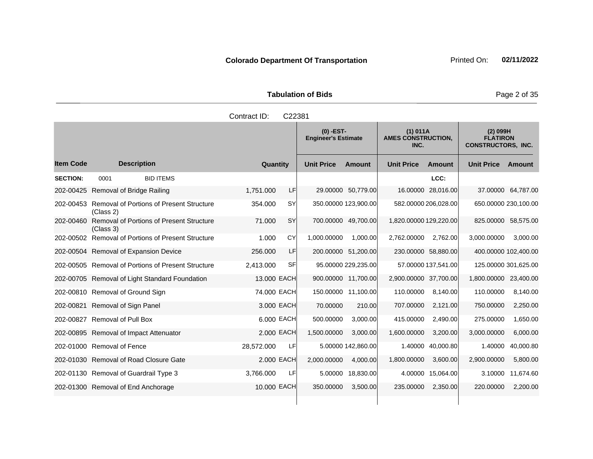Tabulation of Bids **Page 2 of 35** 

|                  |                                                              | Contract ID:<br>C22381 |                                           |                                               |                                                            |
|------------------|--------------------------------------------------------------|------------------------|-------------------------------------------|-----------------------------------------------|------------------------------------------------------------|
|                  |                                                              |                        | $(0)$ -EST-<br><b>Engineer's Estimate</b> | (1) 011A<br><b>AMES CONSTRUCTION,</b><br>INC. | $(2)$ 099H<br><b>FLATIRON</b><br><b>CONSTRUCTORS, INC.</b> |
| <b>Item Code</b> | <b>Description</b>                                           | Quantity               | <b>Unit Price</b><br><b>Amount</b>        | <b>Unit Price</b><br>Amount                   | <b>Unit Price</b><br>Amount                                |
| <b>SECTION:</b>  | <b>BID ITEMS</b><br>0001                                     |                        |                                           | LCC:                                          |                                                            |
|                  | 202-00425 Removal of Bridge Railing                          | 1,751.000<br>LFI       | 29.00000 50,779.00                        | 16.00000 28,016.00                            | 37.00000 64,787.00                                         |
| 202-00453        | <b>Removal of Portions of Present Structure</b><br>(Class 2) | <b>SY</b><br>354.000   | 350.00000 123,900.00                      | 582.00000 206,028.00                          | 650.00000 230,100.00                                       |
| 202-00460        | <b>Removal of Portions of Present Structure</b><br>(Class 3) | <b>SY</b><br>71.000    | 700.00000 49,700.00                       | 1,820.00000 129,220.00                        | 825.00000 58,575.00                                        |
| 202-00502        | Removal of Portions of Present Structure                     | CY<br>1.000            | 1,000.00000<br>1.000.00                   | 2,762.00000<br>2.762.00                       | 3,000.00<br>3,000.00000                                    |
|                  | 202-00504 Removal of Expansion Device                        | LF<br>256,000          | 200.00000 51,200.00                       | 230.00000 58,880.00                           | 400.00000 102,400.00                                       |
|                  | 202-00505 Removal of Portions of Present Structure           | SF<br>2,413.000        | 95.00000 229,235.00                       | 57.00000 137,541.00                           | 125.00000 301,625.00                                       |
|                  | 202-00705 Removal of Light Standard Foundation               | 13,000 EACH            | 900.00000 11,700.00                       | 2,900.00000 37,700.00                         | 23,400.00<br>1,800.00000                                   |
|                  | 202-00810 Removal of Ground Sign                             | 74.000 EACH            | 150.00000 11,100.00                       | 110.00000<br>8,140.00                         | 110.00000<br>8,140.00                                      |
| 202-00821        | Removal of Sign Panel                                        | 3.000 EACH             | 70.00000<br>210.00                        | 707.00000<br>2,121.00                         | 2,250.00<br>750.00000                                      |
|                  | 202-00827 Removal of Pull Box                                | 6.000 EACH             | 500.00000<br>3,000.00                     | 415.00000<br>2,490.00                         | 275.00000<br>1,650.00                                      |
|                  | 202-00895 Removal of Impact Attenuator                       | 2.000 EACH             | 1,500.00000<br>3,000.00                   | 1,600.00000<br>3,200.00                       | 6,000.00<br>3,000.00000                                    |
|                  | 202-01000 Removal of Fence                                   | 28,572.000<br>LF       | 5.00000 142,860.00                        | 1.40000<br>40,000.80                          | 1.40000<br>40,000.80                                       |
|                  | 202-01030 Removal of Road Closure Gate                       | 2.000 EACH             | 2,000.00000<br>4,000.00                   | 1,800.00000<br>3,600.00                       | 2,900.00000<br>5,800.00                                    |
|                  | 202-01130 Removal of Guardrail Type 3                        | LF<br>3,766.000        | 5.00000<br>18,830.00                      | 15,064.00<br>4.00000                          | 11,674.60<br>3.10000                                       |
|                  | 202-01300 Removal of End Anchorage                           | 10.000 EACH            | 350.00000<br>3,500.00                     | 235.00000<br>2,350.00                         | 2,200.00<br>220.00000                                      |
|                  |                                                              |                        |                                           |                                               |                                                            |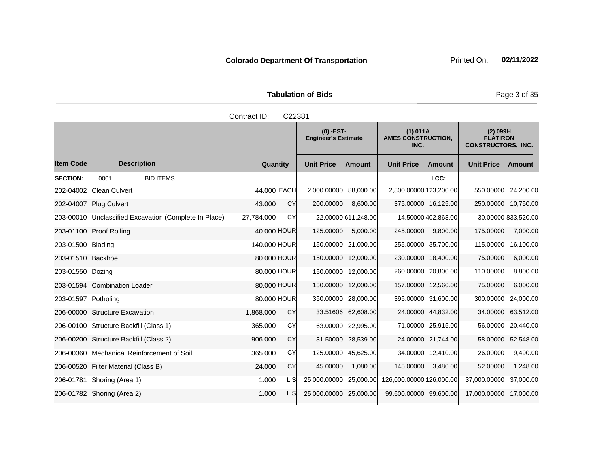| <b>Tabulation of Bids</b> |  |  |  |  |  |  |  |
|---------------------------|--|--|--|--|--|--|--|
| Contract $ID: C22381$     |  |  |  |  |  |  |  |

|                     |                                                       |              |      | $(0)$ -EST-<br><b>Engineer's Estimate</b> |                     | (1) 011A<br><b>AMES CONSTRUCTION,</b><br>INC. |                     | $(2)$ 099H<br><b>FLATIRON</b><br><b>CONSTRUCTORS, INC.</b> |                     |
|---------------------|-------------------------------------------------------|--------------|------|-------------------------------------------|---------------------|-----------------------------------------------|---------------------|------------------------------------------------------------|---------------------|
| <b>Item Code</b>    | <b>Description</b>                                    | Quantity     |      | <b>Unit Price</b>                         | <b>Amount</b>       | <b>Unit Price</b>                             | Amount              | <b>Unit Price</b>                                          | Amount              |
| <b>SECTION:</b>     | <b>BID ITEMS</b><br>0001                              |              |      |                                           |                     |                                               | LCC:                |                                                            |                     |
|                     | 202-04002 Clean Culvert                               | 44.000 EACH  |      | 2,000.00000 88,000.00                     |                     | 2,800.00000 123,200.00                        |                     | 550.00000 24,200.00                                        |                     |
|                     | 202-04007 Plug Culvert                                | 43.000       | CY   | 200.00000                                 | 8.600.00            |                                               | 375.00000 16,125.00 | 250.00000 10,750.00                                        |                     |
|                     | 203-00010 Unclassified Excavation (Complete In Place) | 27,784.000   | CY   |                                           | 22.00000 611,248.00 |                                               | 14.50000 402,868.00 |                                                            | 30.00000 833,520.00 |
|                     | 203-01100 Proof Rolling                               | 40.000 HOUR  |      | 125.00000                                 | 5,000.00            | 245.00000                                     | 9,800.00            | 175.00000                                                  | 7,000.00            |
| 203-01500 Blading   |                                                       | 140,000 HOUR |      |                                           | 150.00000 21,000.00 |                                               | 255.00000 35,700.00 | 115.00000                                                  | 16,100.00           |
| 203-01510 Backhoe   |                                                       | 80.000 HOUR  |      |                                           | 150.00000 12,000.00 |                                               | 230.00000 18,400.00 | 75.00000                                                   | 6,000.00            |
| 203-01550 Dozing    |                                                       | 80.000 HOUR  |      |                                           | 150.00000 12,000.00 |                                               | 260.00000 20,800.00 | 110.00000                                                  | 8,800.00            |
|                     | 203-01594 Combination Loader                          | 80.000 HOUR  |      |                                           | 150.00000 12,000.00 |                                               | 157.00000 12,560.00 | 75.00000                                                   | 6,000.00            |
| 203-01597 Potholing |                                                       | 80,000 HOUR  |      |                                           | 350.00000 28,000.00 |                                               | 395.00000 31,600.00 | 300.00000                                                  | 24,000.00           |
|                     | 206-00000 Structure Excavation                        | 1,868.000    | CY   |                                           | 33.51606 62,608.00  |                                               | 24.00000 44,832.00  | 34.00000                                                   | 63,512.00           |
|                     | 206-00100 Structure Backfill (Class 1)                | 365,000      | CY   |                                           | 63.00000 22,995.00  |                                               | 71.00000 25,915.00  | 56.00000                                                   | 20,440.00           |
|                     | 206-00200 Structure Backfill (Class 2)                | 906.000      | CY   |                                           | 31.50000 28,539.00  |                                               | 24.00000 21,744.00  | 58.00000                                                   | 52,548.00           |
|                     | 206-00360 Mechanical Reinforcement of Soil            | 365.000      | CY   | 125.00000                                 | 45,625.00           |                                               | 34.00000 12,410.00  | 26.00000                                                   | 9,490.00            |
|                     | 206-00520 Filter Material (Class B)                   | 24.000       | CY   | 45.00000                                  | 1,080.00            | 145.00000                                     | 3,480.00            | 52.00000                                                   | 1,248.00            |
|                     | 206-01781 Shoring (Area 1)                            | 1.000        | L SI | 25,000.00000                              | 25,000.00           | 126,000.00000 126,000.00                      |                     | 37,000.00000                                               | 37,000.00           |
|                     | 206-01782 Shoring (Area 2)                            | 1.000        | L Sl | 25,000.00000                              | 25,000.00           | 99,600.00000 99,600.00                        |                     | 17,000.00000                                               | 17.000.00           |

Page 3 of 35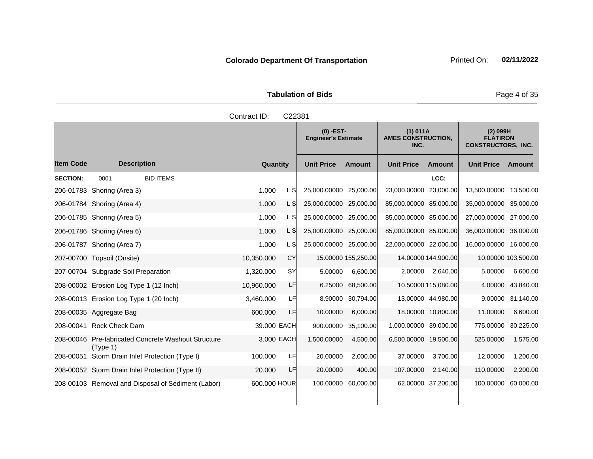| <b>Tabulation of Bids</b> | Page 4 of 35                              |                                                 |                                                            |
|---------------------------|-------------------------------------------|-------------------------------------------------|------------------------------------------------------------|
| Contract ID:<br>C22381    |                                           |                                                 |                                                            |
|                           | $(0)$ -EST-<br><b>Engineer's Estimate</b> | $(1)$ 011A<br><b>AMES CONSTRUCTION,</b><br>INC. | $(2)$ 099H<br><b>FLATIRON</b><br><b>CONSTRUCTORS, INC.</b> |
|                           |                                           |                                                 |                                                            |

|                  |                                        |                                                    |              |           | $(0)$ -EST-<br><b>Engineer's Estimate</b> |                     | (1) 011A<br><b>AMES CONSTRUCTION,</b><br>INC. |                     | $(2)$ 099H<br><b>FLATIRON</b><br><b>CONSTRUCTORS, INC.</b> |                     |
|------------------|----------------------------------------|----------------------------------------------------|--------------|-----------|-------------------------------------------|---------------------|-----------------------------------------------|---------------------|------------------------------------------------------------|---------------------|
| <b>Item Code</b> | <b>Description</b>                     |                                                    | Quantity     |           | <b>Unit Price</b>                         | <b>Amount</b>       | <b>Unit Price</b>                             | <b>Amount</b>       | <b>Unit Price</b>                                          | <b>Amount</b>       |
| <b>SECTION:</b>  | 0001                                   | <b>BID ITEMS</b>                                   |              |           |                                           |                     |                                               | LCC:                |                                                            |                     |
|                  | 206-01783 Shoring (Area 3)             |                                                    | 1.000        | L SI      | 25,000.00000 25,000.00                    |                     | 23,000.00000 23,000.00                        |                     | 13,500.00000 13,500.00                                     |                     |
|                  | 206-01784 Shoring (Area 4)             |                                                    | 1.000        | L SI      | 25,000.00000 25,000.00                    |                     | 85,000.00000 85,000.00                        |                     | 35,000.00000 35,000.00                                     |                     |
|                  | 206-01785 Shoring (Area 5)             |                                                    | 1.000        | L SI      | 25,000.00000 25,000.00                    |                     | 85,000.00000 85,000.00                        |                     | 27,000.00000                                               | 27,000.00           |
|                  | 206-01786 Shoring (Area 6)             |                                                    | 1.000        | L SI      | 25,000.00000 25,000.00                    |                     | 85,000.00000 85,000.00                        |                     | 36,000.00000                                               | 36,000.00           |
|                  | 206-01787 Shoring (Area 7)             |                                                    | 1.000        | L SI      | 25,000.00000 25,000.00                    |                     | 22,000.00000 22,000.00                        |                     | 16,000.00000 16,000.00                                     |                     |
|                  | 207-00700 Topsoil (Onsite)             |                                                    | 10,350.000   | <b>CY</b> |                                           | 15.00000 155,250.00 |                                               | 14.00000 144,900.00 |                                                            | 10.00000 103,500.00 |
|                  | 207-00704 Subgrade Soil Preparation    |                                                    | 1,320.000    | <b>SY</b> | 5.00000                                   | 6,600.00            | 2.00000                                       | 2,640.00            | 5.00000                                                    | 6,600.00            |
|                  | 208-00002 Erosion Log Type 1 (12 Inch) |                                                    | 10,960.000   | LF        | 6.25000                                   | 68,500.00           |                                               | 10.50000 115,080.00 | 4.00000                                                    | 43,840.00           |
|                  | 208-00013 Erosion Log Type 1 (20 Inch) |                                                    | 3,460.000    | LF        |                                           | 8.90000 30,794.00   |                                               | 13.00000 44,980.00  | 9.00000                                                    | 31,140.00           |
|                  | 208-00035 Aggregate Bag                |                                                    | 600.000      | LF        | 10.00000                                  | 6,000.00            |                                               | 18.00000 10,800.00  | 11.00000                                                   | 6,600.00            |
| 208-00041        | Rock Check Dam                         |                                                    | 39.000 EACH  |           |                                           | 900.00000 35,100.00 | 1,000.00000 39,000.00                         |                     | 775.00000                                                  | 30,225.00           |
| 208-00046        | (Type 1)                               | <b>Pre-fabricated Concrete Washout Structure</b>   | 3.000 EACH   |           | 1,500.00000                               | 4,500.00            | 6,500.00000 19,500.00                         |                     | 525.00000                                                  | 1,575.00            |
| 208-00051        |                                        | Storm Drain Inlet Protection (Type I)              | 100.000      | LF        | 20.00000                                  | 2,000.00            | 37.00000                                      | 3.700.00            | 12.00000                                                   | 1,200.00            |
|                  |                                        | 208-00052 Storm Drain Inlet Protection (Type II)   | 20,000       | LF        | 20.00000                                  | 400.00              | 107.00000                                     | 2,140.00            | 110.00000                                                  | 2,200.00            |
|                  |                                        | 208-00103 Removal and Disposal of Sediment (Labor) | 600.000 HOUR |           |                                           | 100.00000 60,000.00 |                                               | 62.00000 37,200.00  | 100.00000 60,000.00                                        |                     |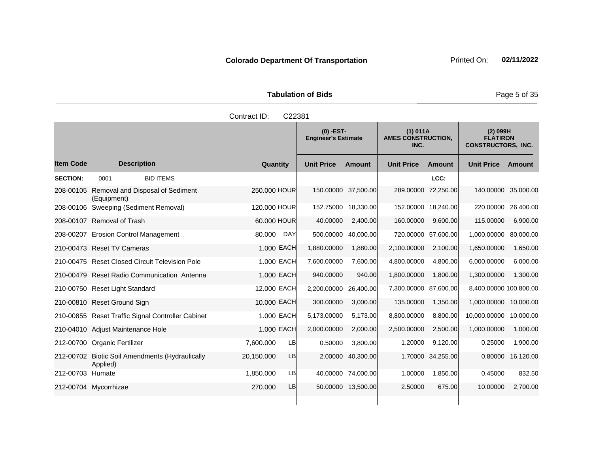Tabulation of Bids **Page 5 of 35** 

|                  | Contract ID:<br>C22381                                      |                        |                                           |                    |                                               |                   |                                                            |           |  |  |
|------------------|-------------------------------------------------------------|------------------------|-------------------------------------------|--------------------|-----------------------------------------------|-------------------|------------------------------------------------------------|-----------|--|--|
|                  |                                                             |                        | $(0)$ -EST-<br><b>Engineer's Estimate</b> |                    | (1) 011A<br><b>AMES CONSTRUCTION,</b><br>INC. |                   | $(2)$ 099H<br><b>FLATIRON</b><br><b>CONSTRUCTORS, INC.</b> |           |  |  |
| <b>Item Code</b> | <b>Description</b>                                          | Quantity               | <b>Unit Price</b>                         | <b>Amount</b>      | <b>Unit Price</b>                             | <b>Amount</b>     | <b>Unit Price</b>                                          | Amount    |  |  |
| <b>SECTION:</b>  | <b>BID ITEMS</b><br>0001                                    |                        |                                           |                    |                                               | LCC:              |                                                            |           |  |  |
| 208-00105        | Removal and Disposal of Sediment<br>(Equipment)             | 250.000 HOUR           | 150.00000 37,500.00                       |                    | 289.00000 72,250.00                           |                   | 140.00000                                                  | 35,000.00 |  |  |
|                  | 208-00106 Sweeping (Sediment Removal)                       | 120,000 HOUR           | 152.75000                                 | 18,330.00          | 152.00000 18,240.00                           |                   | 220.00000                                                  | 26,400.00 |  |  |
|                  | 208-00107 Removal of Trash                                  | 60.000 HOUR            | 40.00000                                  | 2,400.00           | 160.00000                                     | 9,600.00          | 115.00000                                                  | 6,900.00  |  |  |
|                  | 208-00207 Erosion Control Management                        | 80.000<br><b>DAY</b>   | 500.00000                                 | 40,000.00          | 720.00000 57,600.00                           |                   | 1,000.00000                                                | 80,000.00 |  |  |
|                  | 210-00473 Reset TV Cameras                                  | 1.000 EACH             | 1,880.00000                               | 1,880.00           | 2,100.00000                                   | 2,100.00          | 1,650.00000                                                | 1,650.00  |  |  |
|                  | 210-00475 Reset Closed Circuit Television Pole              | 1.000 EACH             | 7,600.00000                               | 7,600.00           | 4,800.00000                                   | 4,800.00          | 6,000.00000                                                | 6,000.00  |  |  |
|                  | 210-00479 Reset Radio Communication Antenna                 | 1.000 EACH             | 940.00000                                 | 940.00             | 1,800.00000                                   | 1,800.00          | 1,300.00000                                                | 1,300.00  |  |  |
|                  | 210-00750 Reset Light Standard                              | 12.000 EACH            | 2,200.00000                               | 26,400.00          | 7,300.00000 87,600.00                         |                   | 8,400.00000 100,800.00                                     |           |  |  |
|                  | 210-00810 Reset Ground Sign                                 | 10.000 EACH            | 300.00000                                 | 3,000.00           | 135.00000                                     | 1,350.00          | 1,000.00000                                                | 10,000.00 |  |  |
|                  | 210-00855 Reset Traffic Signal Controller Cabinet           | 1.000 EACH             | 5,173.00000                               | 5,173.00           | 8,800.00000                                   | 8,800.00          | 10,000.00000                                               | 10,000.00 |  |  |
|                  | 210-04010 Adjust Maintenance Hole                           | 1.000 EACH             | 2,000.00000                               | 2,000.00           | 2,500.00000                                   | 2,500.00          | 1,000.00000                                                | 1,000.00  |  |  |
|                  | 212-00700 Organic Fertilizer                                | <b>LB</b><br>7,600.000 | 0.50000                                   | 3,800.00           | 1.20000                                       | 9,120.00          | 0.25000                                                    | 1,900.00  |  |  |
|                  | 212-00702 Biotic Soil Amendments (Hydraulically<br>Applied) | 20,150.000<br>LB       | 2.00000                                   | 40,300.00          |                                               | 1.70000 34,255.00 | 0.80000                                                    | 16,120.00 |  |  |
| 212-00703 Humate |                                                             | LB<br>1.850.000        |                                           | 40.00000 74,000.00 | 1.00000                                       | 1.850.00          | 0.45000                                                    | 832.50    |  |  |
|                  | 212-00704 Mycorrhizae                                       | LB<br>270.000          |                                           | 50.00000 13,500.00 | 2.50000                                       | 675.00            | 10.00000                                                   | 2,700.00  |  |  |
|                  |                                                             |                        |                                           |                    |                                               |                   |                                                            |           |  |  |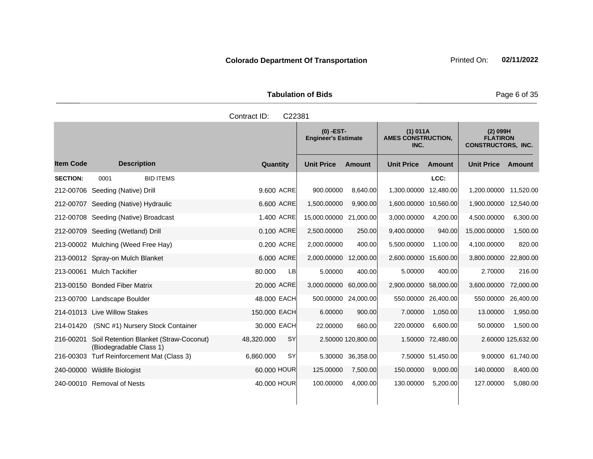Tabulation of Bids **Page 6 of 35** 

|                 |                                                                   | Contract ID:<br>C22381  |                                           |                    |                                               |                   |                                                            |                    |
|-----------------|-------------------------------------------------------------------|-------------------------|-------------------------------------------|--------------------|-----------------------------------------------|-------------------|------------------------------------------------------------|--------------------|
|                 |                                                                   |                         | $(0)$ -EST-<br><b>Engineer's Estimate</b> |                    | (1) 011A<br><b>AMES CONSTRUCTION,</b><br>INC. |                   | $(2)$ 099H<br><b>FLATIRON</b><br><b>CONSTRUCTORS, INC.</b> |                    |
| ltem Code       | <b>Description</b>                                                | Quantity                | <b>Unit Price</b>                         | <b>Amount</b>      | <b>Unit Price</b>                             | <b>Amount</b>     | <b>Unit Price</b>                                          | <b>Amount</b>      |
| <b>SECTION:</b> | <b>BID ITEMS</b><br>0001                                          |                         |                                           |                    |                                               | LCC:              |                                                            |                    |
|                 | 212-00706 Seeding (Native) Drill                                  | 9,600 ACRE              | 900.00000                                 | 8,640.00           | 1,300.00000                                   | 12,480.00         | 1,200.00000                                                | 11,520.00          |
|                 | 212-00707 Seeding (Native) Hydraulic                              | 6.600 ACRE              | 1,500.00000                               | 9,900.00           | 1,600.00000                                   | 10,560.00         | 1,900.00000                                                | 12,540.00          |
|                 | 212-00708 Seeding (Native) Broadcast                              | 1.400 ACRE              | 15,000.00000 21,000.00                    |                    | 3,000.00000                                   | 4,200.00          | 4,500.00000                                                | 6,300.00           |
|                 | 212-00709 Seeding (Wetland) Drill                                 | 0.100 ACRE              | 2,500.00000                               | 250.00             | 9,400.00000                                   | 940.00            | 15,000.00000                                               | 1,500.00           |
|                 | 213-00002 Mulching (Weed Free Hay)                                | 0.200 ACRE              | 2,000.00000                               | 400.00             | 5,500.00000                                   | 1,100.00          | 4,100.00000                                                | 820.00             |
|                 | 213-00012 Spray-on Mulch Blanket                                  | 6.000 ACRE              | 2,000.00000                               | 12,000.00          | 2,600.00000 15,600.00                         |                   | 3,800.00000                                                | 22,800.00          |
|                 | 213-00061 Mulch Tackifier                                         | 80.000<br><b>LB</b>     | 5.00000                                   | 400.00             | 5.00000                                       | 400.00            | 2.70000                                                    | 216.00             |
|                 | 213-00150 Bonded Fiber Matrix                                     | 20.000 ACRE             | 3,000.00000                               | 60,000.00          | 2,900.00000 58,000.00                         |                   | 3,600.00000                                                | 72,000.00          |
|                 | 213-00700 Landscape Boulder                                       | 48,000 EACH             | 500.00000 24,000.00                       |                    | 550.00000 26,400.00                           |                   | 550.00000                                                  | 26,400.00          |
|                 | 214-01013 Live Willow Stakes                                      | 150.000 EACH            | 6.00000                                   | 900.00             | 7.00000                                       | 1,050.00          | 13.00000                                                   | 1,950.00           |
| 214-01420       | (SNC #1) Nursery Stock Container                                  | 30,000 EACH             | 22.00000                                  | 660.00             | 220.00000                                     | 6,600.00          | 50.00000                                                   | 1,500.00           |
| 216-00201       | Soil Retention Blanket (Straw-Coconut)<br>(Biodegradable Class 1) | 48,320.000<br><b>SY</b> |                                           | 2.50000 120,800.00 |                                               | 1.50000 72,480.00 |                                                            | 2.60000 125,632.00 |
|                 | 216-00303 Turf Reinforcement Mat (Class 3)                        | <b>SY</b><br>6,860.000  | 5.30000                                   | 36,358.00          |                                               | 7.50000 51,450.00 | 9.00000                                                    | 61,740.00          |
|                 | 240-00000 Wildlife Biologist                                      | 60.000 HOUR             | 125.00000                                 | 7,500.00           | 150.00000                                     | 9,000.00          | 140.00000                                                  | 8,400.00           |

240-00010 Removal of Nests **1000000 10000 100000** 100.00000 4,000.00 130.00000 5,200.00 127.00000 5,080.00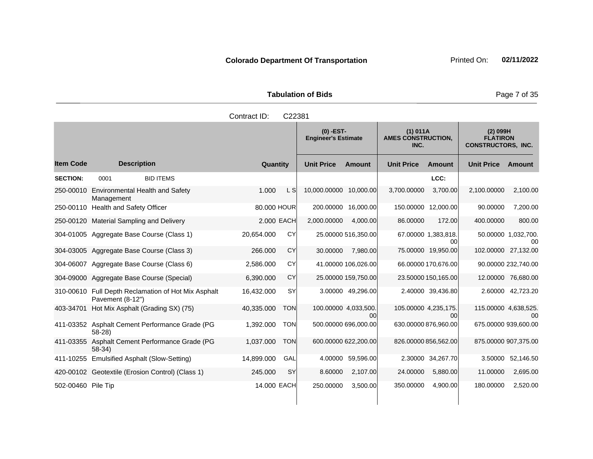| <b>Tabulation of Bids</b> |  |  |  |  |  |  |
|---------------------------|--|--|--|--|--|--|
| Contract ID: C22381       |  |  |  |  |  |  |

|                    |                                                               |            |             | $(0)$ -EST-<br><b>Engineer's Estimate</b> |                             | (1) 011A<br><b>AMES CONSTRUCTION,</b><br>INC. |                           | $(2)$ 099H<br><b>FLATIRON</b><br><b>CONSTRUCTORS, INC.</b> |                            |
|--------------------|---------------------------------------------------------------|------------|-------------|-------------------------------------------|-----------------------------|-----------------------------------------------|---------------------------|------------------------------------------------------------|----------------------------|
| <b>Item Code</b>   | <b>Description</b>                                            |            | Quantity    | <b>Unit Price</b>                         | <b>Amount</b>               | <b>Unit Price</b>                             | Amount                    | <b>Unit Price</b>                                          | Amount                     |
| <b>SECTION:</b>    | <b>BID ITEMS</b><br>0001                                      |            |             |                                           |                             |                                               | LCC:                      |                                                            |                            |
| 250-00010          | Environmental Health and Safety<br>Management                 | 1.000      | L SI        | 10,000.00000                              | 10,000.00                   | 3,700.00000                                   | 3,700.00                  | 2,100.00000                                                | 2,100.00                   |
| 250-00110          | <b>Health and Safety Officer</b>                              |            | 80.000 HOUR | 200.00000                                 | 16,000.00                   | 150.00000                                     | 12,000.00                 | 90.00000                                                   | 7,200.00                   |
| 250-00120          | <b>Material Sampling and Delivery</b>                         |            | 2.000 EACH  | 2,000.00000                               | 4,000.00                    | 86.00000                                      | 172.00                    | 400.00000                                                  | 800.00                     |
|                    | 304-01005 Aggregate Base Course (Class 1)                     | 20.654.000 | CY          |                                           | 25.00000 516,350.00         |                                               | 67.00000 1,383,818.<br>00 |                                                            | 50.00000 1,032,700.<br>ററ  |
|                    | 304-03005 Aggregate Base Course (Class 3)                     | 266.000    | <b>CY</b>   | 30.00000                                  | 7,980.00                    |                                               | 75.00000 19,950.00        |                                                            | 102.00000 27,132.00        |
| 304-06007          | Aggregate Base Course (Class 6)                               | 2,586.000  | CY          |                                           | 41.00000 106,026.00         |                                               | 66.00000 170,676.00       |                                                            | 90.00000 232,740.00        |
|                    | 304-09000 Aggregate Base Course (Special)                     | 6,390.000  | CY          |                                           | 25.00000 159,750.00         |                                               | 23.50000 150,165.00       |                                                            | 12.00000 76,680.00         |
| 310-00610          | Full Depth Reclamation of Hot Mix Asphalt<br>Pavement (8-12") | 16,432.000 | <b>SY</b>   |                                           | 3.00000 49,296.00           |                                               | 2.40000 39,436.80         |                                                            | 2.60000 42,723.20          |
| 403-34701          | Hot Mix Asphalt (Grading SX) (75)                             | 40,335.000 | <b>TON</b>  |                                           | 100.00000 4,033,500.<br>00l | 105.00000 4,235,175.                          | 00                        |                                                            | 115.00000 4,638,525.<br>00 |
|                    | 411-03352 Asphalt Cement Performance Grade (PG<br>$58-28$     | 1,392.000  | <b>TON</b>  |                                           | 500.00000 696,000.00        |                                               | 630.00000 876,960.00      |                                                            | 675.00000 939,600.00       |
|                    | 411-03355 Asphalt Cement Performance Grade (PG<br>$58-34)$    | 1,037.000  | <b>TON</b>  |                                           | 600.00000 622,200.00        |                                               | 826.00000 856,562.00      |                                                            | 875.00000 907,375.00       |
| 411-10255          | Emulsified Asphalt (Slow-Setting)                             | 14,899.000 | GAL         | 4.00000                                   | 59,596.00                   |                                               | 2.30000 34,267.70         | 3.50000                                                    | 52,146.50                  |
|                    | 420-00102 Geotextile (Erosion Control) (Class 1)              | 245.000    | <b>SY</b>   | 8.60000                                   | 2,107.00                    | 24.00000                                      | 5,880.00                  | 11.00000                                                   | 2,695.00                   |
| 502-00460 Pile Tip |                                                               |            | 14.000 EACH | 250.00000                                 | 3,500.00                    | 350.00000                                     | 4,900.00                  | 180.00000                                                  | 2,520.00                   |

**Page 7 of 35**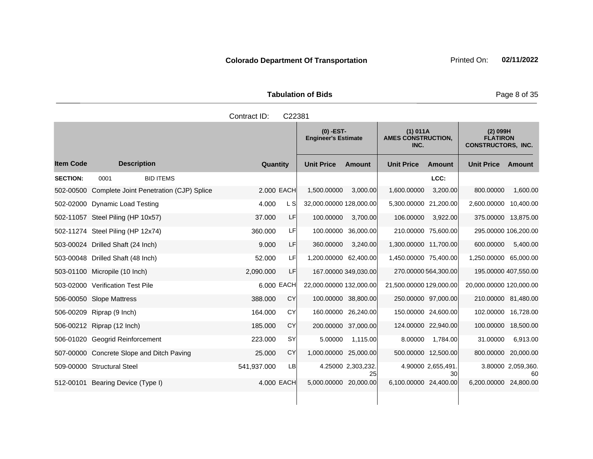Tabulation of Bids **Page 8 of 35** 

|                  |                                                   | Contract ID: | C22381    |                                           |                          |                                               |                          |                                                            |                          |
|------------------|---------------------------------------------------|--------------|-----------|-------------------------------------------|--------------------------|-----------------------------------------------|--------------------------|------------------------------------------------------------|--------------------------|
|                  |                                                   |              |           | $(0)$ -EST-<br><b>Engineer's Estimate</b> |                          | (1) 011A<br><b>AMES CONSTRUCTION,</b><br>INC. |                          | $(2)$ 099H<br><b>FLATIRON</b><br><b>CONSTRUCTORS, INC.</b> |                          |
| <b>Item Code</b> | <b>Description</b>                                | Quantity     |           | <b>Unit Price</b>                         | <b>Amount</b>            | <b>Unit Price</b>                             | Amount                   | <b>Unit Price Amount</b>                                   |                          |
| <b>SECTION:</b>  | <b>BID ITEMS</b><br>0001                          |              |           |                                           |                          |                                               | LCC:                     |                                                            |                          |
|                  | 502-00500 Complete Joint Penetration (CJP) Splice | 2,000 EACH   |           | 1,500.00000                               | 3,000.00                 | 1,600.00000                                   | 3,200.00                 | 800.00000                                                  | 1,600.00                 |
|                  | 502-02000 Dynamic Load Testing                    | 4.000        | L S       | 32,000.00000 128,000.00                   |                          | 5,300.00000 21,200.00                         |                          | 2,600.00000                                                | 10,400.00                |
|                  | 502-11057 Steel Piling (HP 10x57)                 | 37.000       | LF        | 100.00000                                 | 3,700.00                 | 106.00000                                     | 3,922.00                 | 375.00000 13,875.00                                        |                          |
|                  | 502-11274 Steel Piling (HP 12x74)                 | 360,000      | LF        |                                           | 100.00000 36,000.00      | 210.00000 75,600.00                           |                          | 295.00000 106,200.00                                       |                          |
|                  | 503-00024 Drilled Shaft (24 Inch)                 | 9.000        | LF        | 360.00000                                 | 3,240.00                 | 1,300.00000 11,700.00                         |                          | 600.00000                                                  | 5,400.00                 |
|                  | 503-00048 Drilled Shaft (48 Inch)                 | 52.000       | <b>LF</b> | 1,200.00000 62,400.00                     |                          | 1,450.00000 75,400.00                         |                          | 1,250.00000 65,000.00                                      |                          |
|                  | 503-01100 Micropile (10 Inch)                     | 2,090.000    | LF        |                                           | 167.00000 349,030.00     | 270.00000 564,300.00                          |                          | 195.00000 407,550.00                                       |                          |
|                  | 503-02000 Verification Test Pile                  | 6.000 EACH   |           | 22,000.00000 132,000.00                   |                          | 21,500.00000 129,000.00                       |                          | 20,000.00000 120,000.00                                    |                          |
|                  | 506-00050 Slope Mattress                          | 388.000      | CY        | 100.00000 38,800.00                       |                          | 250.00000 97,000.00                           |                          | 210.00000 81,480.00                                        |                          |
|                  | 506-00209 Riprap (9 Inch)                         | 164.000      | CY        |                                           | 160.00000 26,240.00      |                                               | 150.00000 24,600.00      | 102.00000 16,728.00                                        |                          |
|                  | 506-00212 Riprap (12 Inch)                        | 185.000      | CY        |                                           | 200.00000 37,000.00      | 124.00000 22,940.00                           |                          | 100.00000                                                  | 18,500.00                |
|                  | 506-01020 Geogrid Reinforcement                   | 223.000      | <b>SY</b> | 5.00000                                   | 1,115.00                 | 8.00000                                       | 1,784.00                 | 31.00000                                                   | 6,913.00                 |
|                  | 507-00000 Concrete Slope and Ditch Paving         | 25.000       | <b>CY</b> | 1,000.00000 25,000.00                     |                          |                                               | 500.00000 12,500.00      | 800.00000                                                  | 20,000.00                |
|                  | 509-00000 Structural Steel                        | 541,937.000  | LB        |                                           | 4.25000 2,303,232.<br>25 |                                               | 4.90000 2,655,491.<br>30 |                                                            | 3.80000 2,059,360.<br>60 |
|                  | 512-00101 Bearing Device (Type I)                 | 4.000 EACH   |           | 5,000.00000 20,000.00                     |                          | 6,100.00000 24,400.00                         |                          | 6,200.00000 24,800.00                                      |                          |
|                  |                                                   |              |           |                                           |                          |                                               |                          |                                                            |                          |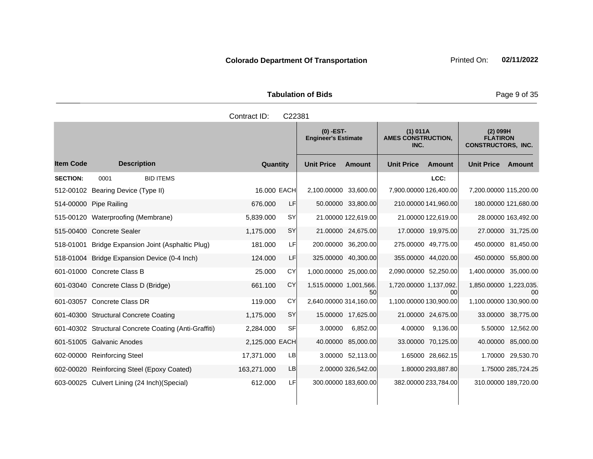| <b>Tabulation of Bids</b> |  |
|---------------------------|--|

|                  |                                                       | Contract ID:   | C22381    |                                           |                      |                                               |                      |                                                            |                      |
|------------------|-------------------------------------------------------|----------------|-----------|-------------------------------------------|----------------------|-----------------------------------------------|----------------------|------------------------------------------------------------|----------------------|
|                  |                                                       |                |           | $(0)$ -EST-<br><b>Engineer's Estimate</b> |                      | (1) 011A<br><b>AMES CONSTRUCTION,</b><br>INC. |                      | $(2)$ 099H<br><b>FLATIRON</b><br><b>CONSTRUCTORS, INC.</b> |                      |
| <b>Item Code</b> | <b>Description</b>                                    | Quantity       |           | <b>Unit Price</b>                         | <b>Amount</b>        | <b>Unit Price</b>                             | <b>Amount</b>        | Unit Price Amount                                          |                      |
| <b>SECTION:</b>  | <b>BID ITEMS</b><br>0001                              |                |           |                                           |                      |                                               | LCC:                 |                                                            |                      |
|                  | 512-00102 Bearing Device (Type II)                    | 16.000 EACH    |           | 2,100.00000 33,600.00                     |                      | 7,900.00000 126,400.00                        |                      | 7,200.00000 115,200.00                                     |                      |
|                  | 514-00000 Pipe Railing                                | 676.000        | LF        |                                           | 50.00000 33,800.00   |                                               | 210.00000 141,960.00 |                                                            | 180.00000 121,680.00 |
|                  | 515-00120 Waterproofing (Membrane)                    | 5,839.000      | SY        |                                           | 21.00000 122,619.00  |                                               | 21.00000 122,619.00  |                                                            | 28.00000 163,492.00  |
|                  | 515-00400 Concrete Sealer                             | 1,175.000      | SY        |                                           | 21.00000 24,675.00   |                                               | 17.00000 19,975.00   |                                                            | 27.00000 31,725.00   |
| 518-01001        | Bridge Expansion Joint (Asphaltic Plug)               | 181.000        | LF        |                                           | 200.00000 36,200.00  |                                               | 275.00000 49,775.00  |                                                            | 450.00000 81,450.00  |
|                  | 518-01004 Bridge Expansion Device (0-4 Inch)          | 124.000        | <b>LF</b> |                                           | 325.00000 40,300.00  |                                               | 355.00000 44,020.00  |                                                            | 450.00000 55,800.00  |
|                  | 601-01000 Concrete Class B                            | 25,000         | CY        | 1,000.00000 25,000.00                     |                      | 2,090.00000 52,250.00                         |                      | 1,400.00000 35,000.00                                      |                      |
|                  | 601-03040 Concrete Class D (Bridge)                   | 661.100        | CY        | 1,515.00000 1,001,566.                    | 50                   | 1,720.00000 1,137,092.                        | 00                   | 1,850.00000 1,223,035.                                     | 00                   |
|                  | 601-03057 Concrete Class DR                           | 119,000        | CY        | 2,640.00000 314,160.00                    |                      | 1,100.00000 130,900.00                        |                      | 1,100.00000 130,900.00                                     |                      |
|                  | 601-40300 Structural Concrete Coating                 | 1,175.000      | SY        |                                           | 15.00000 17,625.00   |                                               | 21.00000 24,675.00   |                                                            | 33.00000 38,775.00   |
|                  | 601-40302 Structural Concrete Coating (Anti-Graffiti) | 2,284.000      | <b>SF</b> | 3.00000                                   | 6,852.00             | 4.00000                                       | 9,136.00             |                                                            | 5.50000 12,562.00    |
|                  | 601-51005 Galvanic Anodes                             | 2,125.000 EACH |           |                                           | 40.00000 85,000.00   |                                               | 33.00000 70,125.00   |                                                            | 40.00000 85,000.00   |
|                  | 602-00000 Reinforcing Steel                           | 17,371.000     | <b>LB</b> |                                           | 3.00000 52,113.00    |                                               | 1.65000 28,662.15    |                                                            | 1.70000 29,530.70    |
|                  | 602-00020 Reinforcing Steel (Epoxy Coated)            | 163,271.000    | LB        |                                           | 2.00000 326,542.00   |                                               | 1.80000 293,887.80   |                                                            | 1.75000 285,724.25   |
|                  | 603-00025 Culvert Lining (24 Inch) (Special)          | 612.000        | LF        |                                           | 300.00000 183,600.00 |                                               | 382.00000 233,784.00 |                                                            | 310.00000 189,720.00 |

Page 9 of 35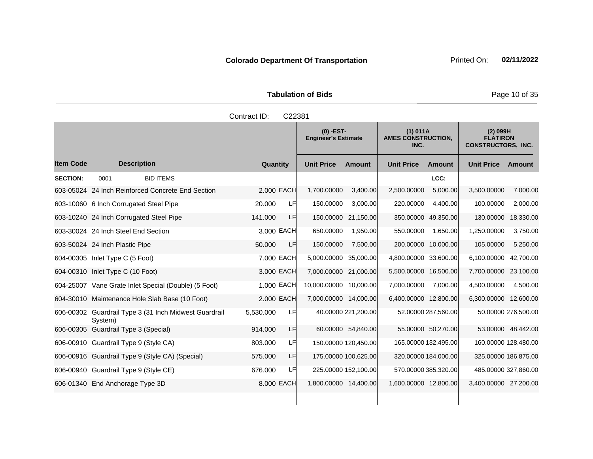Tabulation of Bids **Page 10 of 35** 

|                  |                                                                  | Contract ID:    | C22381                 |                                           |                       |                                               |                       |                                                            |
|------------------|------------------------------------------------------------------|-----------------|------------------------|-------------------------------------------|-----------------------|-----------------------------------------------|-----------------------|------------------------------------------------------------|
|                  |                                                                  |                 |                        | $(0)$ -EST-<br><b>Engineer's Estimate</b> |                       | (1) 011A<br><b>AMES CONSTRUCTION,</b><br>INC. |                       | $(2)$ 099H<br><b>FLATIRON</b><br><b>CONSTRUCTORS, INC.</b> |
| <b>Item Code</b> | <b>Description</b>                                               | Quantity        | <b>Unit Price</b>      | Amount                                    | <b>Unit Price</b>     | Amount                                        | <b>Unit Price</b>     | Amount                                                     |
| <b>SECTION:</b>  | <b>BID ITEMS</b><br>0001                                         |                 |                        |                                           |                       | LCC:                                          |                       |                                                            |
|                  | 603-05024 24 Inch Reinforced Concrete End Section                | 2.000 EACH      | 1,700.00000            | 3,400.00                                  | 2,500.00000           | 5,000.00                                      | 3,500.00000           | 7,000.00                                                   |
|                  | 603-10060 6 Inch Corrugated Steel Pipe                           | 20.000<br>LF    | 150.00000              | 3,000.00                                  | 220.00000             | 4,400.00                                      | 100.00000             | 2,000.00                                                   |
|                  | 603-10240 24 Inch Corrugated Steel Pipe                          | LF<br>141.000   |                        | 150.00000 21,150.00                       | 350.00000 49,350.00   |                                               | 130.00000             | 18,330.00                                                  |
|                  | 603-30024 24 Inch Steel End Section                              | 3.000 EACH      | 650.00000              | 1.950.00                                  | 550,00000             | 1.650.00                                      | 1,250.00000           | 3,750.00                                                   |
|                  | 603-50024 24 Inch Plastic Pipe                                   | LF<br>50.000    | 150.00000              | 7,500.00                                  | 200.00000 10,000.00   |                                               | 105.00000             | 5,250.00                                                   |
|                  | 604-00305 Inlet Type C (5 Foot)                                  | 7.000 EACH      | 5,000.00000 35,000.00  |                                           | 4,800.00000 33,600.00 |                                               | 6,100.00000           | 42,700.00                                                  |
|                  | 604-00310 Inlet Type C (10 Foot)                                 | 3.000 EACH      | 7,000.00000 21,000.00  |                                           | 5,500.00000 16,500.00 |                                               | 7,700.00000           | 23,100.00                                                  |
|                  | 604-25007 Vane Grate Inlet Special (Double) (5 Foot)             | 1.000 EACH      | 10,000.00000 10,000.00 |                                           | 7,000.00000           | 7,000.00                                      | 4,500.00000           | 4,500.00                                                   |
|                  | 604-30010 Maintenance Hole Slab Base (10 Foot)                   | 2.000 EACH      | 7,000.00000 14,000.00  |                                           | 6,400.00000 12,800.00 |                                               | 6,300.00000 12,600.00 |                                                            |
|                  | 606-00302 Guardrail Type 3 (31 Inch Midwest Guardrail<br>System) | LF<br>5,530.000 |                        | 40.00000 221,200.00                       |                       | 52.00000 287,560.00                           |                       | 50.00000 276,500.00                                        |
|                  | 606-00305 Guardrail Type 3 (Special)                             | LF<br>914.000   |                        | 60.00000 54,840.00                        |                       | 55.00000 50,270.00                            |                       | 53.00000 48,442.00                                         |
|                  | 606-00910 Guardrail Type 9 (Style CA)                            | LFI<br>803.000  |                        | 150.00000 120,450.00                      |                       | 165.00000 132,495.00                          | 160.00000 128,480.00  |                                                            |
|                  | 606-00916 Guardrail Type 9 (Style CA) (Special)                  | 575.000<br>LF   |                        | 175.00000 100,625.00                      |                       | 320.00000 184,000.00                          | 325.00000 186,875.00  |                                                            |
|                  | 606-00940 Guardrail Type 9 (Style CE)                            | LF<br>676.000   |                        | 225.00000 152,100.00                      |                       | 570.00000 385,320.00                          | 485.00000 327,860.00  |                                                            |
|                  | 606-01340 End Anchorage Type 3D                                  | 8,000 EACH      | 1,800.00000 14,400.00  |                                           | 1,600.00000 12,800.00 |                                               | 3,400.00000 27,200.00 |                                                            |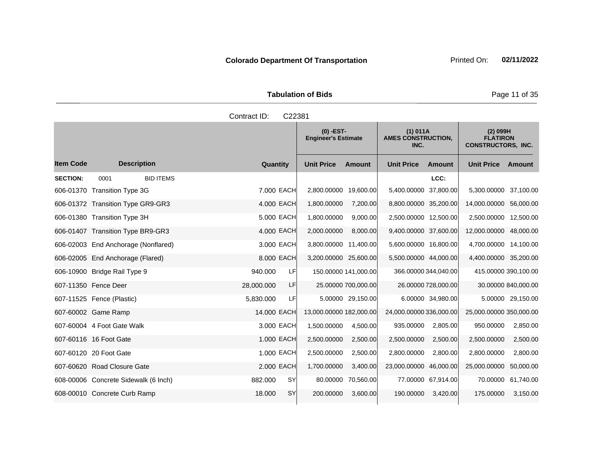Tabulation of Bids **Page 11 of 35** 

|                  |                                      | Contract ID:<br>C22381 |                                           |                                               |                                                            |
|------------------|--------------------------------------|------------------------|-------------------------------------------|-----------------------------------------------|------------------------------------------------------------|
|                  |                                      |                        | $(0)$ -EST-<br><b>Engineer's Estimate</b> | (1) 011A<br><b>AMES CONSTRUCTION,</b><br>INC. | $(2)$ 099H<br><b>FLATIRON</b><br><b>CONSTRUCTORS, INC.</b> |
| <b>Item Code</b> | <b>Description</b>                   | Quantity               | <b>Unit Price</b><br><b>Amount</b>        | <b>Unit Price</b><br><b>Amount</b>            | <b>Unit Price</b><br>Amount                                |
| <b>SECTION:</b>  | <b>BID ITEMS</b><br>0001             |                        |                                           | LCC:                                          |                                                            |
|                  | 606-01370 Transition Type 3G         | 7.000 EACH             | 2,800.00000 19,600.00                     | 5,400.00000 37,800.00                         | 5,300.00000 37,100.00                                      |
|                  | 606-01372 Transition Type GR9-GR3    | 4.000 EACH             | 1,800.00000<br>7,200.00                   | 8,800.00000 35,200.00                         | 14,000.00000 56,000.00                                     |
|                  | 606-01380 Transition Type 3H         | 5.000 EACH             | 9,000.00<br>1,800.00000                   | 2,500.00000 12,500.00                         | 2,500.00000 12,500.00                                      |
|                  | 606-01407 Transition Type BR9-GR3    | 4.000 EACH             | 2,000.00000<br>8,000.00                   | 9,400.00000 37,600.00                         | 12,000.00000 48,000.00                                     |
|                  | 606-02003 End Anchorage (Nonflared)  | 3.000 EACH             | 3,800.00000 11,400.00                     | 5,600.00000 16,800.00                         | 4,700.00000 14,100.00                                      |
|                  | 606-02005 End Anchorage (Flared)     | 8.000 EACH             | 3,200.00000 25,600.00                     | 5,500.00000 44,000.00                         | 4,400.00000 35,200.00                                      |
|                  | 606-10900 Bridge Rail Type 9         | LF<br>940.000          | 150.00000 141,000.00                      | 366.00000 344,040.00                          | 415.00000 390,100.00                                       |
|                  | 607-11350 Fence Deer                 | LF<br>28,000.000       | 25.00000 700,000.00                       | 26.00000 728,000.00                           | 30.00000 840,000.00                                        |
|                  | 607-11525 Fence (Plastic)            | 5,830.000<br>LFI       | 5.00000 29,150.00                         | 6.00000 34,980.00                             | 5.00000 29,150.00                                          |
|                  | 607-60002 Game Ramp                  | 14.000 EACH            | 13,000.00000 182,000.00                   | 24,000.00000 336,000.00                       | 25,000.00000 350,000.00                                    |
|                  | 607-60004 4 Foot Gate Walk           | 3.000 EACH             | 1,500.00000<br>4,500.00                   | 935.00000<br>2,805.00                         | 2,850.00<br>950.00000                                      |
|                  | 607-60116 16 Foot Gate               | 1.000 EACH             | 2,500.00000<br>2,500.00                   | 2,500.00000<br>2,500.00                       | 2,500.00000<br>2,500.00                                    |
|                  | 607-60120 20 Foot Gate               | 1.000 EACH             | 2,500.00000<br>2,500.00                   | 2,800.00000<br>2,800.00                       | 2,800.00000<br>2,800.00                                    |
|                  | 607-60620 Road Closure Gate          | 2.000 EACH             | 1,700.00000<br>3,400.00                   | 23,000.00000 46,000.00                        | 25,000.00000<br>50,000.00                                  |
|                  | 608-00006 Concrete Sidewalk (6 Inch) | SY<br>882.000          | 80.00000<br>70,560.00                     | 77.00000 67,914.00                            | 61,740.00<br>70.00000                                      |
|                  | 608-00010 Concrete Curb Ramp         | SY<br>18.000           | 200.00000<br>3,600.00                     | 190.00000<br>3,420.00                         | 175.00000<br>3,150.00                                      |
|                  |                                      |                        |                                           |                                               |                                                            |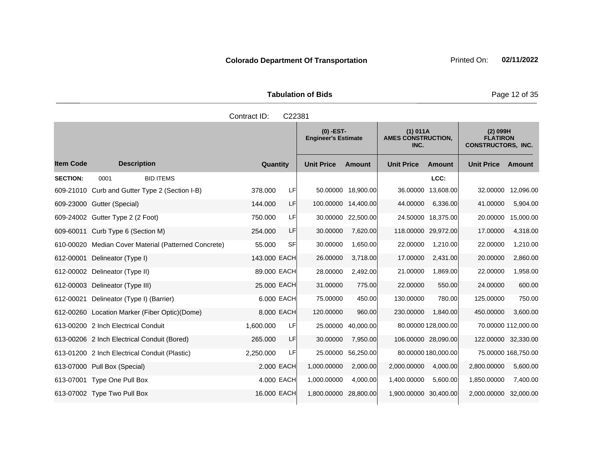Tabulation of Bids **Page 12 of 35** 

|                  |                                                      | Contract ID: | C22381     |                                           |                     |                                               |                     |                                                            |                     |
|------------------|------------------------------------------------------|--------------|------------|-------------------------------------------|---------------------|-----------------------------------------------|---------------------|------------------------------------------------------------|---------------------|
|                  |                                                      |              |            | $(0)$ -EST-<br><b>Engineer's Estimate</b> |                     | (1) 011A<br><b>AMES CONSTRUCTION,</b><br>INC. |                     | $(2)$ 099H<br><b>FLATIRON</b><br><b>CONSTRUCTORS, INC.</b> |                     |
| <b>Item Code</b> | <b>Description</b>                                   | Quantity     |            | <b>Unit Price</b>                         | <b>Amount</b>       | <b>Unit Price</b>                             | <b>Amount</b>       | <b>Unit Price</b>                                          | Amount              |
| <b>SECTION:</b>  | <b>BID ITEMS</b><br>0001                             |              |            |                                           |                     |                                               | LCC:                |                                                            |                     |
|                  | 609-21010 Curb and Gutter Type 2 (Section I-B)       | 378.000      | LF         |                                           | 50.00000 18,900.00  | 36.00000                                      | 13.608.00           | 32.00000                                                   | 12,096.00           |
|                  | 609-23000 Gutter (Special)                           | 144.000      | LF         |                                           | 100.00000 14,400.00 | 44.00000                                      | 6,336.00            | 41.00000                                                   | 5,904.00            |
|                  | 609-24002 Gutter Type 2 (2 Foot)                     | 750.000      | LF         | 30.00000                                  | 22,500.00           |                                               | 24.50000 18,375.00  | 20.00000                                                   | 15,000.00           |
|                  | 609-60011 Curb Type 6 (Section M)                    | 254.000      | LF         | 30.00000                                  | 7,620.00            |                                               | 118.00000 29,972.00 | 17.00000                                                   | 4,318.00            |
|                  | 610-00020 Median Cover Material (Patterned Concrete) | 55.000       | SFI        | 30.00000                                  | 1,650.00            | 22.00000                                      | 1,210.00            | 22.00000                                                   | 1,210.00            |
| 612-00001        | Delineator (Type I)                                  | 143.000 EACH |            | 26.00000                                  | 3,718.00            | 17.00000                                      | 2,431.00            | 20.00000                                                   | 2,860.00            |
|                  | 612-00002 Delineator (Type II)                       | 89.000 EACH  |            | 28.00000                                  | 2,492.00            | 21.00000                                      | 1,869.00            | 22.00000                                                   | 1,958.00            |
|                  | 612-00003 Delineator (Type III)                      | 25.000 EACH  |            | 31.00000                                  | 775.00              | 22.00000                                      | 550.00              | 24.00000                                                   | 600.00              |
| 612-00021        | Delineator (Type I) (Barrier)                        |              | 6.000 EACH | 75.00000                                  | 450.00              | 130.00000                                     | 780.00              | 125.00000                                                  | 750.00              |
|                  | 612-00260 Location Marker (Fiber Optic) (Dome)       |              | 8.000 EACH | 120.00000                                 | 960.00              | 230.00000                                     | 1,840.00            | 450.00000                                                  | 3,600.00            |
|                  | 613-00200 2 Inch Electrical Conduit                  | 1,600.000    | LF         | 25.00000                                  | 40,000.00           |                                               | 80.00000 128,000.00 |                                                            | 70.00000 112,000.00 |
|                  | 613-00206 2 Inch Electrical Conduit (Bored)          | 265.000      | LF         | 30.00000                                  | 7,950.00            |                                               | 106.00000 28,090.00 |                                                            | 122.00000 32,330.00 |
|                  | 613-01200 2 Inch Electrical Conduit (Plastic)        | 2,250.000    | LF         | 25.00000                                  | 56,250.00           |                                               | 80.00000 180,000.00 |                                                            | 75.00000 168,750.00 |
|                  | 613-07000 Pull Box (Special)                         |              | 2.000 EACH | 1,000.00000                               | 2,000.00            | 2,000.00000                                   | 4,000.00            | 2.800.00000                                                | 5,600.00            |
|                  | 613-07001 Type One Pull Box                          |              | 4.000 EACH | 1,000.00000                               | 4,000.00            | 1,400.00000                                   | 5,600.00            | 1,850.00000                                                | 7,400.00            |
|                  | 613-07002 Type Two Pull Box                          | 16.000 EACH  |            | 1,800.00000 28,800.00                     |                     | 1,900.00000 30,400.00                         |                     | 2,000.00000                                                | 32,000.00           |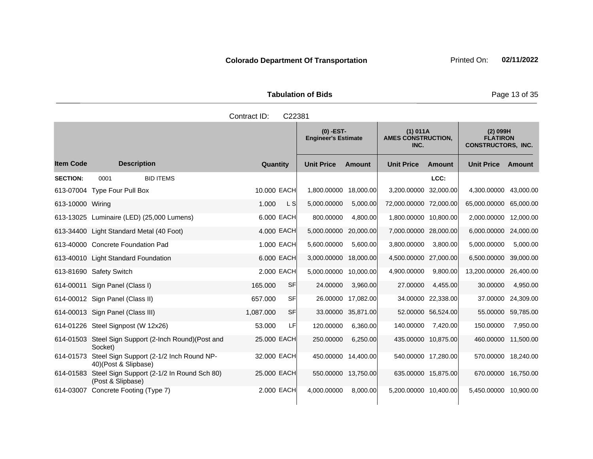Tabulation of Bids **Page 13 of 35** 

|                  |                                                                           | Contract ID:    | C22381                |                                           |                        |                                       |                                                            |                    |
|------------------|---------------------------------------------------------------------------|-----------------|-----------------------|-------------------------------------------|------------------------|---------------------------------------|------------------------------------------------------------|--------------------|
|                  |                                                                           |                 |                       | $(0)$ -EST-<br><b>Engineer's Estimate</b> |                        | (1) 011A<br><b>AMES CONSTRUCTION,</b> | $(2)$ 099H<br><b>FLATIRON</b><br><b>CONSTRUCTORS, INC.</b> |                    |
| <b>Item Code</b> | <b>Description</b>                                                        | Quantity        | <b>Unit Price</b>     | Amount                                    | <b>Unit Price</b>      | Amount                                | <b>Unit Price Amount</b>                                   |                    |
| <b>SECTION:</b>  | <b>BID ITEMS</b><br>0001                                                  |                 |                       |                                           |                        | LCC:                                  |                                                            |                    |
|                  | 613-07004 Type Four Pull Box                                              | 10,000 EACH     | 1,800.00000           | 18,000.00                                 | 3,200.00000 32,000.00  |                                       | 4,300.00000 43,000.00                                      |                    |
| 613-10000 Wiring |                                                                           | L S<br>1.000    | 5,000.00000           | 5,000.00                                  | 72,000.00000 72,000.00 |                                       | 65,000.00000 65,000.00                                     |                    |
|                  | 613-13025 Luminaire (LED) (25,000 Lumens)                                 | 6,000 EACH      | 800.00000             | 4,800.00                                  | 1,800.00000 10,800.00  |                                       | 2,000.00000 12,000.00                                      |                    |
|                  | 613-34400 Light Standard Metal (40 Foot)                                  | 4.000 EACH      | 5,000.00000           | 20,000.00                                 | 7,000.00000 28,000.00  |                                       | 6,000.00000 24,000.00                                      |                    |
|                  | 613-40000 Concrete Foundation Pad                                         | 1.000 EACH      | 5,600.00000           | 5,600.00                                  | 3,800.00000            | 3,800.00                              | 5,000.00000                                                | 5,000.00           |
|                  | 613-40010 Light Standard Foundation                                       | 6.000 EACH      | 3,000.00000 18,000.00 |                                           | 4,500.00000 27,000.00  |                                       | 6,500.00000                                                | 39,000.00          |
|                  | 613-81690 Safety Switch                                                   | 2.000 EACH      | 5,000.00000 10,000.00 |                                           | 4,900.00000            | 9,800.00                              | 13,200.00000 26,400.00                                     |                    |
|                  | 614-00011 Sign Panel (Class I)                                            | SF<br>165.000   | 24.00000              | 3,960.00                                  | 27.00000               | 4,455.00                              | 30.00000                                                   | 4,950.00           |
|                  | 614-00012 Sign Panel (Class II)                                           | 657.000<br>SFI  |                       | 26.00000 17,082.00                        |                        | 34.00000 22,338.00                    | 37.00000                                                   | 24,309.00          |
|                  | 614-00013 Sign Panel (Class III)                                          | SF<br>1,087.000 |                       | 33.00000 35,871.00                        |                        | 52.00000 56,524.00                    |                                                            | 55.00000 59,785.00 |
|                  | 614-01226 Steel Signpost (W 12x26)                                        | 53.000          | LF<br>120.00000       | 6,360.00                                  | 140.00000              | 7,420.00                              | 150.00000                                                  | 7,950.00           |
|                  | 614-01503 Steel Sign Support (2-Inch Round)(Post and<br>Socket)           | 25.000 EACH     | 250.00000             | 6,250.00                                  | 435.00000 10,875.00    |                                       | 460.00000                                                  | 11,500.00          |
| 614-01573        | Steel Sign Support (2-1/2 Inch Round NP-<br>40)(Post & Slipbase)          | 32.000 EACH     | 450.00000 14,400.00   |                                           | 540.00000 17,280.00    |                                       | 570.00000 18,240.00                                        |                    |
|                  | 614-01583 Steel Sign Support (2-1/2 In Round Sch 80)<br>(Post & Slipbase) | 25,000 EACH     | 550.00000 13,750.00   |                                           | 635.00000 15,875.00    |                                       | 670.00000 16,750.00                                        |                    |
|                  | 614-03007 Concrete Footing (Type 7)                                       | 2,000 EACH      | 4,000.00000           | 8,000.00                                  | 5,200.00000 10,400.00  |                                       | 5,450.00000 10,900.00                                      |                    |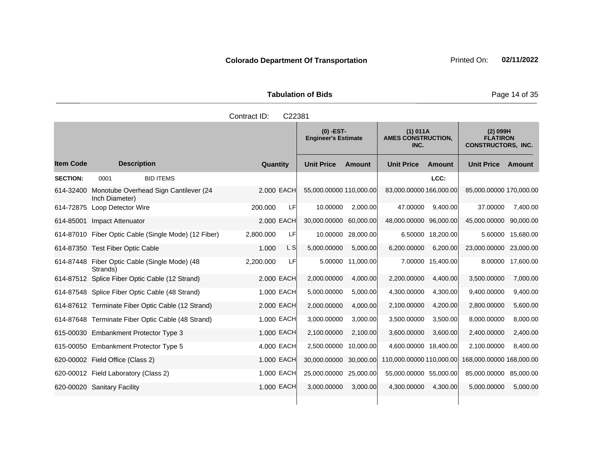Tabulation of Bids **Page 14 of 35** 

|                  |                                                         | Contract ID:<br>C22381 |                                           |               |                                               |                   |                                                            |           |
|------------------|---------------------------------------------------------|------------------------|-------------------------------------------|---------------|-----------------------------------------------|-------------------|------------------------------------------------------------|-----------|
|                  |                                                         |                        | $(0)$ -EST-<br><b>Engineer's Estimate</b> |               | (1) 011A<br><b>AMES CONSTRUCTION,</b><br>INC. |                   | $(2)$ 099H<br><b>FLATIRON</b><br><b>CONSTRUCTORS, INC.</b> |           |
| <b>Item Code</b> | <b>Description</b>                                      | Quantity               | <b>Unit Price</b>                         | <b>Amount</b> | <b>Unit Price</b>                             | <b>Amount</b>     | <b>Unit Price</b>                                          | Amount    |
| <b>SECTION:</b>  | <b>BID ITEMS</b><br>0001                                |                        |                                           |               |                                               | LCC:              |                                                            |           |
| 614-32400        | Monotube Overhead Sign Cantilever (24<br>Inch Diameter) | 2.000 EACH             | 55,000.00000 110,000.00                   |               | 83,000.00000 166,000.00                       |                   | 85,000.00000 170,000.00                                    |           |
| 614-72875        | Loop Detector Wire                                      | LF<br>200.000          | 10.00000                                  | 2,000.00      | 47.00000                                      | 9,400.00          | 37.00000                                                   | 7,400.00  |
| 614-85001        | Impact Attenuator                                       | 2.000 EACH             | 30,000.00000                              | 60,000.00     | 48,000.00000 96,000.00                        |                   | 45,000.00000                                               | 90,000.00 |
|                  | 614-87010 Fiber Optic Cable (Single Mode) (12 Fiber)    | 2,800.000<br>LF        | 10.00000                                  | 28,000.00     |                                               | 6.50000 18,200.00 | 5.60000                                                    | 15,680.00 |
|                  | 614-87350 Test Fiber Optic Cable                        | L S<br>1.000           | 5,000.00000                               | 5,000.00      | 6,200.00000                                   | 6,200.00          | 23,000.00000                                               | 23,000.00 |
| 614-87448        | Fiber Optic Cable (Single Mode) (48<br>Strands)         | 2,200.000<br>LF        | 5.00000                                   | 11,000.00     |                                               | 7.00000 15,400.00 | 8.00000                                                    | 17,600.00 |
|                  | 614-87512 Splice Fiber Optic Cable (12 Strand)          | 2.000 EACH             | 2,000.00000                               | 4,000.00      | 2,200.00000                                   | 4,400.00          | 3,500.00000                                                | 7,000.00  |
|                  | 614-87548 Splice Fiber Optic Cable (48 Strand)          | 1.000 EACH             | 5,000.00000                               | 5,000.00      | 4,300.00000                                   | 4,300.00          | 9,400.00000                                                | 9,400.00  |
|                  | 614-87612 Terminate Fiber Optic Cable (12 Strand)       | 2.000 EACH             | 2,000.00000                               | 4,000.00      | 2,100.00000                                   | 4,200.00          | 2,800.00000                                                | 5,600.00  |
|                  | 614-87648 Terminate Fiber Optic Cable (48 Strand)       | 1.000 EACH             | 3,000.00000                               | 3,000.00      | 3,500.00000                                   | 3,500.00          | 8,000.00000                                                | 8,000.00  |
|                  | 615-00030 Embankment Protector Type 3                   | 1.000 EACH             | 2,100.00000                               | 2,100.00      | 3,600.00000                                   | 3,600.00          | 2,400.00000                                                | 2,400.00  |
|                  | 615-00050 Embankment Protector Type 5                   | 4.000 EACH             | 2,500.00000                               | 10,000.00     | 4,600.00000 18,400.00                         |                   | 2,100.00000                                                | 8,400.00  |
|                  | 620-00002 Field Office (Class 2)                        | 1.000 EACH             | 30,000.00000                              | 30,000.00     | 110,000.00000 110,000.00                      |                   | 168,000.00000 168,000.00                                   |           |
|                  | 620-00012 Field Laboratory (Class 2)                    | 1.000 EACH             | 25,000.00000                              | 25,000.00     | 55,000.00000 55,000.00                        |                   | 85,000.00000                                               | 85,000.00 |
|                  | 620-00020 Sanitary Facility                             | 1.000 EACH             | 3,000.00000                               | 3,000.00      | 4,300.00000                                   | 4,300.00          | 5,000.00000                                                | 5,000.00  |
|                  |                                                         |                        |                                           |               |                                               |                   |                                                            |           |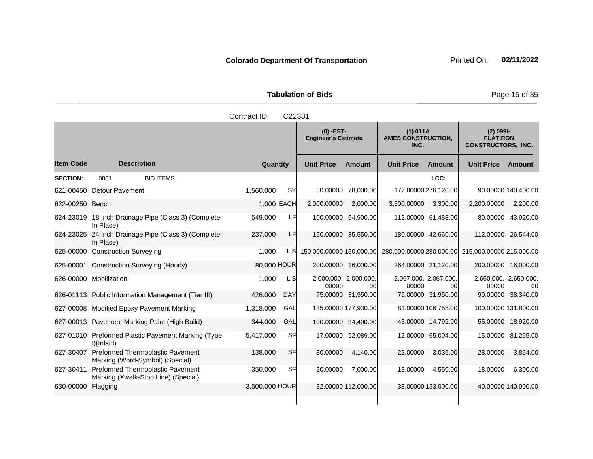Tabulation of Bids **Page 15 of 35** 

|                  |                                                                                | Contract ID:   | C22381     |                                |                                           |                                |                                               |                                                   |                                                            |
|------------------|--------------------------------------------------------------------------------|----------------|------------|--------------------------------|-------------------------------------------|--------------------------------|-----------------------------------------------|---------------------------------------------------|------------------------------------------------------------|
|                  |                                                                                |                |            |                                | $(0)$ -EST-<br><b>Engineer's Estimate</b> |                                | (1) 011A<br><b>AMES CONSTRUCTION,</b><br>INC. |                                                   | $(2)$ 099H<br><b>FLATIRON</b><br><b>CONSTRUCTORS, INC.</b> |
| <b>Item Code</b> | <b>Description</b>                                                             | Quantity       |            | <b>Unit Price</b>              | <b>Amount</b>                             | <b>Unit Price</b>              | <b>Amount</b>                                 | <b>Unit Price Amount</b>                          |                                                            |
| <b>SECTION:</b>  | <b>BID ITEMS</b><br>0001                                                       |                |            |                                |                                           |                                | LCC:                                          |                                                   |                                                            |
| 621-00450        | <b>Detour Pavement</b>                                                         | 1,560.000      | <b>SY</b>  | 50.00000                       | 78,000.00                                 | 177.00000 276,120.00           |                                               |                                                   | 90.00000 140,400.00                                        |
| 622-00250 Bench  |                                                                                |                | 1.000 EACH | 2,000.00000                    | 2,000.00                                  | 3,300.00000                    | 3,300.00                                      | 2,200.00000                                       | 2,200.00                                                   |
|                  | 624-23019 18 Inch Drainage Pipe (Class 3) (Complete<br>In Place)               | 549.000        | LF         |                                | 100.00000 54,900.00                       | 112.00000 61,488.00            |                                               |                                                   | 80.00000 43,920.00                                         |
| 624-23025        | 24 Inch Drainage Pipe (Class 3) (Complete<br>In Place)                         | 237.000        | LF         | 150.00000 35,550.00            |                                           | 180.00000 42,660.00            |                                               | 112.00000 26,544.00                               |                                                            |
|                  | 625-00000 Construction Surveying                                               | 1.000          | L SI       | 150,000.00000 150,000.00       |                                           |                                |                                               | 280,000.00000 280,000.00 215,000.00000 215,000.00 |                                                            |
|                  | 625-00001 Construction Surveying (Hourly)                                      | 80.000 HOUR    |            |                                | 200.00000 16,000.00                       | 264.00000 21,120.00            |                                               | 200.00000 16,000.00                               |                                                            |
|                  | 626-00000 Mobilization                                                         | 1.000          | L S        | 2,000,000. 2,000,000.<br>00000 | 00l                                       | 2,067,000. 2,067,000.<br>00000 | 00l                                           | 2,650,000. 2,650,000.<br>00000                    | 00                                                         |
|                  | 626-01113 Public Information Management (Tier III)                             | 426,000        | <b>DAY</b> |                                | 75.00000 31,950.00                        |                                | 75.00000 31,950.00                            |                                                   | 90.00000 38,340.00                                         |
|                  | 627-00008 Modified Epoxy Pavement Marking                                      | 1,318.000      | GAL        |                                | 135.00000 177,930.00                      |                                | 81.00000 106,758.00                           | 100.00000 131,800.00                              |                                                            |
|                  | 627-00013 Pavement Marking Paint (High Build)                                  | 344.000        | GAL        |                                | 100.00000 34,400.00                       |                                | 43.00000 14,792.00                            |                                                   | 55.00000 18,920.00                                         |
|                  | 627-01010 Preformed Plastic Pavement Marking (Type<br>I)(Inlaid)               | 5,417.000      | <b>SF</b>  |                                | 17.00000 92,089.00                        |                                | 12.00000 65,004.00                            |                                                   | 15.00000 81,255.00                                         |
| 627-30407        | Preformed Thermoplastic Pavement<br>Marking (Word-Symbol) (Special)            | 138,000        | <b>SF</b>  | 30.00000                       | 4.140.00                                  | 22,00000                       | 3,036.00                                      | 28,00000                                          | 3,864.00                                                   |
| 627-30411        | <b>Preformed Thermoplastic Pavement</b><br>Marking (Xwalk-Stop Line) (Special) | 350.000        | <b>SF</b>  | 20.00000                       | 7,000.00                                  | 13.00000                       | 4,550.00                                      | 18.00000                                          | 6,300.00                                                   |
| 630-00000        | Flagging                                                                       | 3,500.000 HOUR |            |                                | 32.00000 112,000.00                       |                                | 38.00000 133,000.00                           |                                                   | 40.00000 140,000.00                                        |
|                  |                                                                                |                |            |                                |                                           |                                |                                               |                                                   |                                                            |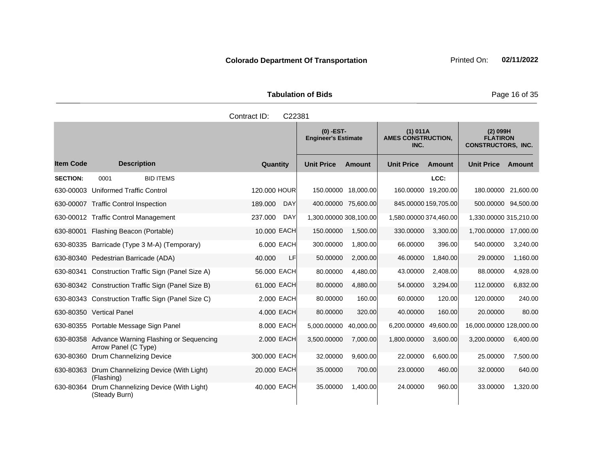Tabulation of Bids **Page 16 of 35** 

|                  |                                                                          | Contract ID:<br>C22381 |                                                                                            |               |                        |                                                            |                         |                     |
|------------------|--------------------------------------------------------------------------|------------------------|--------------------------------------------------------------------------------------------|---------------|------------------------|------------------------------------------------------------|-------------------------|---------------------|
|                  |                                                                          |                        | $(0)$ -EST-<br>(1) 011A<br><b>AMES CONSTRUCTION,</b><br><b>Engineer's Estimate</b><br>INC. |               |                        | $(2)$ 099H<br><b>FLATIRON</b><br><b>CONSTRUCTORS, INC.</b> |                         |                     |
| <b>Item Code</b> | <b>Description</b>                                                       | Quantity               | <b>Unit Price</b>                                                                          | <b>Amount</b> | <b>Unit Price</b>      | <b>Amount</b>                                              | <b>Unit Price</b>       | <b>Amount</b>       |
| <b>SECTION:</b>  | <b>BID ITEMS</b><br>0001                                                 |                        |                                                                                            |               |                        | LCC:                                                       |                         |                     |
| 630-00003        | Uniformed Traffic Control                                                | 120.000 HOUR           | 150.00000 18,000.00                                                                        |               | 160.00000 19,200.00    |                                                            |                         | 180.00000 21,600.00 |
|                  | 630-00007 Traffic Control Inspection                                     | 189.000<br><b>DAY</b>  | 400.00000 75,600.00                                                                        |               | 845.00000 159,705.00   |                                                            |                         | 500.00000 94,500.00 |
|                  | 630-00012 Traffic Control Management                                     | 237.000<br><b>DAY</b>  | 1,300.00000 308,100.00                                                                     |               | 1,580,00000 374,460.00 |                                                            | 1,330.00000 315,210.00  |                     |
| 630-80001        | Flashing Beacon (Portable)                                               | 10.000 EACH            | 150.00000                                                                                  | 1,500.00      | 330.00000              | 3,300.00                                                   | 1,700.00000             | 17,000.00           |
|                  | 630-80335 Barricade (Type 3 M-A) (Temporary)                             | 6.000 EACH             | 300.00000                                                                                  | 1.800.00      | 66.00000               | 396.00                                                     | 540.00000               | 3,240.00            |
|                  | 630-80340 Pedestrian Barricade (ADA)                                     | 40.000<br>LF           | 50.00000                                                                                   | 2,000.00      | 46.00000               | 1,840.00                                                   | 29.00000                | 1,160.00            |
|                  | 630-80341 Construction Traffic Sign (Panel Size A)                       | 56.000 EACH            | 80.00000                                                                                   | 4,480.00      | 43.00000               | 2,408.00                                                   | 88.00000                | 4,928.00            |
|                  | 630-80342 Construction Traffic Sign (Panel Size B)                       | 61.000 EACH            | 80.00000                                                                                   | 4,880.00      | 54.00000               | 3,294.00                                                   | 112.00000               | 6,832.00            |
|                  | 630-80343 Construction Traffic Sign (Panel Size C)                       | 2.000 EACH             | 80.00000                                                                                   | 160.00        | 60.00000               | 120.00                                                     | 120.00000               | 240.00              |
|                  | 630-80350 Vertical Panel                                                 | 4.000 EACH             | 80.00000                                                                                   | 320.00        | 40.00000               | 160.00                                                     | 20.00000                | 80.00               |
|                  | 630-80355 Portable Message Sign Panel                                    | 8.000 EACH             | 5,000.00000                                                                                | 40,000.00     | 6,200.00000            | 49,600.00                                                  | 16,000.00000 128,000.00 |                     |
|                  | 630-80358 Advance Warning Flashing or Sequencing<br>Arrow Panel (C Type) | 2.000 EACH             | 3,500.00000                                                                                | 7,000.00      | 1,800.00000            | 3,600.00                                                   | 3,200.00000             | 6,400.00            |
| 630-80360        | <b>Drum Channelizing Device</b>                                          | 300.000 EACH           | 32.00000                                                                                   | 9,600.00      | 22.00000               | 6,600.00                                                   | 25.00000                | 7,500.00            |
| 630-80363        | Drum Channelizing Device (With Light)<br>(Flashing)                      | 20.000 EACH            | 35.00000                                                                                   | 700.00        | 23.00000               | 460.00                                                     | 32.00000                | 640.00              |
| 630-80364        | Drum Channelizing Device (With Light)<br>(Steady Burn)                   | 40.000 EACH            | 35.00000                                                                                   | 1,400.00      | 24.00000               | 960.00                                                     | 33.00000                | 1,320.00            |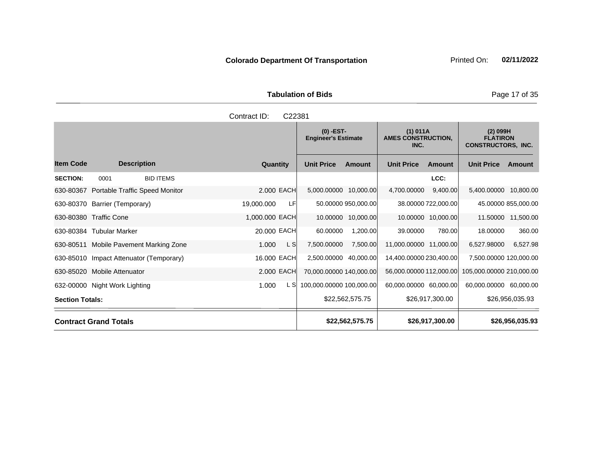Tabulation of Bids **Page 17 of 35** 

|                        |                                         |                  | Contract ID:   | C22381                                    |                          |                                               |                         |                                                            |                          |                     |
|------------------------|-----------------------------------------|------------------|----------------|-------------------------------------------|--------------------------|-----------------------------------------------|-------------------------|------------------------------------------------------------|--------------------------|---------------------|
|                        |                                         |                  |                | $(0)$ -EST-<br><b>Engineer's Estimate</b> |                          | (1) 011A<br><b>AMES CONSTRUCTION,</b><br>INC. |                         | $(2)$ 099H<br><b>FLATIRON</b><br><b>CONSTRUCTORS, INC.</b> |                          |                     |
| <b>Item Code</b>       | <b>Description</b>                      |                  | Quantity       |                                           | <b>Unit Price</b>        | Amount                                        | <b>Unit Price</b>       | Amount                                                     | <b>Unit Price</b>        | Amount              |
| <b>SECTION:</b>        | 0001                                    | <b>BID ITEMS</b> |                |                                           |                          |                                               |                         | LCC:                                                       |                          |                     |
| 630-80367              | <b>Portable Traffic Speed Monitor</b>   |                  |                | 2.000 EACH                                | 5,000.00000 10,000.00    |                                               | 4,700.00000             | 9,400.00                                                   | 5,400.00000              | 10,800.00           |
|                        | 630-80370 Barrier (Temporary)           |                  | 19,000.000     | LF                                        |                          | 50.00000 950,000.00                           |                         | 38.00000 722,000.00                                        |                          | 45.00000 855,000.00 |
|                        | 630-80380 Traffic Cone                  |                  | 1,000.000 EACH |                                           | 10.00000                 | 10,000.00                                     |                         | 10.00000 10,000.00                                         | 11.50000                 | 11,500.00           |
|                        | 630-80384 Tubular Marker                |                  | 20.000 EACH    |                                           | 60.00000                 | 1,200.00                                      | 39.00000                | 780.00                                                     | 18,00000                 | 360.00              |
|                        | 630-80511 Mobile Pavement Marking Zone  |                  | 1.000          | L SI                                      | 7,500.00000              | 7,500.00                                      | 11,000.00000 11,000.00  |                                                            | 6,527.98000              | 6,527.98            |
|                        | 630-85010 Impact Attenuator (Temporary) |                  | 16.000 EACH    |                                           | 2,500.00000              | 40,000.00                                     | 14,400.00000 230,400.00 |                                                            | 7,500.00000 120,000.00   |                     |
|                        | 630-85020 Mobile Attenuator             |                  |                | 2.000 EACH                                | 70,000.00000 140,000.00  |                                               | 56,000.00000 112,000.00 |                                                            | 105,000.00000 210,000.00 |                     |
|                        | 632-00000 Night Work Lighting           |                  | 1.000          | L S                                       | 100,000.00000 100,000.00 |                                               | 60,000.00000 60,000.00  |                                                            | 60,000.00000             | 60,000.00           |
| <b>Section Totals:</b> |                                         |                  |                |                                           |                          | \$22,562,575.75                               |                         | \$26,917,300.00                                            |                          | \$26,956,035.93     |
|                        | <b>Contract Grand Totals</b>            |                  |                |                                           |                          | \$22,562,575.75                               |                         | \$26,917,300.00                                            |                          | \$26,956,035.93     |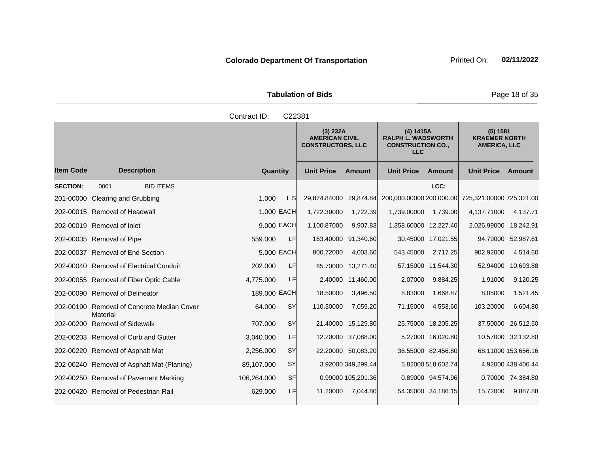Tabulation of Bids **Page 18 of 35** 

|                  | Contract ID:<br>C22381                                 |              |           |                   |                                                               |                          |                                                                                  |                          |                                                         |  |  |
|------------------|--------------------------------------------------------|--------------|-----------|-------------------|---------------------------------------------------------------|--------------------------|----------------------------------------------------------------------------------|--------------------------|---------------------------------------------------------|--|--|
|                  |                                                        |              |           |                   | (3) 232A<br><b>AMERICAN CIVIL</b><br><b>CONSTRUCTORS, LLC</b> |                          | (4) 1415A<br><b>RALPH L. WADSWORTH</b><br><b>CONSTRUCTION CO.,</b><br><b>LLC</b> |                          | (5) 1581<br><b>KRAEMER NORTH</b><br><b>AMERICA, LLC</b> |  |  |
| <b>Item Code</b> | <b>Description</b>                                     | Quantity     |           | <b>Unit Price</b> | <b>Amount</b>                                                 | <b>Unit Price</b>        | <b>Amount</b>                                                                    | <b>Unit Price</b>        | Amount                                                  |  |  |
| <b>SECTION:</b>  | <b>BID ITEMS</b><br>0001                               |              |           |                   |                                                               |                          | LCC:                                                                             |                          |                                                         |  |  |
|                  | 201-00000 Clearing and Grubbing                        | 1.000        | L S       | 29.874.84000      | 29.874.84                                                     | 200,000.00000 200,000.00 |                                                                                  | 725,321.00000 725,321.00 |                                                         |  |  |
|                  | 202-00015 Removal of Headwall                          | 1.000 EACH   |           | 1,722.39000       | 1,722.39                                                      | 1,739.00000              | 1,739.00                                                                         | 4,137.71000              | 4,137.71                                                |  |  |
|                  | 202-00019 Removal of Inlet                             | 9.000 EACH   |           | 1,100.87000       | 9,907.83                                                      | 1,358.60000 12,227.40    |                                                                                  | 2,026.99000              | 18,242.91                                               |  |  |
|                  | 202-00035 Removal of Pipe                              | 559.000      | LF        | 163.40000         | 91.340.60                                                     |                          | 30.45000 17,021.55                                                               | 94.79000                 | 52,987.61                                               |  |  |
|                  | 202-00037 Removal of End Section                       | 5.000 EACH   |           | 800.72000         | 4,003.60                                                      | 543.45000                | 2,717.25                                                                         | 902.92000                | 4,514.60                                                |  |  |
|                  | 202-00040 Removal of Electrical Conduit                | 202.000      | LF        | 65.70000          | 13,271.40                                                     |                          | 57.15000 11,544.30                                                               | 52.94000                 | 10,693.88                                               |  |  |
|                  | 202-00055 Removal of Fiber Optic Cable                 | 4,775.000    | LF        | 2.40000           | 11,460.00                                                     | 2.07000                  | 9,884.25                                                                         | 1.91000                  | 9,120.25                                                |  |  |
|                  | 202-00090 Removal of Delineator                        | 189,000 EACH |           | 18.50000          | 3,496.50                                                      | 8.83000                  | 1,668.87                                                                         | 8.05000                  | 1,521.45                                                |  |  |
|                  | 202-00190 Removal of Concrete Median Cover<br>Material | 64.000       | SY        | 110.30000         | 7,059.20                                                      | 71.15000                 | 4,553.60                                                                         | 103.20000                | 6,604.80                                                |  |  |
|                  | 202-00200 Removal of Sidewalk                          | 707.000      | <b>SY</b> | 21.40000          | 15,129.80                                                     |                          | 25.75000 18,205.25                                                               | 37.50000                 | 26,512.50                                               |  |  |
|                  | 202-00203 Removal of Curb and Gutter                   | 3,040.000    | LF        | 12.20000          | 37,088.00                                                     |                          | 5.27000 16,020.80                                                                |                          | 10.57000 32,132.80                                      |  |  |
|                  | 202-00220 Removal of Asphalt Mat                       | 2,256.000    | <b>SY</b> |                   | 22.20000 50,083.20                                            |                          | 36.55000 82,456.80                                                               |                          | 68.11000 153,656.16                                     |  |  |
|                  | 202-00240 Removal of Asphalt Mat (Planing)             | 89,107.000   | <b>SY</b> |                   | 3.92000 349,299.44                                            |                          | 5.82000 518,602.74                                                               |                          | 4.92000 438,406.44                                      |  |  |
|                  | 202-00250 Removal of Pavement Marking                  | 106,264.000  | <b>SF</b> |                   | 0.99000 105,201.36                                            |                          | 0.89000 94,574.96                                                                |                          | 0.70000 74,384.80                                       |  |  |
|                  | 202-00420 Removal of Pedestrian Rail                   | 629.000      | LF        | 11.20000          | 7,044.80                                                      |                          | 54.35000 34,186.15                                                               | 15.72000                 | 9,887.88                                                |  |  |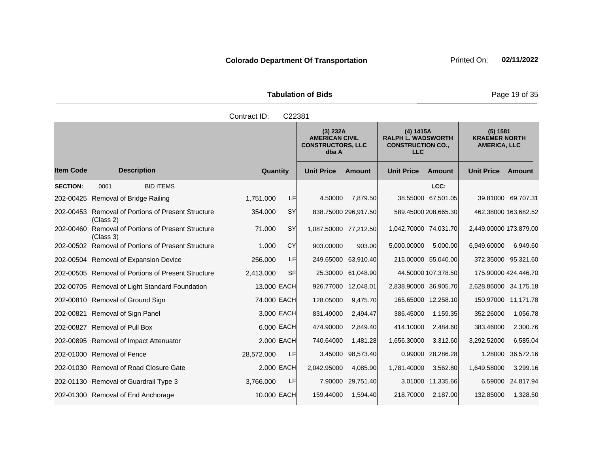Tabulation of Bids **Page 19 of 35** 

|                  |                                                                 | Contract ID: | C22381    |                                                                        |                      |                                                                                  |                      |                                                         |                    |
|------------------|-----------------------------------------------------------------|--------------|-----------|------------------------------------------------------------------------|----------------------|----------------------------------------------------------------------------------|----------------------|---------------------------------------------------------|--------------------|
|                  |                                                                 |              |           | (3) 232A<br><b>AMERICAN CIVIL</b><br><b>CONSTRUCTORS, LLC</b><br>dba A |                      | (4) 1415A<br><b>RALPH L. WADSWORTH</b><br><b>CONSTRUCTION CO.,</b><br><b>LLC</b> |                      | (5) 1581<br><b>KRAEMER NORTH</b><br><b>AMERICA, LLC</b> |                    |
| <b>Item Code</b> | <b>Description</b>                                              | Quantity     |           | <b>Unit Price</b>                                                      | <b>Amount</b>        | <b>Unit Price</b>                                                                | <b>Amount</b>        | <b>Unit Price</b>                                       | Amount             |
| <b>SECTION:</b>  | 0001<br><b>BID ITEMS</b>                                        |              |           |                                                                        |                      |                                                                                  | LCC:                 |                                                         |                    |
|                  | 202-00425 Removal of Bridge Railing                             | 1,751.000    | LF        | 4.50000                                                                | 7.879.50             |                                                                                  | 38.55000 67,501.05   |                                                         | 39.81000 69,707.31 |
|                  | 202-00453 Removal of Portions of Present Structure<br>(Class 2) | 354.000      | <b>SY</b> |                                                                        | 838.75000 296,917.50 |                                                                                  | 589.45000 208,665.30 | 462.38000 163,682.52                                    |                    |
|                  | 202-00460 Removal of Portions of Present Structure<br>(Class 3) | 71.000       | SY        | 1,087.50000 77,212.50                                                  |                      | 1,042.70000 74,031.70                                                            |                      | 2,449.00000 173,879.00                                  |                    |
|                  | 202-00502 Removal of Portions of Present Structure              | 1.000        | CY        | 903.00000                                                              | 903.00               | 5,000.00000                                                                      | 5,000.00             | 6,949.60000                                             | 6,949.60           |
|                  | 202-00504 Removal of Expansion Device                           | 256,000      | LF        |                                                                        | 249.65000 63,910.40  |                                                                                  | 215.00000 55,040.00  | 372.35000 95,321.60                                     |                    |
|                  | 202-00505 Removal of Portions of Present Structure              | 2,413.000    | SFI       | 25.30000                                                               | 61,048.90            |                                                                                  | 44.50000 107,378.50  | 175.90000 424,446.70                                    |                    |
|                  | 202-00705 Removal of Light Standard Foundation                  | 13,000 EACH  |           | 926.77000                                                              | 12,048.01            | 2,838.90000 36,905.70                                                            |                      | 2,628.86000 34,175.18                                   |                    |
|                  | 202-00810 Removal of Ground Sign                                | 74,000 EACH  |           | 128.05000                                                              | 9,475.70             |                                                                                  | 165.65000 12,258.10  | 150.97000 11,171.78                                     |                    |
|                  | 202-00821 Removal of Sign Panel                                 | 3.000 EACH   |           | 831.49000                                                              | 2,494.47             | 386.45000                                                                        | 1,159.35             | 352.26000                                               | 1,056.78           |
|                  | 202-00827 Removal of Pull Box                                   | 6.000 EACH   |           | 474.90000                                                              | 2,849.40             | 414.10000                                                                        | 2,484.60             | 383.46000                                               | 2,300.76           |
|                  | 202-00895 Removal of Impact Attenuator                          | 2,000 EACH   |           | 740.64000                                                              | 1,481.28             | 1,656.30000                                                                      | 3,312.60             | 3,292.52000                                             | 6,585.04           |
|                  | 202-01000 Removal of Fence                                      | 28,572.000   | LF.       |                                                                        | 3.45000 98,573.40    |                                                                                  | 0.99000 28,286.28    | 1.28000                                                 | 36,572.16          |
|                  | 202-01030 Removal of Road Closure Gate                          | 2.000 EACH   |           | 2,042.95000                                                            | 4,085.90             | 1,781.40000                                                                      | 3,562.80             | 1,649.58000                                             | 3,299.16           |
|                  | 202-01130 Removal of Guardrail Type 3                           | 3,766.000    | LF        |                                                                        | 7.90000 29,751.40    |                                                                                  | 3.01000 11,335.66    | 6.59000                                                 | 24,817.94          |
|                  | 202-01300 Removal of End Anchorage                              | 10.000 EACH  |           | 159.44000                                                              | 1,594.40             |                                                                                  | 218.70000 2.187.00   | 132.85000                                               | 1,328.50           |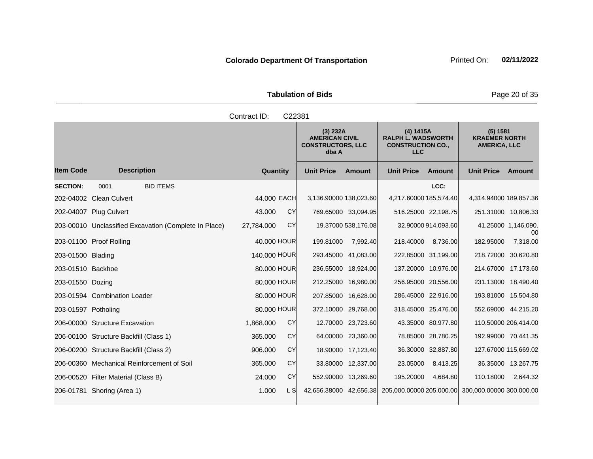|                               | <b>Tabulation of Bids</b> |
|-------------------------------|---------------------------|
| Contract $\mathsf{ID}$ C22381 |                           |

|                     |                                                       | oviniaut i <i>d</i> . | ◡▵▵◡◡     |                        |                                                                        |                          |                                                                    |                                                         |                           |
|---------------------|-------------------------------------------------------|-----------------------|-----------|------------------------|------------------------------------------------------------------------|--------------------------|--------------------------------------------------------------------|---------------------------------------------------------|---------------------------|
|                     |                                                       |                       |           |                        | (3) 232A<br><b>AMERICAN CIVIL</b><br><b>CONSTRUCTORS, LLC</b><br>dba A |                          | (4) 1415A<br><b>RALPH L. WADSWORTH</b><br><b>CONSTRUCTION CO.,</b> | (5) 1581<br><b>KRAEMER NORTH</b><br><b>AMERICA, LLC</b> |                           |
| <b>Item Code</b>    | <b>Description</b>                                    | Quantity              |           | <b>Unit Price</b>      | <b>Amount</b>                                                          | <b>Unit Price</b>        | Amount                                                             | <b>Unit Price</b>                                       | Amount                    |
| <b>SECTION:</b>     | <b>BID ITEMS</b><br>0001                              |                       |           |                        |                                                                        |                          | LCC:                                                               |                                                         |                           |
|                     | 202-04002 Clean Culvert                               | 44.000 EACH           |           | 3,136.90000 138,023.60 |                                                                        | 4,217.60000 185,574.40   |                                                                    | 4,314.94000 189,857.36                                  |                           |
|                     | 202-04007 Plug Culvert                                | 43.000                | <b>CY</b> |                        | 769.65000 33,094.95                                                    | 516.25000 22,198.75      |                                                                    |                                                         | 251.31000 10,806.33       |
|                     | 203-00010 Unclassified Excavation (Complete In Place) | 27,784.000            | <b>CY</b> |                        | 19.37000 538,176.08                                                    |                          | 32.90000 914,093.60                                                |                                                         | 41.25000 1,146,090.<br>00 |
|                     | 203-01100 Proof Rolling                               | 40,000 HOUR           |           | 199.81000              | 7,992.40                                                               | 218.40000                | 8.736.00                                                           | 182.95000                                               | 7,318.00                  |
| 203-01500 Blading   |                                                       | 140.000 HOUR          |           |                        | 293.45000 41,083.00                                                    | 222.85000 31,199.00      |                                                                    | 218.72000 30,620.80                                     |                           |
| 203-01510 Backhoe   |                                                       | 80.000 HOUR           |           |                        | 236.55000 18,924.00                                                    | 137.20000 10,976.00      |                                                                    |                                                         | 214.67000 17,173.60       |
| 203-01550 Dozing    |                                                       | 80,000 HOUR           |           |                        | 212.25000 16,980.00                                                    | 256.95000 20,556.00      |                                                                    |                                                         | 231.13000 18,490.40       |
|                     | 203-01594 Combination Loader                          | 80.000 HOUR           |           |                        | 207.85000 16,628.00                                                    | 286.45000 22,916.00      |                                                                    |                                                         | 193.81000 15,504.80       |
| 203-01597 Potholing |                                                       | 80.000 HOUR           |           |                        | 372.10000 29,768.00                                                    | 318.45000 25,476.00      |                                                                    |                                                         | 552.69000 44,215.20       |
|                     | 206-00000 Structure Excavation                        | 1,868.000             | <b>CY</b> |                        | 12.70000 23,723.60                                                     |                          | 43.35000 80,977.80                                                 |                                                         | 110.50000 206,414.00      |
|                     | 206-00100 Structure Backfill (Class 1)                | 365.000               | <b>CY</b> |                        | 64.00000 23,360.00                                                     |                          | 78.85000 28,780.25                                                 |                                                         | 192.99000 70,441.35       |
|                     | 206-00200 Structure Backfill (Class 2)                | 906.000               | CY        |                        | 18.90000 17,123.40                                                     |                          | 36.30000 32,887.80                                                 |                                                         | 127.67000 115,669.02      |
|                     | 206-00360 Mechanical Reinforcement of Soil            | 365,000               | <b>CY</b> |                        | 33.80000 12,337.00                                                     | 23.05000                 | 8,413.25                                                           |                                                         | 36.35000 13,267.75        |
|                     | 206-00520 Filter Material (Class B)                   | 24.000                | <b>CY</b> |                        | 552.90000 13,269.60                                                    | 195.20000                | 4,684.80                                                           | 110.18000                                               | 2,644.32                  |
|                     | 206-01781 Shoring (Area 1)                            | 1.000                 | L SI      | 42,656.38000 42,656.38 |                                                                        | 205,000.00000 205,000.00 |                                                                    | 300,000.00000 300,000.00                                |                           |
|                     |                                                       |                       |           |                        |                                                                        |                          |                                                                    |                                                         |                           |

**Tabulation of Bids** Page 20 of 35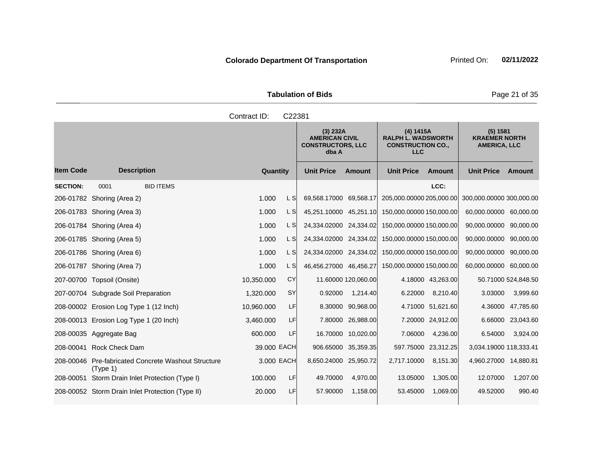Tabulation of Bids **Page 21 of 35** 

|                  |                                                                 | Contract ID: | C22381     |                                                                        |                     |                                                                                  |                     |                                                         |                     |
|------------------|-----------------------------------------------------------------|--------------|------------|------------------------------------------------------------------------|---------------------|----------------------------------------------------------------------------------|---------------------|---------------------------------------------------------|---------------------|
|                  |                                                                 |              |            | (3) 232A<br><b>AMERICAN CIVIL</b><br><b>CONSTRUCTORS, LLC</b><br>dba A |                     | (4) 1415A<br><b>RALPH L. WADSWORTH</b><br><b>CONSTRUCTION CO.,</b><br><b>LLC</b> |                     | (5) 1581<br><b>KRAEMER NORTH</b><br><b>AMERICA, LLC</b> |                     |
| <b>Item Code</b> | <b>Description</b>                                              | Quantity     |            | <b>Unit Price</b>                                                      | <b>Amount</b>       | <b>Unit Price</b>                                                                | <b>Amount</b>       | <b>Unit Price</b>                                       | Amount              |
| <b>SECTION:</b>  | <b>BID ITEMS</b><br>0001                                        |              |            |                                                                        |                     |                                                                                  | LCC:                |                                                         |                     |
|                  | 206-01782 Shoring (Area 2)                                      | 1.000        | L SI       | 69,568.17000 69,568.17                                                 |                     | 205,000.00000 205,000.00                                                         |                     | 300,000.00000 300,000.00                                |                     |
|                  | 206-01783 Shoring (Area 3)                                      | 1.000        | L SI       | 45,251.10000 45,251.10                                                 |                     | 150,000.00000 150,000.00                                                         |                     | 60,000.00000 60,000.00                                  |                     |
|                  | 206-01784 Shoring (Area 4)                                      | 1.000        | L SI       | 24,334.02000 24,334.02                                                 |                     | 150,000.00000 150,000.00                                                         |                     | 90,000.00000                                            | 90,000.00           |
|                  | 206-01785 Shoring (Area 5)                                      | 1.000        | L SI       | 24,334.02000 24,334.02                                                 |                     | 150,000.00000 150,000.00                                                         |                     | 90,000.00000                                            | 90,000.00           |
|                  | 206-01786 Shoring (Area 6)                                      | 1.000        | L SI       | 24,334.02000 24,334.02                                                 |                     | 150,000.00000 150,000.00                                                         |                     | 90,000.00000                                            | 90,000.00           |
|                  | 206-01787 Shoring (Area 7)                                      | 1.000        | L SI       | 46,456.27000 46,456.27                                                 |                     | 150,000.00000 150,000.00                                                         |                     | 60,000.00000 60,000.00                                  |                     |
|                  | 207-00700 Topsoil (Onsite)                                      | 10,350.000   | CY         |                                                                        | 11.60000 120,060.00 |                                                                                  | 4.18000 43,263.00   |                                                         | 50.71000 524,848.50 |
|                  | 207-00704 Subgrade Soil Preparation                             | 1,320.000    | <b>SY</b>  | 0.92000                                                                | 1,214.40            | 6.22000                                                                          | 8,210.40            | 3.03000                                                 | 3,999.60            |
|                  | 208-00002 Erosion Log Type 1 (12 Inch)                          | 10,960.000   | LF         |                                                                        | 8.30000 90,968.00   |                                                                                  | 4.71000 51,621.60   | 4.36000                                                 | 47,785.60           |
|                  | 208-00013 Erosion Log Type 1 (20 Inch)                          | 3,460.000    | LF         |                                                                        | 7.80000 26,988.00   |                                                                                  | 7.20000 24,912.00   | 6.66000                                                 | 23,043.60           |
|                  | 208-00035 Aggregate Bag                                         | 600.000      | LF         |                                                                        | 16.70000 10,020.00  | 7.06000                                                                          | 4,236.00            | 6.54000                                                 | 3,924.00            |
| 208-00041        | <b>Rock Check Dam</b>                                           | 39.000 EACH  |            |                                                                        | 906.65000 35,359.35 |                                                                                  | 597.75000 23,312.25 | 3,034.19000 118,333.41                                  |                     |
|                  | 208-00046 Pre-fabricated Concrete Washout Structure<br>(Type 1) |              | 3.000 EACH | 8,650.24000 25,950.72                                                  |                     | 2,717.10000                                                                      | 8,151.30            | 4,960.27000 14,880.81                                   |                     |
| 208-00051        | Storm Drain Inlet Protection (Type I)                           | 100.000      | LF         | 49.70000                                                               | 4,970.00            | 13.05000                                                                         | 1,305.00            | 12.07000                                                | 1,207.00            |
|                  | 208-00052 Storm Drain Inlet Protection (Type II)                | 20.000       | LF         | 57.90000                                                               | 1,158.00            | 53.45000                                                                         | 1,069.00            | 49.52000                                                | 990.40              |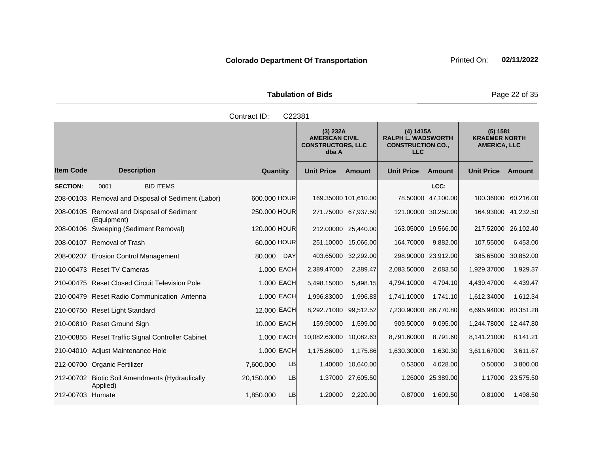Tabulation of Bids **Page 22 of 35** 

|                  |                                                             | Contract ID:<br>C22381  |                                                                        |                   |                                                                                  |                    |                                                         |           |
|------------------|-------------------------------------------------------------|-------------------------|------------------------------------------------------------------------|-------------------|----------------------------------------------------------------------------------|--------------------|---------------------------------------------------------|-----------|
|                  |                                                             |                         | (3) 232A<br><b>AMERICAN CIVIL</b><br><b>CONSTRUCTORS, LLC</b><br>dba A |                   | (4) 1415A<br><b>RALPH L. WADSWORTH</b><br><b>CONSTRUCTION CO.,</b><br><b>LLC</b> |                    | (5) 1581<br><b>KRAEMER NORTH</b><br><b>AMERICA, LLC</b> |           |
| <b>Item Code</b> | <b>Description</b>                                          | Quantity                | <b>Unit Price</b>                                                      | <b>Amount</b>     | <b>Unit Price</b>                                                                | <b>Amount</b>      | <b>Unit Price</b>                                       | Amount    |
| <b>SECTION:</b>  | 0001<br><b>BID ITEMS</b>                                    |                         |                                                                        |                   |                                                                                  | LCC:               |                                                         |           |
|                  | 208-00103 Removal and Disposal of Sediment (Labor)          | 600,000 HOUR            | 169.35000 101,610.00                                                   |                   |                                                                                  | 78.50000 47,100.00 | 100.36000                                               | 60,216.00 |
|                  | 208-00105 Removal and Disposal of Sediment<br>(Equipment)   | 250,000 HOUR            | 271.75000 67,937.50                                                    |                   | 121.00000 30,250.00                                                              |                    | 164.93000 41,232.50                                     |           |
|                  | 208-00106 Sweeping (Sediment Removal)                       | 120.000 HOUR            | 212.00000 25,440.00                                                    |                   | 163.05000 19,566.00                                                              |                    | 217.52000                                               | 26,102.40 |
|                  | 208-00107 Removal of Trash                                  | 60,000 HOUR             | 251.10000 15,066.00                                                    |                   | 164.70000                                                                        | 9,882.00           | 107.55000                                               | 6,453.00  |
|                  | 208-00207 Erosion Control Management                        | 80.000<br><b>DAY</b>    | 403.65000 32,292.00                                                    |                   | 298.90000 23,912.00                                                              |                    | 385.65000                                               | 30,852.00 |
|                  | 210-00473 Reset TV Cameras                                  | 1.000 EACH              | 2,389.47000                                                            | 2,389.47          | 2,083.50000                                                                      | 2,083.50           | 1,929.37000                                             | 1,929.37  |
|                  | 210-00475 Reset Closed Circuit Television Pole              | 1,000 EACH              | 5,498.15000                                                            | 5,498.15          | 4,794.10000                                                                      | 4,794.10           | 4,439.47000                                             | 4,439.47  |
|                  | 210-00479 Reset Radio Communication Antenna                 | 1.000 EACH              | 1,996.83000                                                            | 1,996.83          | 1,741.10000                                                                      | 1,741.10           | 1,612.34000                                             | 1,612.34  |
|                  | 210-00750 Reset Light Standard                              | 12.000 EACH             | 8,292.71000                                                            | 99,512.52         | 7,230.90000 86,770.80                                                            |                    | 6,695.94000                                             | 80,351.28 |
|                  | 210-00810 Reset Ground Sign                                 | 10.000 EACH             | 159.90000                                                              | 1,599.00          | 909.50000                                                                        | 9,095.00           | 1,244.78000                                             | 12,447.80 |
|                  | 210-00855 Reset Traffic Signal Controller Cabinet           | 1.000 EACH              | 10,082.63000 10,082.63                                                 |                   | 8,791.60000                                                                      | 8,791.60           | 8,141.21000                                             | 8,141.21  |
|                  | 210-04010 Adjust Maintenance Hole                           | 1.000 EACH              | 1,175.86000                                                            | 1,175.86          | 1,630.30000                                                                      | 1,630.30           | 3,611.67000                                             | 3,611.67  |
|                  | 212-00700 Organic Fertilizer                                | 7,600.000<br>LB         |                                                                        | 1.40000 10,640.00 | 0.53000                                                                          | 4,028.00           | 0.50000                                                 | 3,800.00  |
|                  | 212-00702 Biotic Soil Amendments (Hydraulically<br>Applied) | <b>LB</b><br>20,150.000 |                                                                        | 1.37000 27,605.50 |                                                                                  | 1.26000 25,389.00  | 1.17000                                                 | 23,575.50 |
| 212-00703 Humate |                                                             | <b>LB</b><br>1,850.000  | 1.20000                                                                | 2,220.00          | 0.87000                                                                          | 1,609.50           | 0.81000                                                 | 1,498.50  |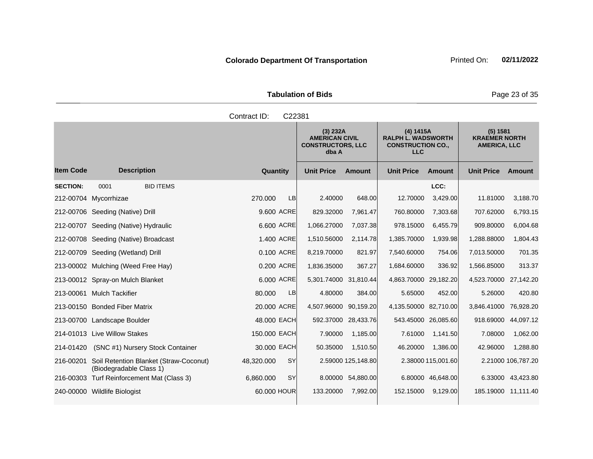|                                    | <b>Tabulation of Bids</b>                                     |                                                                  |  |
|------------------------------------|---------------------------------------------------------------|------------------------------------------------------------------|--|
| Contract ID:<br>C <sub>22381</sub> |                                                               |                                                                  |  |
|                                    | (3) 232A<br><b>AMERICAN CIVIL</b><br><b>CONSTRUCTORS, LLC</b> | (4) 1415A<br><b>RALPH L. WADSWORTH</b><br><b>CONSTRUCTION CO</b> |  |

|                  |                                                                   |                         | (3) 232A<br>dba A     | <b>AMERICAN CIVIL</b><br><b>CONSTRUCTORS, LLC</b> |                       | (4) 1415A<br><b>RALPH L. WADSWORTH</b><br><b>CONSTRUCTION CO.,</b> | (5) 1581<br><b>KRAEMER NORTH</b><br><b>AMERICA, LLC</b> |                    |
|------------------|-------------------------------------------------------------------|-------------------------|-----------------------|---------------------------------------------------|-----------------------|--------------------------------------------------------------------|---------------------------------------------------------|--------------------|
| <b>Item Code</b> | <b>Description</b>                                                | Quantity                | <b>Unit Price</b>     | <b>Amount</b>                                     | <b>Unit Price</b>     | <b>Amount</b>                                                      | <b>Unit Price</b>                                       | <b>Amount</b>      |
| <b>SECTION:</b>  | <b>BID ITEMS</b><br>0001                                          |                         |                       |                                                   |                       | LCC:                                                               |                                                         |                    |
|                  | 212-00704 Mycorrhizae                                             | <b>LB</b><br>270.000    | 2.40000               | 648.00                                            | 12.70000              | 3,429.00                                                           | 11.81000                                                | 3,188.70           |
|                  | 212-00706 Seeding (Native) Drill                                  | 9.600 ACRE              | 829.32000             | 7,961.47                                          | 760.80000             | 7,303.68                                                           | 707.62000                                               | 6,793.15           |
|                  | 212-00707 Seeding (Native) Hydraulic                              | 6.600 ACRE              | 1,066.27000           | 7,037.38                                          | 978.15000             | 6,455.79                                                           | 909.80000                                               | 6,004.68           |
|                  | 212-00708 Seeding (Native) Broadcast                              | 1.400 ACRE              | 1,510.56000           | 2,114.78                                          | 1,385.70000           | 1,939.98                                                           | 1,288.88000                                             | 1,804.43           |
|                  | 212-00709 Seeding (Wetland) Drill                                 | 0.100 ACRE              | 8,219.70000           | 821.97                                            | 7,540.60000           | 754.06                                                             | 7,013.50000                                             | 701.35             |
|                  | 213-00002 Mulching (Weed Free Hay)                                | 0.200 ACRE              | 1,836.35000           | 367.27                                            | 1,684.60000           | 336.92                                                             | 1,566.85000                                             | 313.37             |
|                  | 213-00012 Spray-on Mulch Blanket                                  | 6.000 ACRE              | 5,301.74000 31,810.44 |                                                   | 4,863.70000 29,182.20 |                                                                    | 4,523.70000 27,142.20                                   |                    |
|                  | 213-00061 Mulch Tackifier                                         | LB<br>80,000            | 4.80000               | 384.00                                            | 5.65000               | 452.00                                                             | 5.26000                                                 | 420.80             |
|                  | 213-00150 Bonded Fiber Matrix                                     | 20.000 ACRE             | 4,507.96000           | 90,159.20                                         | 4,135.50000 82,710.00 |                                                                    | 3,846.41000                                             | 76,928.20          |
|                  | 213-00700 Landscape Boulder                                       | 48.000 EACH             |                       | 592.37000 28,433.76                               | 543.45000 26,085.60   |                                                                    | 918.69000                                               | 44,097.12          |
|                  | 214-01013 Live Willow Stakes                                      | 150,000 EACH            | 7.90000               | 1,185.00                                          | 7.61000               | 1,141.50                                                           | 7.08000                                                 | 1,062.00           |
| 214-01420        | (SNC #1) Nursery Stock Container                                  | 30.000 EACH             | 50.35000              | 1,510.50                                          | 46.20000              | 1,386.00                                                           | 42.96000                                                | 1,288.80           |
| 216-00201        | Soil Retention Blanket (Straw-Coconut)<br>(Biodegradable Class 1) | <b>SY</b><br>48,320.000 |                       | 2.59000 125,148.80                                |                       | 2.38000 115,001.60                                                 |                                                         | 2.21000 106,787.20 |
|                  | 216-00303 Turf Reinforcement Mat (Class 3)                        | <b>SY</b><br>6,860,000  |                       | 8.00000 54,880.00                                 |                       | 6.80000 46,648.00                                                  |                                                         | 6.33000 43,423.80  |
|                  | 240-00000 Wildlife Biologist                                      | 60.000 HOUR             | 133.20000             | 7,992.00                                          | 152.15000             | 9,129.00                                                           | 185.19000 11,111.40                                     |                    |

**Tabulation of Bids** Page 23 of 35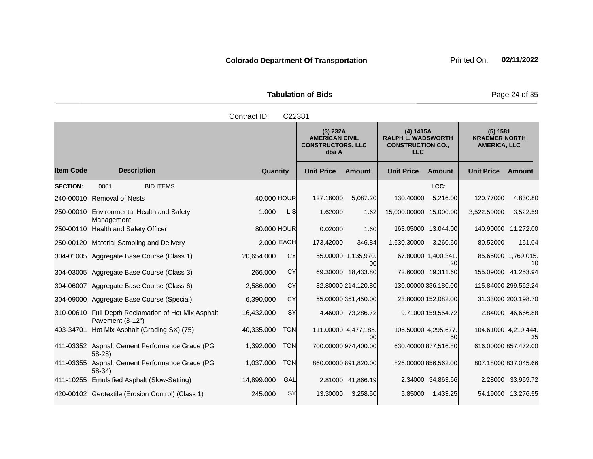Tabulation of Bids **Page 24 of 35** 

|                  |                                                                         | Contract ID: | C22381     |                                                                        |                            |                                                                                  |                           |                                                         |                           |
|------------------|-------------------------------------------------------------------------|--------------|------------|------------------------------------------------------------------------|----------------------------|----------------------------------------------------------------------------------|---------------------------|---------------------------------------------------------|---------------------------|
|                  |                                                                         |              |            | (3) 232A<br><b>AMERICAN CIVIL</b><br><b>CONSTRUCTORS, LLC</b><br>dba A |                            | (4) 1415A<br><b>RALPH L. WADSWORTH</b><br><b>CONSTRUCTION CO.,</b><br><b>LLC</b> |                           | (5) 1581<br><b>KRAEMER NORTH</b><br><b>AMERICA, LLC</b> |                           |
| <b>Item Code</b> | <b>Description</b>                                                      | Quantity     |            | <b>Unit Price</b>                                                      | <b>Amount</b>              | <b>Unit Price</b>                                                                | <b>Amount</b>             | <b>Unit Price</b>                                       | Amount                    |
| <b>SECTION:</b>  | <b>BID ITEMS</b><br>0001                                                |              |            |                                                                        |                            |                                                                                  | LCC:                      |                                                         |                           |
|                  | 240-00010 Removal of Nests                                              | 40.000 HOUR  |            | 127.18000                                                              | 5,087.20                   | 130.40000                                                                        | 5,216.00                  | 120.77000                                               | 4,830.80                  |
|                  | 250-00010 Environmental Health and Safety<br>Management                 | 1.000        | L SI       | 1.62000                                                                | 1.62                       | 15,000.00000 15,000.00                                                           |                           | 3,522.59000                                             | 3,522.59                  |
|                  | 250-00110 Health and Safety Officer                                     | 80.000 HOUR  |            | 0.02000                                                                | 1.60                       | 163.05000 13,044.00                                                              |                           | 140.90000 11,272.00                                     |                           |
|                  | 250-00120 Material Sampling and Delivery                                | 2,000 EACH   |            | 173.42000                                                              | 346.84                     | 1,630.30000                                                                      | 3,260.60                  | 80.52000                                                | 161.04                    |
|                  | 304-01005 Aggregate Base Course (Class 1)                               | 20,654.000   | CY         |                                                                        | 55.00000 1,135,970.<br>00  |                                                                                  | 67.80000 1.400,341.<br>20 |                                                         | 85.65000 1,769,015.<br>10 |
|                  | 304-03005 Aggregate Base Course (Class 3)                               | 266.000      | CY         |                                                                        | 69.30000 18,433.80         |                                                                                  | 72.60000 19,311.60        | 155.09000 41,253.94                                     |                           |
|                  | 304-06007 Aggregate Base Course (Class 6)                               | 2,586.000    | <b>CY</b>  |                                                                        | 82.80000 214,120.80        | 130.00000 336,180.00                                                             |                           | 115.84000 299,562.24                                    |                           |
|                  | 304-09000 Aggregate Base Course (Special)                               | 6,390.000    | <b>CY</b>  |                                                                        | 55.00000 351,450.00        |                                                                                  | 23.80000 152,082.00       |                                                         | 31.33000 200,198.70       |
|                  | 310-00610 Full Depth Reclamation of Hot Mix Asphalt<br>Pavement (8-12") | 16,432.000   | SY         |                                                                        | 4.46000 73,286.72          |                                                                                  | 9.71000 159,554.72        |                                                         | 2.84000 46,666.88         |
| 403-34701        | Hot Mix Asphalt (Grading SX) (75)                                       | 40,335.000   | <b>TON</b> |                                                                        | 111.00000 4,477,185.<br>00 | 106.50000 4,295,677.                                                             | 50                        | 104.61000 4,219,444.                                    | 35                        |
|                  | 411-03352 Asphalt Cement Performance Grade (PG<br>$58-28$               | 1,392.000    | <b>TON</b> |                                                                        | 700.00000 974,400.00       | 630.40000 877,516.80                                                             |                           | 616.00000 857,472.00                                    |                           |
| 411-03355        | Asphalt Cement Performance Grade (PG<br>$58-34)$                        | 1,037.000    | <b>TON</b> |                                                                        | 860.00000 891,820.00       | 826.00000 856,562.00                                                             |                           | 807.18000 837,045.66                                    |                           |
|                  | 411-10255 Emulsified Asphalt (Slow-Setting)                             | 14,899.000   | GAL        |                                                                        | 2.81000 41,866.19          |                                                                                  | 2.34000 34,863.66         |                                                         | 2.28000 33,969.72         |
|                  | 420-00102 Geotextile (Erosion Control) (Class 1)                        | 245.000      | SY         | 13.30000                                                               | 3,258.50                   | 5.85000                                                                          | 1,433.25                  |                                                         | 54.19000 13,276.55        |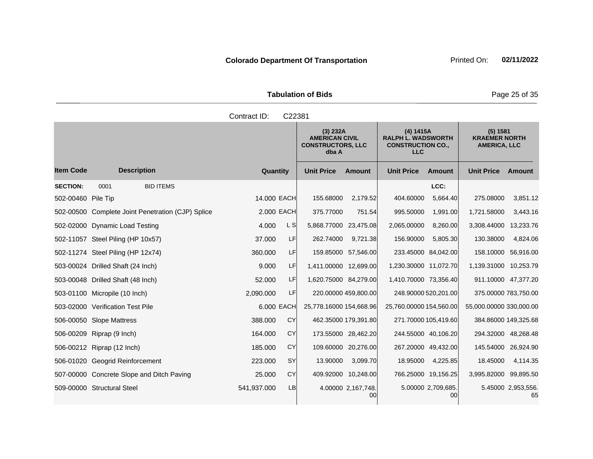Tabulation of Bids **Page 25 of 35** 

|                    |                                                   | Contract ID: | C22381    |                         |                                                                                                                                                   |                         |                                       |                                                         |                          |
|--------------------|---------------------------------------------------|--------------|-----------|-------------------------|---------------------------------------------------------------------------------------------------------------------------------------------------|-------------------------|---------------------------------------|---------------------------------------------------------|--------------------------|
|                    |                                                   |              |           | dba A                   | (3) 232A<br>(4) 1415A<br><b>AMERICAN CIVIL</b><br><b>RALPH L. WADSWORTH</b><br><b>CONSTRUCTORS, LLC</b><br><b>CONSTRUCTION CO.,</b><br><b>LLC</b> |                         |                                       | (5) 1581<br><b>KRAEMER NORTH</b><br><b>AMERICA, LLC</b> |                          |
| <b>Item Code</b>   | <b>Description</b>                                | Quantity     |           | <b>Unit Price</b>       | Amount                                                                                                                                            | <b>Unit Price</b>       | <b>Amount</b>                         | <b>Unit Price</b>                                       | Amount                   |
| <b>SECTION:</b>    | <b>BID ITEMS</b><br>0001                          |              |           |                         |                                                                                                                                                   |                         | LCC:                                  |                                                         |                          |
| 502-00460 Pile Tip |                                                   | 14.000 EACH  |           | 155.68000               | 2,179.52                                                                                                                                          | 404.60000               | 5,664.40                              | 275.08000                                               | 3,851.12                 |
|                    | 502-00500 Complete Joint Penetration (CJP) Splice | 2,000 EACH   |           | 375.77000               | 751.54                                                                                                                                            | 995.50000               | 1,991.00                              | 1,721.58000                                             | 3,443.16                 |
|                    | 502-02000 Dynamic Load Testing                    | 4.000        | L S       | 5,868.77000             | 23,475.08                                                                                                                                         | 2,065.00000             | 8,260.00                              | 3,308.44000                                             | 13,233.76                |
|                    | 502-11057 Steel Piling (HP 10x57)                 | 37.000       | LF        | 262.74000               | 9,721.38                                                                                                                                          | 156.90000               | 5,805.30                              | 130.38000                                               | 4,824.06                 |
|                    | 502-11274 Steel Piling (HP 12x74)                 | 360.000      | LF        |                         | 159.85000 57,546.00                                                                                                                               | 233.45000 84,042.00     |                                       | 158.10000                                               | 56,916.00                |
|                    | 503-00024 Drilled Shaft (24 Inch)                 | 9.000        | LF        | 1,411.00000 12,699.00   |                                                                                                                                                   | 1,230.30000 11,072.70   |                                       | 1,139.31000 10,253.79                                   |                          |
|                    | 503-00048 Drilled Shaft (48 Inch)                 | 52,000       | LF        | 1,620.75000 84,279.00   |                                                                                                                                                   | 1,410.70000 73,356.40   |                                       | 911.10000 47,377.20                                     |                          |
|                    | 503-01100 Micropile (10 Inch)                     | 2,090.000    | LF        |                         | 220.00000 459,800.00                                                                                                                              | 248.90000 520,201.00    |                                       | 375.00000 783,750.00                                    |                          |
|                    | 503-02000 Verification Test Pile                  | 6.000 EACH   |           | 25,778.16000 154,668.96 |                                                                                                                                                   | 25,760.00000 154,560.00 |                                       | 55,000.00000 330,000.00                                 |                          |
|                    | 506-00050 Slope Mattress                          | 388.000      | <b>CY</b> |                         | 462.35000 179,391.80                                                                                                                              | 271.70000 105,419.60    |                                       | 384.86000 149,325.68                                    |                          |
|                    | 506-00209 Riprap (9 Inch)                         | 164.000      | CY        |                         | 173.55000 28,462.20                                                                                                                               | 244.55000 40,106.20     |                                       | 294.32000 48,268.48                                     |                          |
|                    | 506-00212 Riprap (12 Inch)                        | 185.000      | CY        |                         | 109.60000 20,276.00                                                                                                                               | 267.20000 49,432.00     |                                       | 145.54000 26,924.90                                     |                          |
|                    | 506-01020 Geogrid Reinforcement                   | 223.000      | <b>SY</b> | 13.90000                | 3,099.70                                                                                                                                          | 18.95000                | 4,225.85                              | 18.45000                                                | 4,114.35                 |
|                    | 507-00000 Concrete Slope and Ditch Paving         | 25.000       | CY        |                         | 409.92000 10,248.00                                                                                                                               | 766.25000 19,156.25     |                                       | 3,995.82000                                             | 99,895.50                |
|                    | 509-00000 Structural Steel                        | 541,937.000  | <b>LB</b> |                         | 4.00000 2,167,748.<br>00l                                                                                                                         |                         | 5.00000 2,709,685.<br>00 <sup>1</sup> |                                                         | 5.45000 2,953,556.<br>65 |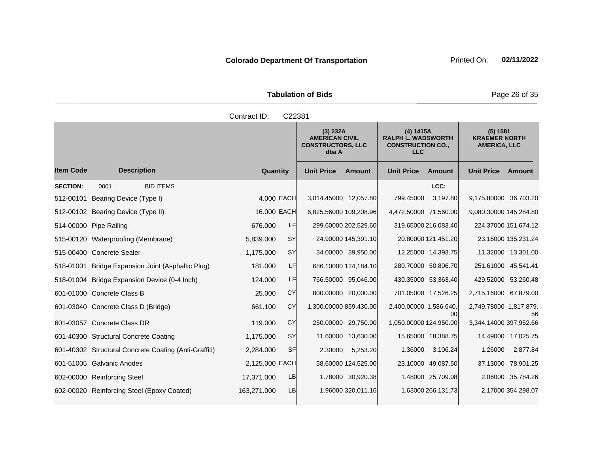Tabulation of Bids **Page 26 of 35** 

|                  |                                                       | Contract ID:                                                           | C22381    |                        |                      |                                                                                  |                      |                                                         |                     |
|------------------|-------------------------------------------------------|------------------------------------------------------------------------|-----------|------------------------|----------------------|----------------------------------------------------------------------------------|----------------------|---------------------------------------------------------|---------------------|
|                  |                                                       | (3) 232A<br><b>AMERICAN CIVIL</b><br><b>CONSTRUCTORS, LLC</b><br>dba A |           |                        |                      | (4) 1415A<br><b>RALPH L. WADSWORTH</b><br><b>CONSTRUCTION CO.,</b><br><b>LLC</b> |                      | (5) 1581<br><b>KRAEMER NORTH</b><br><b>AMERICA, LLC</b> |                     |
| <b>Item Code</b> | <b>Description</b>                                    | Quantity                                                               |           | <b>Unit Price</b>      | <b>Amount</b>        | <b>Unit Price</b>                                                                | <b>Amount</b>        | <b>Unit Price</b>                                       | Amount              |
| <b>SECTION:</b>  | <b>BID ITEMS</b><br>0001                              |                                                                        |           |                        |                      |                                                                                  | LCC:                 |                                                         |                     |
| 512-00101        | Bearing Device (Type I)                               | 4,000 EACH                                                             |           | 3,014.45000 12,057.80  |                      | 799.45000                                                                        | 3,197.80             | 9,175.80000 36,703.20                                   |                     |
|                  | 512-00102 Bearing Device (Type II)                    | 16.000 EACH                                                            |           | 6,825.56000 109,208.96 |                      | 4,472.50000 71,560.00                                                            |                      | 9,080.30000 145,284.80                                  |                     |
|                  | 514-00000 Pipe Railing                                | 676,000                                                                | LF        |                        | 299.60000 202,529.60 |                                                                                  | 319.65000 216,083.40 | 224.37000 151,674.12                                    |                     |
|                  | 515-00120 Waterproofing (Membrane)                    | 5,839.000                                                              | <b>SY</b> |                        | 24.90000 145,391.10  |                                                                                  | 20.80000 121,451.20  |                                                         | 23.16000 135,231.24 |
|                  | 515-00400 Concrete Sealer                             | 1,175.000                                                              | <b>SY</b> |                        | 34.00000 39,950.00   |                                                                                  | 12.25000 14,393.75   |                                                         | 11.32000 13,301.00  |
|                  | 518-01001 Bridge Expansion Joint (Asphaltic Plug)     | 181.000                                                                | LF        |                        | 686.10000 124,184.10 |                                                                                  | 280.70000 50,806.70  | 251.61000 45,541.41                                     |                     |
|                  | 518-01004 Bridge Expansion Device (0-4 Inch)          | 124.000                                                                | LF        |                        | 766.50000 95,046.00  |                                                                                  | 430.35000 53,363.40  | 429.52000 53,260.48                                     |                     |
|                  | 601-01000 Concrete Class B                            | 25.000                                                                 | CY        |                        | 800.00000 20,000.00  |                                                                                  | 701.05000 17,526.25  | 2,715.16000 67,879.00                                   |                     |
|                  | 601-03040 Concrete Class D (Bridge)                   | 661.100                                                                | CY        | 1,300.00000 859,430.00 |                      | 2,400.00000 1,586,640.                                                           | 00                   | 2,749.78000 1,817,879.                                  | 56                  |
|                  | 601-03057 Concrete Class DR                           | 119.000                                                                | CY        |                        | 250.00000 29,750.00  | 1,050.00000 124,950.00                                                           |                      | 3,344.14000 397,952.66                                  |                     |
|                  | 601-40300 Structural Concrete Coating                 | 1,175.000                                                              | <b>SY</b> |                        | 11.60000 13,630.00   |                                                                                  | 15.65000 18,388.75   |                                                         | 14.49000 17,025.75  |
|                  | 601-40302 Structural Concrete Coating (Anti-Graffiti) | 2,284.000                                                              | SF        | 2.30000                | 5,253.20             | 1.36000                                                                          | 3,106.24             | 1.26000                                                 | 2,877.84            |
|                  | 601-51005 Galvanic Anodes                             | 2,125.000 EACH                                                         |           |                        | 58.60000 124,525.00  |                                                                                  | 23.10000 49,087.50   |                                                         | 37.13000 78,901.25  |
|                  | 602-00000 Reinforcing Steel                           | 17,371.000                                                             | <b>LB</b> |                        | 1.78000 30,920.38    |                                                                                  | 1.48000 25,709.08    |                                                         | 2.06000 35,784.26   |
|                  | 602-00020 Reinforcing Steel (Epoxy Coated)            | 163,271.000                                                            | LB        |                        | 1.96000 320,011.16   |                                                                                  | 1.63000 266,131.73   |                                                         | 2.17000 354,298.07  |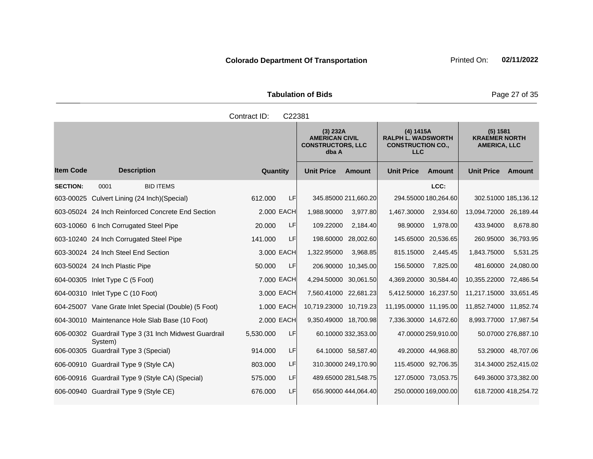Tabulation of Bids **Page 27 of 35** 

|                  |                                                                  | Contract ID: | C22381 |                        |                                                                        |                        |                                                                    |                                                         |                     |
|------------------|------------------------------------------------------------------|--------------|--------|------------------------|------------------------------------------------------------------------|------------------------|--------------------------------------------------------------------|---------------------------------------------------------|---------------------|
|                  |                                                                  |              |        |                        | (3) 232A<br><b>AMERICAN CIVIL</b><br><b>CONSTRUCTORS, LLC</b><br>dba A |                        | (4) 1415A<br><b>RALPH L. WADSWORTH</b><br><b>CONSTRUCTION CO.,</b> | (5) 1581<br><b>KRAEMER NORTH</b><br><b>AMERICA, LLC</b> |                     |
| <b>Item Code</b> | <b>Description</b>                                               | Quantity     |        | <b>Unit Price</b>      | <b>Amount</b>                                                          | <b>Unit Price</b>      | <b>Amount</b>                                                      | <b>Unit Price</b>                                       | Amount              |
| <b>SECTION:</b>  | 0001<br><b>BID ITEMS</b>                                         |              |        |                        |                                                                        |                        | LCC:                                                               |                                                         |                     |
|                  | 603-00025 Culvert Lining (24 Inch) (Special)                     | 612,000      | LF     |                        | 345.85000 211,660.20                                                   |                        | 294.55000 180,264.60                                               | 302.51000 185,136.12                                    |                     |
|                  | 603-05024 24 Inch Reinforced Concrete End Section                | 2.000 EACH   |        | 1,988.90000            | 3,977.80                                                               | 1,467.30000            | 2,934.60                                                           | 13,094.72000 26,189.44                                  |                     |
|                  | 603-10060 6 Inch Corrugated Steel Pipe                           | 20,000       | LF     | 109.22000              | 2,184.40                                                               | 98.90000               | 1,978.00                                                           | 433.94000                                               | 8,678.80            |
|                  | 603-10240 24 Inch Corrugated Steel Pipe                          | 141.000      | LF     | 198.60000              | 28,002.60                                                              | 145.65000              | 20,536.65                                                          | 260.95000                                               | 36,793.95           |
|                  | 603-30024 24 Inch Steel End Section                              | 3.000 EACH   |        | 1,322.95000            | 3,968.85                                                               | 815.15000              | 2,445.45                                                           | 1,843.75000                                             | 5,531.25            |
|                  | 603-50024 24 Inch Plastic Pipe                                   | 50.000       | LFI    |                        | 206.90000 10,345.00                                                    | 156.50000              | 7,825.00                                                           | 481.60000 24,080.00                                     |                     |
|                  | 604-00305 Inlet Type C (5 Foot)                                  | 7.000 EACH   |        | 4,294.50000 30,061.50  |                                                                        | 4,369.20000 30,584.40  |                                                                    | 10,355.22000 72,486.54                                  |                     |
|                  | 604-00310 Inlet Type C (10 Foot)                                 | 3,000 EACH   |        | 7,560.41000 22,681.23  |                                                                        | 5,412.50000 16,237.50  |                                                                    | 11,217.15000 33,651.45                                  |                     |
|                  | 604-25007 Vane Grate Inlet Special (Double) (5 Foot)             | 1.000 EACH   |        | 10,719.23000 10,719.23 |                                                                        | 11,195,00000 11,195.00 |                                                                    | 11,852.74000 11,852.74                                  |                     |
|                  | 604-30010 Maintenance Hole Slab Base (10 Foot)                   | 2,000 EACH   |        | 9,350.49000 18,700.98  |                                                                        | 7,336.30000 14,672.60  |                                                                    | 8,993.77000 17,987.54                                   |                     |
|                  | 606-00302 Guardrail Type 3 (31 Inch Midwest Guardrail<br>System) | 5,530.000    | LF     |                        | 60.10000 332,353.00                                                    |                        | 47.00000 259,910.00                                                |                                                         | 50.07000 276,887.10 |
|                  | 606-00305 Guardrail Type 3 (Special)                             | 914.000      | LF     |                        | 64.10000 58,587.40                                                     |                        | 49.20000 44,968.80                                                 |                                                         | 53.29000 48,707.06  |
|                  | 606-00910 Guardrail Type 9 (Style CA)                            | 803.000      | LF     |                        | 310.30000 249,170.90                                                   |                        | 115.45000 92,706.35                                                | 314.34000 252,415.02                                    |                     |
|                  | 606-00916 Guardrail Type 9 (Style CA) (Special)                  | 575.000      | LF     |                        | 489.65000 281,548.75                                                   |                        | 127.05000 73,053.75                                                | 649.36000 373,382.00                                    |                     |
|                  | 606-00940 Guardrail Type 9 (Style CE)                            | 676.000      | LF     |                        | 656.90000 444,064.40                                                   |                        | 250.00000 169,000.00                                               | 618.72000 418,254.72                                    |                     |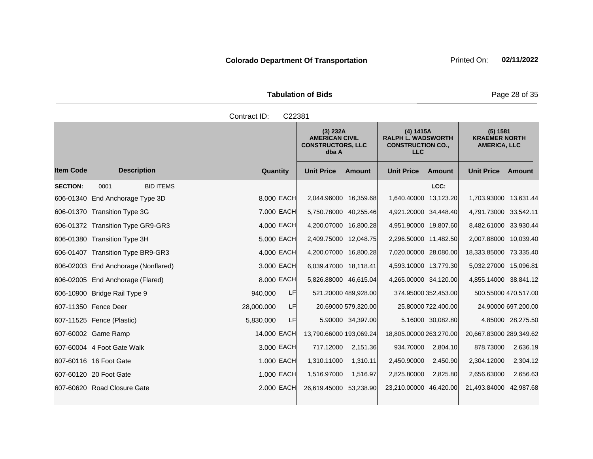|                  |                                     | C22381<br>Contract ID: |                                                                                                                                                            |                                    |                                                         |  |
|------------------|-------------------------------------|------------------------|------------------------------------------------------------------------------------------------------------------------------------------------------------|------------------------------------|---------------------------------------------------------|--|
|                  |                                     |                        | (4) 1415A<br>(3) 232A<br><b>AMERICAN CIVIL</b><br><b>RALPH L. WADSWORTH</b><br><b>CONSTRUCTORS, LLC</b><br><b>CONSTRUCTION CO.,</b><br><b>LLC</b><br>dba A |                                    | (5) 1581<br><b>KRAEMER NORTH</b><br><b>AMERICA, LLC</b> |  |
| <b>Item Code</b> | <b>Description</b>                  | Quantity               | <b>Unit Price</b><br>Amount                                                                                                                                | <b>Unit Price</b><br><b>Amount</b> | <b>Unit Price</b><br>Amount                             |  |
| <b>SECTION:</b>  | <b>BID ITEMS</b><br>0001            |                        |                                                                                                                                                            | LCC:                               |                                                         |  |
|                  | 606-01340 End Anchorage Type 3D     | 8.000 EACH             | 2,044.96000 16,359.68                                                                                                                                      | 1,640.40000 13,123.20              | 1,703.93000 13,631.44                                   |  |
|                  | 606-01370 Transition Type 3G        | 7.000 EACH             | 5,750.78000 40,255.46                                                                                                                                      | 4,921.20000 34,448.40              | 4,791.73000 33,542.11                                   |  |
|                  | 606-01372 Transition Type GR9-GR3   | 4.000 EACH             | 4,200.07000 16,800.28                                                                                                                                      | 4,951.90000 19,807.60              | 8,482.61000 33,930.44                                   |  |
|                  | 606-01380 Transition Type 3H        | 5.000 EACH             | 2,409.75000 12,048.75                                                                                                                                      | 2,296.50000 11,482.50              | 2,007.88000 10,039.40                                   |  |
|                  | 606-01407 Transition Type BR9-GR3   | 4.000 EACH             | 4,200.07000 16,800.28                                                                                                                                      | 7,020.00000 28,080.00              | 18,333.85000 73,335.40                                  |  |
|                  | 606-02003 End Anchorage (Nonflared) | 3.000 EACH             | 6,039.47000 18,118.41                                                                                                                                      | 4,593.10000 13,779.30              | 5,032.27000 15,096.81                                   |  |
|                  | 606-02005 End Anchorage (Flared)    | 8.000 EACH             | 5,826.88000 46,615.04                                                                                                                                      | 4,265.00000 34,120.00              | 4,855.14000 38,841.12                                   |  |
|                  | 606-10900 Bridge Rail Type 9        | LF<br>940.000          | 521.20000 489,928.00                                                                                                                                       | 374.95000 352,453.00               | 500.55000 470,517.00                                    |  |
|                  | 607-11350 Fence Deer                | LF<br>28,000.000       | 20.69000 579,320.00                                                                                                                                        | 25.80000 722,400.00                | 24.90000 697,200.00                                     |  |
|                  | 607-11525 Fence (Plastic)           | 5,830.000<br>LF        | 5.90000 34,397.00                                                                                                                                          | 5.16000 30,082.80                  | 4.85000 28,275.50                                       |  |
|                  | 607-60002 Game Ramp                 | 14.000 EACH            | 13,790.66000 193,069.24                                                                                                                                    | 18,805.00000 263,270.00            | 20,667.83000 289,349.62                                 |  |
|                  | 607-60004 4 Foot Gate Walk          | 3.000 EACH             | 717.12000<br>2,151.36                                                                                                                                      | 934.70000<br>2,804.10              | 878.73000<br>2,636.19                                   |  |
|                  | 607-60116 16 Foot Gate              | 1.000 EACH             | 1,310.11<br>1,310.11000                                                                                                                                    | 2,450.90<br>2,450.90000            | 2,304.12<br>2,304.12000                                 |  |
|                  | 607-60120 20 Foot Gate              | 1.000 EACH             | 1,516.97000<br>1,516.97                                                                                                                                    | 2,825.80<br>2,825.80000            | 2,656.63<br>2,656.63000                                 |  |
|                  | 607-60620 Road Closure Gate         | 2,000 EACH             | 26,619.45000 53,238.90                                                                                                                                     | 23,210.00000 46,420.00             | 21,493.84000 42,987.68                                  |  |

Tabulation of Bids **Page 28 of 35** 

**Colorado Department Of Transportation** Printed On: 02/11/2022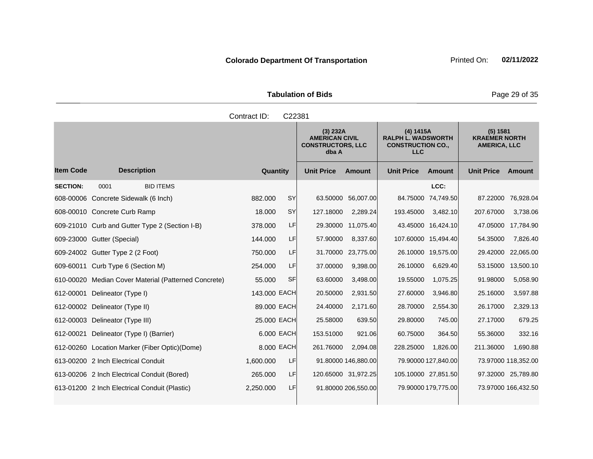| <b>Tabulation of Bids</b> |  |  |  |  |  |  |  |
|---------------------------|--|--|--|--|--|--|--|
| Contract ID: C22381       |  |  |  |  |  |  |  |

|                  |                                                      |              |            | (3) 232A<br><b>AMERICAN CIVIL</b><br><b>CONSTRUCTORS, LLC</b><br>dba A |                     | (4) 1415A<br><b>RALPH L. WADSWORTH</b><br><b>CONSTRUCTION CO.,</b><br><b>LLC</b> |                     | (5) 1581<br><b>KRAEMER NORTH</b><br><b>AMERICA, LLC</b> |                     |
|------------------|------------------------------------------------------|--------------|------------|------------------------------------------------------------------------|---------------------|----------------------------------------------------------------------------------|---------------------|---------------------------------------------------------|---------------------|
| <b>Item Code</b> | <b>Description</b>                                   | Quantity     |            | <b>Unit Price</b>                                                      | Amount              | <b>Unit Price</b>                                                                | Amount              | <b>Unit Price</b>                                       | Amount              |
| <b>SECTION:</b>  | <b>BID ITEMS</b><br>0001                             |              |            |                                                                        |                     |                                                                                  | LCC:                |                                                         |                     |
|                  | 608-00006 Concrete Sidewalk (6 Inch)                 | 882,000      | SY         | 63.50000                                                               | 56,007.00           | 84.75000                                                                         | 74,749.50           | 87.22000                                                | 76,928.04           |
|                  | 608-00010 Concrete Curb Ramp                         | 18,000       | SY         | 127.18000                                                              | 2,289.24            | 193.45000                                                                        | 3,482.10            | 207.67000                                               | 3,738.06            |
|                  | 609-21010 Curb and Gutter Type 2 (Section I-B)       | 378.000      | LF         | 29.30000                                                               | 11,075.40           |                                                                                  | 43.45000 16,424.10  | 47.05000                                                | 17,784.90           |
|                  | 609-23000 Gutter (Special)                           | 144.000      | LF         | 57.90000                                                               | 8,337.60            |                                                                                  | 107.60000 15,494.40 | 54.35000                                                | 7,826.40            |
|                  | 609-24002 Gutter Type 2 (2 Foot)                     | 750,000      | LF         | 31.70000                                                               | 23,775.00           |                                                                                  | 26.10000 19,575.00  | 29.42000                                                | 22,065.00           |
|                  | 609-60011 Curb Type 6 (Section M)                    | 254.000      | LF         | 37.00000                                                               | 9,398.00            | 26.10000                                                                         | 6,629.40            | 53.15000                                                | 13,500.10           |
|                  | 610-00020 Median Cover Material (Patterned Concrete) | 55.000       | <b>SF</b>  | 63.60000                                                               | 3,498.00            | 19.55000                                                                         | 1,075.25            | 91.98000                                                | 5,058.90            |
|                  | 612-00001 Delineator (Type I)                        | 143.000 EACH |            | 20.50000                                                               | 2,931.50            | 27.60000                                                                         | 3,946.80            | 25.16000                                                | 3,597.88            |
|                  | 612-00002 Delineator (Type II)                       | 89,000 EACH  |            | 24.40000                                                               | 2.171.60            | 28.70000                                                                         | 2,554.30            | 26.17000                                                | 2,329.13            |
|                  | 612-00003 Delineator (Type III)                      | 25.000 EACH  |            | 25.58000                                                               | 639.50              | 29,80000                                                                         | 745.00              | 27.17000                                                | 679.25              |
| 612-00021        | Delineator (Type I) (Barrier)                        |              | 6.000 EACH | 153.51000                                                              | 921.06              | 60.75000                                                                         | 364.50              | 55.36000                                                | 332.16              |
|                  | 612-00260 Location Marker (Fiber Optic) (Dome)       |              | 8,000 EACH | 261.76000                                                              | 2,094.08            | 228.25000                                                                        | 1.826.00            | 211.36000                                               | 1,690.88            |
|                  | 613-00200 2 Inch Electrical Conduit                  | 1,600.000    | LF         |                                                                        | 91.80000 146,880.00 |                                                                                  | 79.90000 127,840.00 |                                                         | 73.97000 118,352.00 |
|                  | 613-00206 2 Inch Electrical Conduit (Bored)          | 265.000      | LF         |                                                                        | 120.65000 31,972.25 |                                                                                  | 105.10000 27,851.50 |                                                         | 97.32000 25,789.80  |
|                  | 613-01200 2 Inch Electrical Conduit (Plastic)        | 2,250.000    | LF         |                                                                        | 91.80000 206,550.00 |                                                                                  | 79.90000 179,775.00 |                                                         | 73.97000 166,432.50 |

**Tabulation of Bids** Page 29 of 35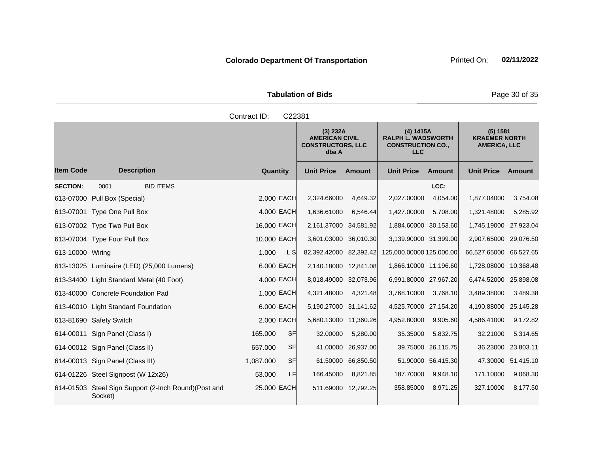| <b>Tabulation of Bids</b> |  |  |  |  |  |  |
|---------------------------|--|--|--|--|--|--|
| Contract ID: C22381       |  |  |  |  |  |  |

|                  |                                                                  |                        | (3) 232A<br><b>AMERICAN CIVIL</b><br><b>CONSTRUCTORS, LLC</b><br>dba A |           | (4) 1415A<br><b>RALPH L. WADSWORTH</b><br><b>CONSTRUCTION CO.,</b><br><b>LLC</b> |                    | (5) 1581<br><b>KRAEMER NORTH</b><br><b>AMERICA, LLC</b> |                    |
|------------------|------------------------------------------------------------------|------------------------|------------------------------------------------------------------------|-----------|----------------------------------------------------------------------------------|--------------------|---------------------------------------------------------|--------------------|
| <b>Item Code</b> | <b>Description</b>                                               | Quantity               | <b>Unit Price</b>                                                      | Amount    | <b>Unit Price</b>                                                                | <b>Amount</b>      | <b>Unit Price</b>                                       | Amount             |
| <b>SECTION:</b>  | 0001<br><b>BID ITEMS</b>                                         |                        |                                                                        |           |                                                                                  | LCC:               |                                                         |                    |
| 613-07000        | Pull Box (Special)                                               | 2.000 EACH             | 2,324.66000                                                            | 4,649.32  | 2,027.00000                                                                      | 4.054.00           | 1,877.04000                                             | 3.754.08           |
|                  | 613-07001 Type One Pull Box                                      | 4.000 EACH             | 1,636.61000                                                            | 6,546.44  | 1,427.00000                                                                      | 5,708.00           | 1,321.48000                                             | 5,285.92           |
|                  | 613-07002 Type Two Pull Box                                      | 16.000 EACH            | 2,161.37000 34,581.92                                                  |           | 1,884.60000 30,153.60                                                            |                    | 1,745.19000 27,923.04                                   |                    |
|                  | 613-07004 Type Four Pull Box                                     | 10.000 EACH            | 3,601.03000 36,010.30                                                  |           | 3,139.90000 31,399.00                                                            |                    | 2,907.65000 29,076.50                                   |                    |
| 613-10000 Wiring |                                                                  | L SI<br>1.000          | 82,392.42000 82,392.42                                                 |           | 125,000.00000 125,000.00                                                         |                    | 66,527.65000 66,527.65                                  |                    |
|                  | 613-13025 Luminaire (LED) (25,000 Lumens)                        | 6.000 EACH             | 2,140.18000 12,841.08                                                  |           | 1.866.10000 11.196.60                                                            |                    | 1,728.08000 10,368.48                                   |                    |
|                  | 613-34400 Light Standard Metal (40 Foot)                         | 4.000 EACH             | 8,018.49000 32,073.96                                                  |           | 6,991.80000 27,967.20                                                            |                    | 6,474.52000 25,898.08                                   |                    |
|                  | 613-40000 Concrete Foundation Pad                                | 1.000 EACH             | 4,321.48000                                                            | 4,321.48  | 3,768.10000                                                                      | 3,768.10           | 3,489.38000                                             | 3,489.38           |
|                  | 613-40010 Light Standard Foundation                              | 6.000 EACH             | 5,190.27000 31,141.62                                                  |           | 4,525.70000 27,154.20                                                            |                    | 4,190.88000 25,145.28                                   |                    |
|                  | 613-81690 Safety Switch                                          | 2.000 EACH             | 5,680.13000 11,360.26                                                  |           | 4,952.80000                                                                      | 9,905.60           | 4,586.41000                                             | 9,172.82           |
|                  | 614-00011 Sign Panel (Class I)                                   | <b>SF</b><br>165,000   | 32.00000                                                               | 5,280.00  | 35.35000                                                                         | 5,832.75           | 32.21000                                                | 5,314.65           |
|                  | 614-00012 Sign Panel (Class II)                                  | <b>SF</b><br>657.000   | 41.00000                                                               | 26,937.00 | 39.75000                                                                         | 26,115.75          | 36.23000                                                | 23,803.11          |
|                  | 614-00013 Sign Panel (Class III)                                 | <b>SF</b><br>1.087.000 | 61.50000                                                               | 66,850.50 |                                                                                  | 51.90000 56,415.30 |                                                         | 47.30000 51,415.10 |
|                  | 614-01226 Steel Signpost (W 12x26)                               | LF<br>53,000           | 166.45000                                                              | 8,821.85  | 187.70000                                                                        | 9,948.10           | 171.10000                                               | 9,068.30           |
|                  | 614-01503 Steel Sign Support (2-lnch Round) (Post and<br>Socket) | 25.000 EACH            | 511.69000 12,792.25                                                    |           | 358.85000                                                                        | 8,971.25           | 327.10000                                               | 8,177.50           |

**Tabulation of Bids** Page 30 of 35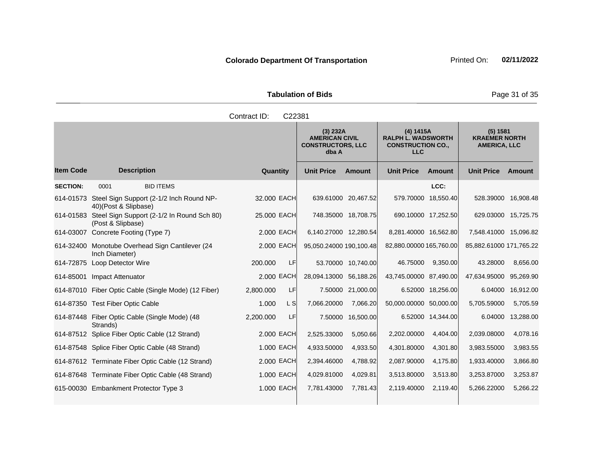Tabulation of Bids **Page 31 of 35** 

|                 |                                                                            | Contract ID:<br>C22381 |                                                                        |                     |                                                                                  |                     |                                                         |                   |
|-----------------|----------------------------------------------------------------------------|------------------------|------------------------------------------------------------------------|---------------------|----------------------------------------------------------------------------------|---------------------|---------------------------------------------------------|-------------------|
|                 |                                                                            |                        | (3) 232A<br><b>AMERICAN CIVIL</b><br><b>CONSTRUCTORS, LLC</b><br>dba A |                     | (4) 1415A<br><b>RALPH L. WADSWORTH</b><br><b>CONSTRUCTION CO.,</b><br><b>LLC</b> |                     | (5) 1581<br><b>KRAEMER NORTH</b><br><b>AMERICA, LLC</b> |                   |
| ltem Code       | <b>Description</b>                                                         | Quantity               | <b>Unit Price</b>                                                      | <b>Amount</b>       | <b>Unit Price</b>                                                                | <b>Amount</b>       | <b>Unit Price Amount</b>                                |                   |
| <b>SECTION:</b> | <b>BID ITEMS</b><br>0001                                                   |                        |                                                                        |                     |                                                                                  | LCC:                |                                                         |                   |
|                 | 614-01573 Steel Sign Support (2-1/2 Inch Round NP-<br>40)(Post & Slipbase) | 32.000 EACH            |                                                                        | 639.61000 20,467.52 |                                                                                  | 579.70000 18,550.40 | 528.39000 16,908.48                                     |                   |
|                 | 614-01583 Steel Sign Support (2-1/2 In Round Sch 80)<br>(Post & Slipbase)  | 25.000 EACH            |                                                                        | 748.35000 18,708.75 |                                                                                  | 690.10000 17,252.50 | 629.03000 15,725.75                                     |                   |
|                 | 614-03007 Concrete Footing (Type 7)                                        | 2.000 EACH             | 6,140.27000 12,280.54                                                  |                     | 8,281.40000 16,562.80                                                            |                     | 7,548.41000 15,096.82                                   |                   |
|                 | 614-32400 Monotube Overhead Sign Cantilever (24<br>Inch Diameter)          | 2,000 EACH             | 95,050.24000 190,100.48                                                |                     | 82,880.00000 165,760.00                                                          |                     | 85,882.61000 171,765.22                                 |                   |
|                 | 614-72875 Loop Detector Wire                                               | LF<br>200,000          |                                                                        | 53.70000 10,740.00  | 46.75000                                                                         | 9,350.00            | 43.28000                                                | 8,656.00          |
|                 | 614-85001 Impact Attenuator                                                | 2.000 EACH             | 28,094.13000 56,188.26                                                 |                     | 43,745.00000 87,490.00                                                           |                     | 47,634.95000                                            | 95,269.90         |
|                 | 614-87010 Fiber Optic Cable (Single Mode) (12 Fiber)                       | LF<br>2,800.000        |                                                                        | 7.50000 21,000.00   |                                                                                  | 6.52000 18,256.00   |                                                         | 6.04000 16,912.00 |
|                 | 614-87350 Test Fiber Optic Cable                                           | L S<br>1.000           | 7,066.20000                                                            | 7,066.20            | 50,000.00000 50,000.00                                                           |                     | 5,705.59000                                             | 5,705.59          |
|                 | 614-87448 Fiber Optic Cable (Single Mode) (48<br>Strands)                  | <b>LF</b><br>2,200.000 |                                                                        | 7.50000 16,500.00   |                                                                                  | 6.52000 14,344.00   | 6.04000                                                 | 13,288.00         |
|                 | 614-87512 Splice Fiber Optic Cable (12 Strand)                             | 2.000 EACH             | 2,525.33000                                                            | 5,050.66            | 2,202.00000                                                                      | 4,404.00            | 2,039.08000                                             | 4,078.16          |
|                 | 614-87548 Splice Fiber Optic Cable (48 Strand)                             | 1.000 EACH             | 4,933.50000                                                            | 4,933.50            | 4,301.80000                                                                      | 4,301.80            | 3,983.55000                                             | 3,983.55          |
|                 | 614-87612 Terminate Fiber Optic Cable (12 Strand)                          | 2.000 EACH             | 2,394.46000                                                            | 4,788.92            | 2,087.90000                                                                      | 4,175.80            | 1,933.40000                                             | 3,866.80          |
|                 | 614-87648 Terminate Fiber Optic Cable (48 Strand)                          | 1.000 EACH             | 4,029.81000                                                            | 4,029.81            | 3,513.80000                                                                      | 3,513.80            | 3,253.87000                                             | 3,253.87          |
|                 | 615-00030 Embankment Protector Type 3                                      | 1.000 EACH             | 7,781.43000                                                            | 7,781.43            | 2,119.40000                                                                      | 2,119.40            | 5,266.22000                                             | 5,266.22          |
|                 |                                                                            |                        |                                                                        |                     |                                                                                  |                     |                                                         |                   |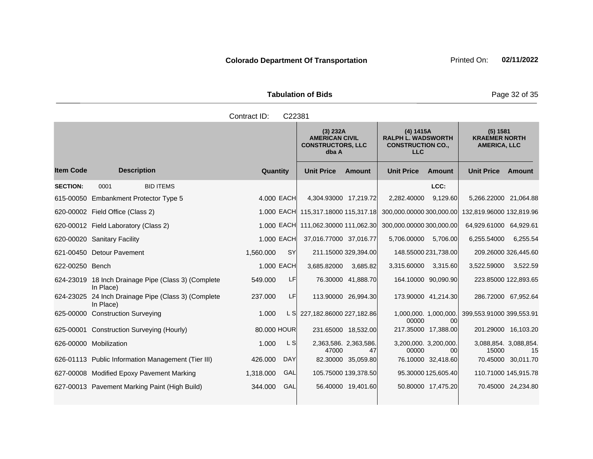Tabulation of Bids **Page 32 of 35** 

|                  |                                                                  | Contract ID: | C22381     |                                                                        |                             |                                                                                  |                             |                                                         |                      |
|------------------|------------------------------------------------------------------|--------------|------------|------------------------------------------------------------------------|-----------------------------|----------------------------------------------------------------------------------|-----------------------------|---------------------------------------------------------|----------------------|
|                  |                                                                  |              |            | (3) 232A<br><b>AMERICAN CIVIL</b><br><b>CONSTRUCTORS, LLC</b><br>dba A |                             | (4) 1415A<br><b>RALPH L. WADSWORTH</b><br><b>CONSTRUCTION CO.,</b><br><b>LLC</b> |                             | (5) 1581<br><b>KRAEMER NORTH</b><br><b>AMERICA, LLC</b> |                      |
| <b>Item Code</b> | <b>Description</b>                                               | Quantity     |            | <b>Unit Price</b>                                                      | <b>Amount</b>               | <b>Unit Price</b>                                                                | <b>Amount</b>               | <b>Unit Price</b>                                       | Amount               |
| <b>SECTION:</b>  | <b>BID ITEMS</b><br>0001                                         |              |            |                                                                        |                             |                                                                                  | LCC:                        |                                                         |                      |
|                  | 615-00050 Embankment Protector Type 5                            |              | 4.000 EACH | 4,304.93000 17,219.72                                                  |                             | 2,282.40000                                                                      | 9,129.60                    | 5,266.22000 21,064.88                                   |                      |
|                  | 620-00002 Field Office (Class 2)                                 |              |            | 1.000 EACH 115,317.18000 115,317.18                                    |                             | 300,000.00000 300,000.00                                                         |                             | 132,819.96000 132,819.96                                |                      |
|                  | 620-00012 Field Laboratory (Class 2)                             |              |            | 1.000 EACH 111,062.30000 111,062.30                                    |                             | 300,000.00000 300,000.00                                                         |                             | 64,929.61000 64,929.61                                  |                      |
|                  | 620-00020 Sanitary Facility                                      |              | 1.000 EACH | 37,016.77000 37,016.77                                                 |                             | 5,706.00000 5,706.00                                                             |                             | 6,255.54000                                             | 6,255.54             |
|                  | 621-00450 Detour Pavement                                        | 1,560.000    | SY         |                                                                        | 211.15000 329,394.00        |                                                                                  | 148.55000 231,738.00        |                                                         | 209.26000 326,445.60 |
| 622-00250 Bench  |                                                                  |              | 1.000 EACH | 3,685.82000                                                            | 3,685.82                    | 3,315.60000 3,315.60                                                             |                             | 3,522.59000                                             | 3,522.59             |
|                  | 624-23019 18 Inch Drainage Pipe (Class 3) (Complete<br>In Place) | 549.000      | LF         |                                                                        | 76.30000 41,888.70          |                                                                                  | 164.10000 90,090.90         | 223.85000 122,893.65                                    |                      |
|                  | 624-23025 24 Inch Drainage Pipe (Class 3) (Complete<br>In Place) | 237.000      | LF         |                                                                        | 113.90000 26,994.30         |                                                                                  | 173.90000 41,214.30         | 286.72000 67,952.64                                     |                      |
|                  | 625-00000 Construction Surveying                                 | 1.000        |            | L S 227,182.86000 227,182.86                                           |                             | 00000                                                                            | 1,000,000. 1,000,000.<br>00 | 399,553.91000 399,553.91                                |                      |
|                  | 625-00001 Construction Surveying (Hourly)                        | 80,000 HOUR  |            |                                                                        | 231.65000 18,532.00         |                                                                                  | 217.35000 17,388.00         | 201.29000 16,103.20                                     |                      |
|                  | 626-00000 Mobilization                                           | 1.000        | L SI       | 47000                                                                  | 2,363,586. 2,363,586.<br>47 | 00000                                                                            | 3,200,000. 3,200,000.<br>00 | 3,088,854. 3,088,854.<br>15000                          | 15                   |
|                  | 626-01113 Public Information Management (Tier III)               | 426.000      | <b>DAY</b> |                                                                        | 82.30000 35,059.80          |                                                                                  | 76.10000 32,418.60          |                                                         | 70.45000 30,011.70   |
|                  | 627-00008 Modified Epoxy Pavement Marking                        | 1,318.000    | GAL        |                                                                        | 105.75000 139,378.50        |                                                                                  | 95.30000 125,605.40         |                                                         | 110.71000 145,915.78 |
|                  | 627-00013 Pavement Marking Paint (High Build)                    | 344.000      | GAL        |                                                                        | 56.40000 19,401.60          |                                                                                  | 50.80000 17,475.20          |                                                         | 70.45000 24,234.80   |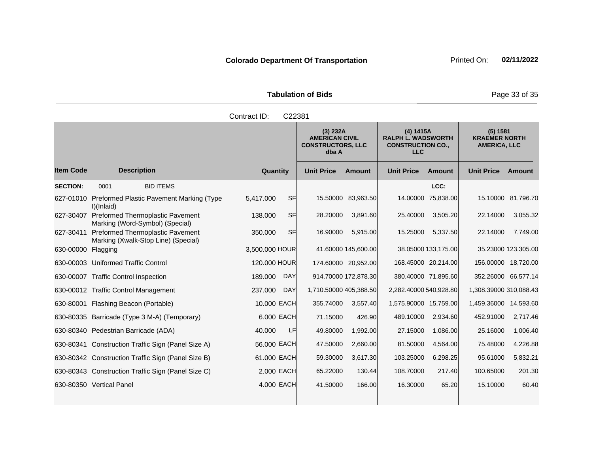| <b>Tabulation of Bids</b> | Page 3 |
|---------------------------|--------|
| Contract ID: C22381       |        |

and the state of the state of the state of the

**Contract** 

|                    |                                                                            |                        | (3) 232A<br><b>AMERICAN CIVIL</b><br><b>CONSTRUCTORS, LLC</b><br>dba A |                      | (4) 1415A<br><b>RALPH L. WADSWORTH</b><br><b>CONSTRUCTION CO.,</b><br><b>LLC</b> |                     | (5) 1581<br><b>KRAEMER NORTH</b><br><b>AMERICA, LLC</b> |                     |
|--------------------|----------------------------------------------------------------------------|------------------------|------------------------------------------------------------------------|----------------------|----------------------------------------------------------------------------------|---------------------|---------------------------------------------------------|---------------------|
| <b>Item Code</b>   | <b>Description</b>                                                         | Quantity               | <b>Unit Price</b>                                                      | Amount               | <b>Unit Price</b>                                                                | Amount              | <b>Unit Price</b>                                       | Amount              |
| <b>SECTION:</b>    | <b>BID ITEMS</b><br>0001                                                   |                        |                                                                        |                      |                                                                                  | LCC:                |                                                         |                     |
| 627-01010          | Preformed Plastic Pavement Marking (Type<br>I)(Inlaid)                     | <b>SF</b><br>5,417.000 |                                                                        | 15.50000 83,963.50   |                                                                                  | 14.00000 75,838.00  |                                                         | 15.10000 81,796.70  |
| 627-30407          | <b>Preformed Thermoplastic Pavement</b><br>Marking (Word-Symbol) (Special) | <b>SF</b><br>138.000   | 28.20000                                                               | 3,891.60             | 25.40000                                                                         | 3,505.20            | 22.14000                                                | 3,055.32            |
| 627-30411          | Preformed Thermoplastic Pavement<br>Marking (Xwalk-Stop Line) (Special)    | <b>SF</b><br>350.000   | 16.90000                                                               | 5,915.00             | 15.25000                                                                         | 5,337.50            | 22.14000                                                | 7,749.00            |
| 630-00000 Flagging |                                                                            | 3,500.000 HOUR         |                                                                        | 41.60000 145,600.00  |                                                                                  | 38.05000 133,175.00 |                                                         | 35.23000 123,305.00 |
|                    | 630-00003 Uniformed Traffic Control                                        | 120.000 HOUR           |                                                                        | 174.60000 20,952.00  |                                                                                  | 168.45000 20,214.00 | 156.00000 18,720.00                                     |                     |
|                    | 630-00007 Traffic Control Inspection                                       | 189,000<br><b>DAY</b>  |                                                                        | 914.70000 172,878.30 |                                                                                  | 380.40000 71,895.60 | 352.26000 66,577.14                                     |                     |
|                    | 630-00012 Traffic Control Management                                       | 237.000<br><b>DAY</b>  | 1,710.50000 405,388.50                                                 |                      | 2,282.40000 540,928.80                                                           |                     | 1,308.39000 310,088.43                                  |                     |
|                    | 630-80001 Flashing Beacon (Portable)                                       | 10.000 EACH            | 355.74000                                                              | 3,557.40             | 1,575.90000 15,759.00                                                            |                     | 1,459.36000 14,593.60                                   |                     |
|                    | 630-80335 Barricade (Type 3 M-A) (Temporary)                               | 6.000 EACH             | 71.15000                                                               | 426.90               | 489.10000                                                                        | 2,934.60            | 452.91000                                               | 2,717.46            |
|                    | 630-80340 Pedestrian Barricade (ADA)                                       | 40.000<br>LF           | 49.80000                                                               | 1,992.00             | 27.15000                                                                         | 1,086.00            | 25.16000                                                | 1,006.40            |
|                    | 630-80341 Construction Traffic Sign (Panel Size A)                         | 56.000 EACH            | 47.50000                                                               | 2,660.00             | 81.50000                                                                         | 4,564.00            | 75.48000                                                | 4,226.88            |
|                    | 630-80342 Construction Traffic Sign (Panel Size B)                         | 61.000 EACH            | 59.30000                                                               | 3,617.30             | 103.25000                                                                        | 6,298.25            | 95.61000                                                | 5,832.21            |
|                    | 630-80343 Construction Traffic Sign (Panel Size C)                         | 2.000 EACH             | 65.22000                                                               | 130.44               | 108.70000                                                                        | 217.40              | 100.65000                                               | 201.30              |
|                    | 630-80350 Vertical Panel                                                   | 4.000 EACH             | 41.50000                                                               | 166.00               | 16.30000                                                                         | 65.20               | 15.10000                                                | 60.40               |

**Tabulation of Bids** Page 33 of 35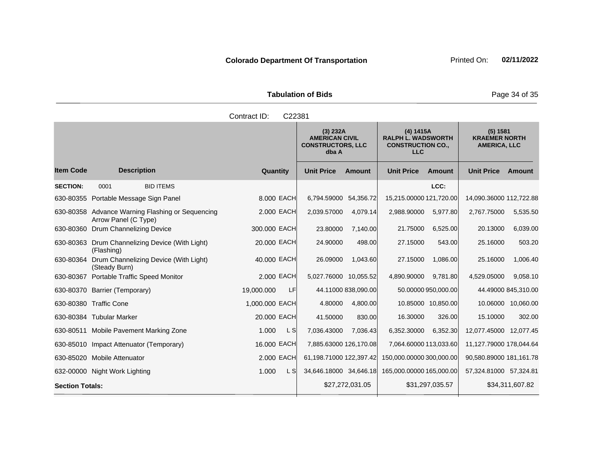Tabulation of Bids **Page 34 of 35** 

|                        |                                                                          | Contract ID:    | C22381 |                                                                        |                     |                                                                                  |                     |                                                         |                     |
|------------------------|--------------------------------------------------------------------------|-----------------|--------|------------------------------------------------------------------------|---------------------|----------------------------------------------------------------------------------|---------------------|---------------------------------------------------------|---------------------|
|                        |                                                                          |                 |        | (3) 232A<br><b>AMERICAN CIVIL</b><br><b>CONSTRUCTORS, LLC</b><br>dba A |                     | (4) 1415A<br><b>RALPH L. WADSWORTH</b><br><b>CONSTRUCTION CO.,</b><br><b>LLC</b> |                     | (5) 1581<br><b>KRAEMER NORTH</b><br><b>AMERICA, LLC</b> |                     |
| <b>Item Code</b>       | <b>Description</b>                                                       | <b>Quantity</b> |        | <b>Unit Price</b>                                                      | <b>Amount</b>       | <b>Unit Price</b>                                                                | Amount              | <b>Unit Price</b>                                       | <b>Amount</b>       |
| <b>SECTION:</b>        | <b>BID ITEMS</b><br>0001                                                 |                 |        |                                                                        |                     |                                                                                  | LCC:                |                                                         |                     |
|                        | 630-80355 Portable Message Sign Panel                                    | 8.000 EACH      |        | 6,794.59000 54,356.72                                                  |                     | 15,215.00000 121,720.00                                                          |                     | 14,090.36000 112,722.88                                 |                     |
|                        | 630-80358 Advance Warning Flashing or Sequencing<br>Arrow Panel (C Type) | 2.000 EACH      |        | 2,039.57000                                                            | 4,079.14            | 2,988.90000                                                                      | 5,977.80            | 2,767.75000                                             | 5,535.50            |
|                        | 630-80360 Drum Channelizing Device                                       | 300.000 EACH    |        | 23.80000                                                               | 7,140.00            | 21.75000                                                                         | 6,525.00            | 20.13000                                                | 6,039.00            |
|                        | 630-80363 Drum Channelizing Device (With Light)<br>(Flashing)            | 20.000 EACH     |        | 24.90000                                                               | 498.00              | 27.15000                                                                         | 543.00              | 25.16000                                                | 503.20              |
| 630-80364              | Drum Channelizing Device (With Light)<br>(Steady Burn)                   | 40.000 EACH     |        | 26.09000                                                               | 1,043.60            | 27.15000                                                                         | 1,086.00            | 25.16000                                                | 1,006.40            |
|                        | 630-80367 Portable Traffic Speed Monitor                                 | 2.000 EACH      |        | 5,027.76000 10,055.52                                                  |                     | 4,890.90000                                                                      | 9,781.80            | 4,529.05000                                             | 9,058.10            |
|                        | 630-80370 Barrier (Temporary)                                            | 19,000.000      | LF     |                                                                        | 44.11000 838,090.00 |                                                                                  | 50.00000 950,000.00 |                                                         | 44.49000 845,310.00 |
|                        | 630-80380 Traffic Cone                                                   | 1,000.000 EACH  |        | 4.80000                                                                | 4,800.00            |                                                                                  | 10.85000 10,850.00  |                                                         | 10.06000 10,060.00  |
|                        | 630-80384 Tubular Marker                                                 | 20,000 EACH     |        | 41.50000                                                               | 830.00              | 16.30000                                                                         | 326.00              | 15.10000                                                | 302.00              |
|                        | 630-80511 Mobile Pavement Marking Zone                                   | 1.000           | L SI   | 7,036.43000                                                            | 7,036.43            | 6,352.30000                                                                      | 6,352.30            | 12,077.45000                                            | 12,077.45           |
|                        | 630-85010 Impact Attenuator (Temporary)                                  | 16.000 EACH     |        | 7,885.63000 126,170.08                                                 |                     | 7,064.60000 113,033.60                                                           |                     | 11,127.79000 178,044.64                                 |                     |
|                        | 630-85020 Mobile Attenuator                                              | 2.000 EACH      |        | 61,198.71000 122,397.42                                                |                     | 150,000.00000 300,000.00                                                         |                     | 90,580.89000 181,161.78                                 |                     |
|                        | 632-00000 Night Work Lighting                                            | 1.000           | L S    | 34,646.18000 34,646.18                                                 |                     | 165,000.00000 165,000.00                                                         |                     | 57,324.81000 57,324.81                                  |                     |
| <b>Section Totals:</b> |                                                                          |                 |        |                                                                        | \$27,272,031.05     |                                                                                  | \$31,297,035.57     |                                                         | \$34,311,607.82     |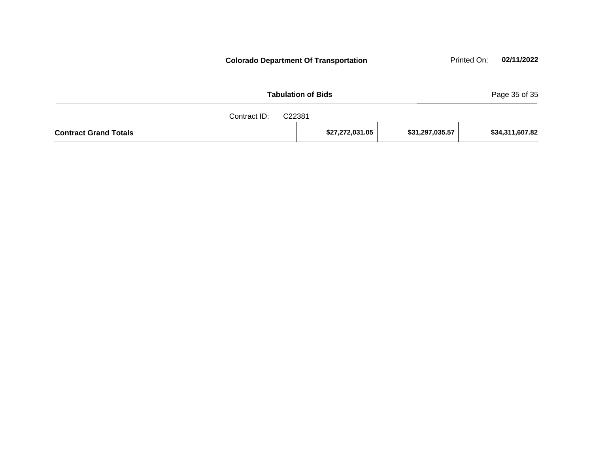Tabulation of Bids **Page 35 of 35** Contract ID: C22381 **Colorado Department Of Transportation Printed On:** 02/11/2022

| <u> 725 - 736 - 74</u>       |                 |                 |                 |
|------------------------------|-----------------|-----------------|-----------------|
| <b>Contract Grand Totals</b> | \$27,272,031.05 | \$31,297,035.57 | \$34,311,607.82 |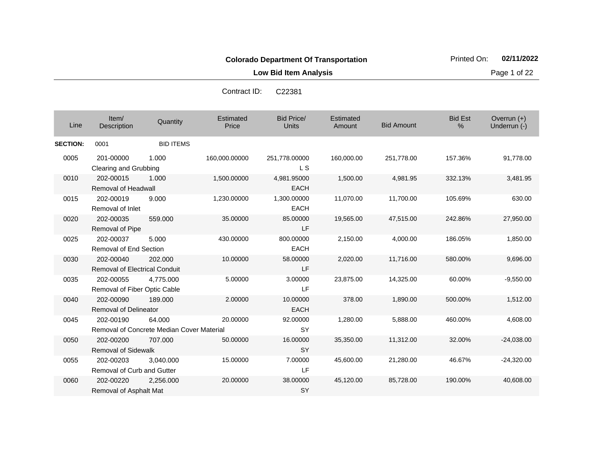**Low Bid Item Analysis Page 1 of 22** 

| Line            | Item/<br>Description                              | Quantity                                            | Estimated<br>Price | <b>Bid Price/</b><br><b>Units</b> | Estimated<br>Amount | <b>Bid Amount</b> | <b>Bid Est</b><br>% | Overrun $(+)$<br>Underrun (-) |
|-----------------|---------------------------------------------------|-----------------------------------------------------|--------------------|-----------------------------------|---------------------|-------------------|---------------------|-------------------------------|
| <b>SECTION:</b> | 0001                                              | <b>BID ITEMS</b>                                    |                    |                                   |                     |                   |                     |                               |
| 0005            | 201-00000<br>Clearing and Grubbing                | 1.000                                               | 160,000.00000      | 251,778.00000<br>L S              | 160,000.00          | 251,778.00        | 157.36%             | 91,778.00                     |
| 0010            | 202-00015<br><b>Removal of Headwall</b>           | 1.000                                               | 1,500.00000        | 4,981.95000<br><b>EACH</b>        | 1,500.00            | 4,981.95          | 332.13%             | 3,481.95                      |
| 0015            | 202-00019<br>Removal of Inlet                     | 9.000                                               | 1,230.00000        | 1,300.00000<br><b>EACH</b>        | 11,070.00           | 11,700.00         | 105.69%             | 630.00                        |
| 0020            | 202-00035<br>Removal of Pipe                      | 559.000                                             | 35.00000           | 85.00000<br><b>LF</b>             | 19,565.00           | 47,515.00         | 242.86%             | 27,950.00                     |
| 0025            | 202-00037<br>Removal of End Section               | 5.000                                               | 430.00000          | 800.00000<br><b>EACH</b>          | 2,150.00            | 4,000.00          | 186.05%             | 1,850.00                      |
| 0030            | 202-00040<br><b>Removal of Electrical Conduit</b> | 202,000                                             | 10.00000           | 58.00000<br>LF                    | 2,020.00            | 11,716.00         | 580.00%             | 9,696.00                      |
| 0035            | 202-00055<br>Removal of Fiber Optic Cable         | 4,775.000                                           | 5.00000            | 3.00000<br>LF                     | 23,875.00           | 14,325.00         | 60.00%              | $-9,550.00$                   |
| 0040            | 202-00090<br><b>Removal of Delineator</b>         | 189.000                                             | 2.00000            | 10.00000<br><b>EACH</b>           | 378.00              | 1,890.00          | 500.00%             | 1,512.00                      |
| 0045            | 202-00190                                         | 64.000<br>Removal of Concrete Median Cover Material | 20.00000           | 92.00000<br><b>SY</b>             | 1,280.00            | 5,888.00          | 460.00%             | 4,608.00                      |
| 0050            | 202-00200<br><b>Removal of Sidewalk</b>           | 707.000                                             | 50.00000           | 16.00000<br><b>SY</b>             | 35,350.00           | 11,312.00         | 32.00%              | $-24,038.00$                  |
| 0055            | 202-00203<br>Removal of Curb and Gutter           | 3,040.000                                           | 15.00000           | 7.00000<br>LF                     | 45,600.00           | 21,280.00         | 46.67%              | $-24,320.00$                  |
| 0060            | 202-00220<br>Removal of Asphalt Mat               | 2,256.000                                           | 20.00000           | 38.00000<br><b>SY</b>             | 45,120.00           | 85,728.00         | 190.00%             | 40,608.00                     |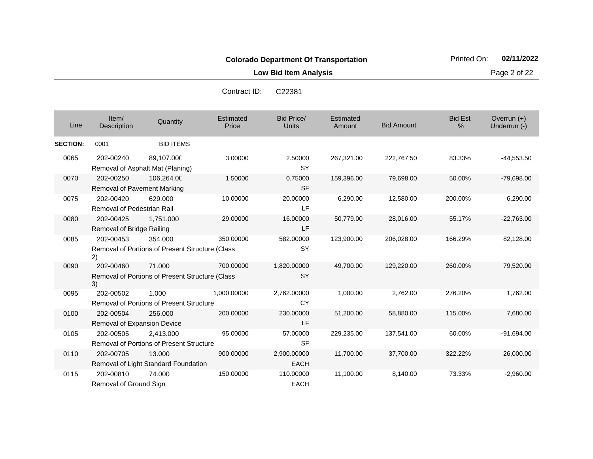**Low Bid Item Analysis Page 2 of 22** 

| Line            | Item/<br>Description                            | Quantity                                                   | Estimated<br>Price | <b>Bid Price/</b><br><b>Units</b> | Estimated<br>Amount | <b>Bid Amount</b> | <b>Bid Est</b><br>% | Overrun $(+)$<br>Underrun (-) |
|-----------------|-------------------------------------------------|------------------------------------------------------------|--------------------|-----------------------------------|---------------------|-------------------|---------------------|-------------------------------|
| <b>SECTION:</b> | 0001                                            | <b>BID ITEMS</b>                                           |                    |                                   |                     |                   |                     |                               |
| 0065            | 202-00240                                       | 89,107.000<br>Removal of Asphalt Mat (Planing)             | 3.00000            | 2.50000<br><b>SY</b>              | 267,321.00          | 222,767.50        | 83.33%              | $-44,553.50$                  |
| 0070            | 202-00250<br><b>Removal of Pavement Marking</b> | 106,264.00                                                 | 1.50000            | 0.75000<br><b>SF</b>              | 159,396.00          | 79,698.00         | 50.00%              | $-79,698.00$                  |
| 0075            | 202-00420<br><b>Removal of Pedestrian Rail</b>  | 629.000                                                    | 10.00000           | 20.00000<br>LF                    | 6,290.00            | 12,580.00         | 200.00%             | 6,290.00                      |
| 0080            | 202-00425<br>Removal of Bridge Railing          | 1,751.000                                                  | 29.00000           | 16.00000<br>LF                    | 50,779.00           | 28,016.00         | 55.17%              | $-22,763.00$                  |
| 0085            | 202-00453<br>2)                                 | 354.000<br>Removal of Portions of Present Structure (Class | 350.00000          | 582.00000<br>SY                   | 123,900.00          | 206,028.00        | 166.29%             | 82,128.00                     |
| 0090            | 202-00460<br>3)                                 | 71.000<br>Removal of Portions of Present Structure (Class  | 700.00000          | 1,820.00000<br><b>SY</b>          | 49,700.00           | 129,220.00        | 260.00%             | 79,520.00                     |
| 0095            | 202-00502                                       | 1.000<br><b>Removal of Portions of Present Structure</b>   | 1,000.00000        | 2,762.00000<br><b>CY</b>          | 1,000.00            | 2,762.00          | 276.20%             | 1,762.00                      |
| 0100            | 202-00504<br>Removal of Expansion Device        | 256,000                                                    | 200.00000          | 230.00000<br>LF                   | 51,200.00           | 58,880.00         | 115.00%             | 7,680.00                      |
| 0105            | 202-00505                                       | 2,413.000<br>Removal of Portions of Present Structure      | 95.00000           | 57.00000<br><b>SF</b>             | 229,235.00          | 137,541.00        | 60.00%              | $-91,694.00$                  |
| 0110            | 202-00705                                       | 13.000<br>Removal of Light Standard Foundation             | 900.00000          | 2,900.00000<br><b>EACH</b>        | 11,700.00           | 37,700.00         | 322.22%             | 26,000.00                     |
| 0115            | 202-00810<br>Removal of Ground Sign             | 74.000                                                     | 150.00000          | 110.00000<br><b>EACH</b>          | 11,100.00           | 8,140.00          | 73.33%              | $-2,960.00$                   |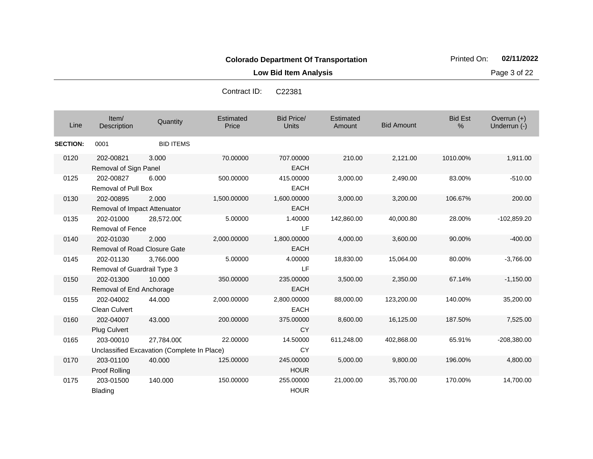**Low Bid Item Analysis Page 3 of 22** 

| Line            | Item/<br>Description                             | Quantity                                                  | Estimated<br>Price | Bid Price/<br><b>Units</b> | Estimated<br>Amount | <b>Bid Amount</b> | <b>Bid Est</b><br>% | Overrun $(+)$<br>Underrun (-) |
|-----------------|--------------------------------------------------|-----------------------------------------------------------|--------------------|----------------------------|---------------------|-------------------|---------------------|-------------------------------|
| <b>SECTION:</b> | 0001                                             | <b>BID ITEMS</b>                                          |                    |                            |                     |                   |                     |                               |
| 0120            | 202-00821<br>Removal of Sign Panel               | 3.000                                                     | 70.00000           | 707.00000<br><b>EACH</b>   | 210.00              | 2,121.00          | 1010.00%            | 1,911.00                      |
| 0125            | 202-00827<br><b>Removal of Pull Box</b>          | 6.000                                                     | 500.00000          | 415.00000<br><b>EACH</b>   | 3,000.00            | 2,490.00          | 83.00%              | $-510.00$                     |
| 0130            | 202-00895<br>Removal of Impact Attenuator        | 2.000                                                     | 1,500.00000        | 1,600.00000<br><b>EACH</b> | 3,000.00            | 3,200.00          | 106.67%             | 200.00                        |
| 0135            | 202-01000<br><b>Removal of Fence</b>             | 28,572.000                                                | 5.00000            | 1.40000<br>LF              | 142,860.00          | 40,000.80         | 28.00%              | $-102,859.20$                 |
| 0140            | 202-01030<br><b>Removal of Road Closure Gate</b> | 2.000                                                     | 2,000.00000        | 1,800.00000<br><b>EACH</b> | 4,000.00            | 3,600.00          | 90.00%              | $-400.00$                     |
| 0145            | 202-01130<br>Removal of Guardrail Type 3         | 3,766.000                                                 | 5.00000            | 4.00000<br>LF              | 18,830.00           | 15,064.00         | 80.00%              | $-3,766.00$                   |
| 0150            | 202-01300<br>Removal of End Anchorage            | 10.000                                                    | 350.00000          | 235.00000<br><b>EACH</b>   | 3,500.00            | 2,350.00          | 67.14%              | $-1,150.00$                   |
| 0155            | 202-04002<br>Clean Culvert                       | 44.000                                                    | 2,000.00000        | 2,800.00000<br><b>EACH</b> | 88,000.00           | 123,200.00        | 140.00%             | 35,200.00                     |
| 0160            | 202-04007<br>Plug Culvert                        | 43.000                                                    | 200.00000          | 375.00000<br><b>CY</b>     | 8,600.00            | 16,125.00         | 187.50%             | 7,525.00                      |
| 0165            | 203-00010                                        | 27,784.000<br>Unclassified Excavation (Complete In Place) | 22,00000           | 14.50000<br><b>CY</b>      | 611,248.00          | 402,868.00        | 65.91%              | $-208,380.00$                 |
| 0170            | 203-01100<br>Proof Rolling                       | 40.000                                                    | 125.00000          | 245.00000<br><b>HOUR</b>   | 5,000.00            | 9,800.00          | 196.00%             | 4,800.00                      |
| 0175            | 203-01500<br><b>Blading</b>                      | 140.000                                                   | 150.00000          | 255.00000<br><b>HOUR</b>   | 21,000.00           | 35,700.00         | 170.00%             | 14,700.00                     |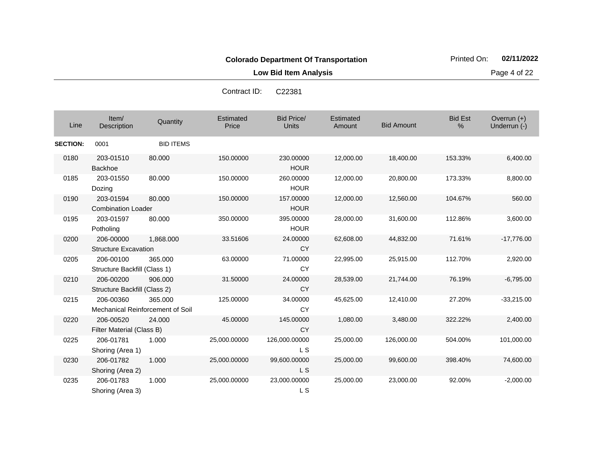**Low Bid Item Analysis Page 4 of 22** 

| Line            | Item/<br>Description                          | Quantity         | Estimated<br>Price | <b>Bid Price/</b><br><b>Units</b> | Estimated<br>Amount | <b>Bid Amount</b> | <b>Bid Est</b><br>% | Overrun (+)<br>Underrun (-) |
|-----------------|-----------------------------------------------|------------------|--------------------|-----------------------------------|---------------------|-------------------|---------------------|-----------------------------|
| <b>SECTION:</b> | 0001                                          | <b>BID ITEMS</b> |                    |                                   |                     |                   |                     |                             |
| 0180            | 203-01510<br><b>Backhoe</b>                   | 80,000           | 150.00000          | 230.00000<br><b>HOUR</b>          | 12,000.00           | 18,400.00         | 153.33%             | 6,400.00                    |
| 0185            | 203-01550<br>Dozing                           | 80.000           | 150.00000          | 260.00000<br><b>HOUR</b>          | 12,000.00           | 20,800.00         | 173.33%             | 8,800.00                    |
| 0190            | 203-01594<br><b>Combination Loader</b>        | 80,000           | 150.00000          | 157.00000<br><b>HOUR</b>          | 12,000.00           | 12,560.00         | 104.67%             | 560.00                      |
| 0195            | 203-01597<br>Potholing                        | 80.000           | 350.00000          | 395.00000<br><b>HOUR</b>          | 28,000.00           | 31,600.00         | 112.86%             | 3,600.00                    |
| 0200            | 206-00000<br><b>Structure Excavation</b>      | 1,868.000        | 33.51606           | 24.00000<br><b>CY</b>             | 62,608.00           | 44,832.00         | 71.61%              | $-17,776.00$                |
| 0205            | 206-00100<br>Structure Backfill (Class 1)     | 365.000          | 63.00000           | 71.00000<br><b>CY</b>             | 22,995.00           | 25,915.00         | 112.70%             | 2,920.00                    |
| 0210            | 206-00200<br>Structure Backfill (Class 2)     | 906.000          | 31.50000           | 24.00000<br><b>CY</b>             | 28,539.00           | 21,744.00         | 76.19%              | $-6,795.00$                 |
| 0215            | 206-00360<br>Mechanical Reinforcement of Soil | 365.000          | 125.00000          | 34.00000<br><b>CY</b>             | 45,625.00           | 12,410.00         | 27.20%              | $-33,215.00$                |
| 0220            | 206-00520<br>Filter Material (Class B)        | 24.000           | 45.00000           | 145.00000<br><b>CY</b>            | 1,080.00            | 3,480.00          | 322.22%             | 2,400.00                    |
| 0225            | 206-01781<br>Shoring (Area 1)                 | 1.000            | 25,000.00000       | 126,000.00000<br>L S              | 25,000.00           | 126,000.00        | 504.00%             | 101,000.00                  |
| 0230            | 206-01782<br>Shoring (Area 2)                 | 1.000            | 25,000.00000       | 99,600.00000<br>L S               | 25,000.00           | 99,600.00         | 398.40%             | 74,600.00                   |
| 0235            | 206-01783<br>Shoring (Area 3)                 | 1.000            | 25,000.00000       | 23,000.00000<br>L S               | 25,000.00           | 23,000.00         | 92.00%              | $-2,000.00$                 |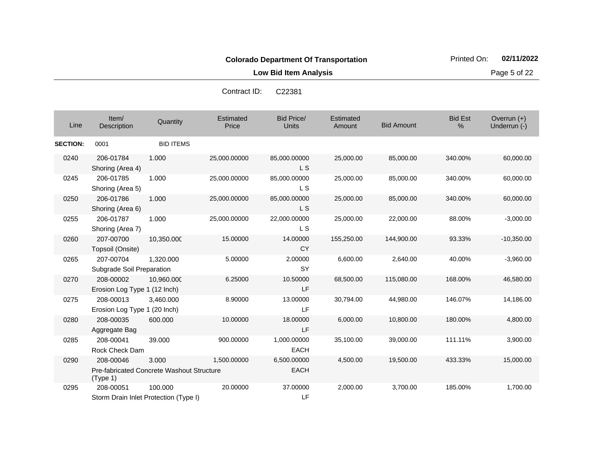**Low Bid Item Analysis Page 5 of 22** 

| Contract ID: | C <sub>22381</sub> |
|--------------|--------------------|
|--------------|--------------------|

| Line            | Item/<br>Description                                               | Quantity         | <b>Estimated</b><br>Price | <b>Bid Price/</b><br><b>Units</b> | Estimated<br>Amount | <b>Bid Amount</b> | <b>Bid Est</b><br>% | Overrun (+)<br>Underrun (-) |
|-----------------|--------------------------------------------------------------------|------------------|---------------------------|-----------------------------------|---------------------|-------------------|---------------------|-----------------------------|
| <b>SECTION:</b> | 0001                                                               | <b>BID ITEMS</b> |                           |                                   |                     |                   |                     |                             |
| 0240            | 206-01784<br>Shoring (Area 4)                                      | 1.000            | 25,000.00000              | 85,000.00000<br>L <sub>S</sub>    | 25,000.00           | 85,000.00         | 340.00%             | 60,000.00                   |
| 0245            | 206-01785<br>Shoring (Area 5)                                      | 1.000            | 25,000.00000              | 85,000.00000<br>L <sub>S</sub>    | 25,000.00           | 85,000.00         | 340.00%             | 60,000.00                   |
| 0250            | 206-01786<br>Shoring (Area 6)                                      | 1.000            | 25,000.00000              | 85,000.00000<br>L S               | 25,000.00           | 85,000.00         | 340.00%             | 60,000.00                   |
| 0255            | 206-01787<br>Shoring (Area 7)                                      | 1.000            | 25,000.00000              | 22,000.00000<br>L S               | 25,000.00           | 22,000.00         | 88.00%              | $-3,000.00$                 |
| 0260            | 207-00700<br>Topsoil (Onsite)                                      | 10,350.000       | 15.00000                  | 14.00000<br>CY                    | 155,250.00          | 144,900.00        | 93.33%              | $-10,350.00$                |
| 0265            | 207-00704<br>Subgrade Soil Preparation                             | 1,320.000        | 5.00000                   | 2.00000<br><b>SY</b>              | 6,600.00            | 2,640.00          | 40.00%              | $-3,960.00$                 |
| 0270            | 208-00002<br>Erosion Log Type 1 (12 Inch)                          | 10,960.000       | 6.25000                   | 10.50000<br>LF                    | 68,500.00           | 115,080.00        | 168.00%             | 46,580.00                   |
| 0275            | 208-00013<br>Erosion Log Type 1 (20 Inch)                          | 3,460.000        | 8.90000                   | 13.00000<br>LF.                   | 30,794.00           | 44,980.00         | 146.07%             | 14,186.00                   |
| 0280            | 208-00035<br>Aggregate Bag                                         | 600.000          | 10.00000                  | 18.00000<br>LF                    | 6,000.00            | 10,800.00         | 180.00%             | 4,800.00                    |
| 0285            | 208-00041<br>Rock Check Dam                                        | 39.000           | 900.00000                 | 1,000.00000<br>EACH               | 35,100.00           | 39,000.00         | 111.11%             | 3,900.00                    |
| 0290            | 208-00046<br>Pre-fabricated Concrete Washout Structure<br>(Type 1) | 3.000            | 1,500.00000               | 6,500.00000<br><b>EACH</b>        | 4,500.00            | 19,500.00         | 433.33%             | 15,000.00                   |
| 0295            | 208-00051<br>Storm Drain Inlet Protection (Type I)                 | 100.000          | 20.00000                  | 37.00000<br>LF                    | 2,000.00            | 3,700.00          | 185.00%             | 1,700.00                    |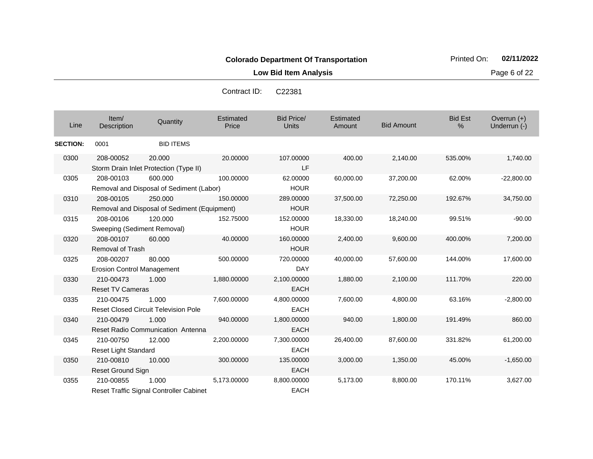**Low Bid Item Analysis Page 6 of 22** 

Contract ID: C22381

| Line         | Item/<br>Description | Quantity                                         | Estimated<br>Price | Bid Price/<br>Units | Estimated<br>Amount | <b>Bid Amount</b> | <b>Bid Est</b><br>$\%$ | Overrun $(+)$<br>Underrun (-) |
|--------------|----------------------|--------------------------------------------------|--------------------|---------------------|---------------------|-------------------|------------------------|-------------------------------|
| <b>TION:</b> | 0001                 | <b>BID ITEMS</b>                                 |                    |                     |                     |                   |                        |                               |
| 800          | 208-00052            | 20.000<br>Storm Drain Inlet Protection (Type II) | 20,00000           | 107.00000<br>LF     | 400.00              | 2.140.00          | 535.00%                | 1,740.0                       |

| Line            | Item/<br>Description                           | Quantity                                                | Estimated<br>Price | <b>Bid Price/</b><br><b>Units</b> | Estimated<br>Amount | <b>Bid Amount</b> | <b>Bid Est</b><br>$\%$ | Overrun $(+)$<br>Underrun (-) |
|-----------------|------------------------------------------------|---------------------------------------------------------|--------------------|-----------------------------------|---------------------|-------------------|------------------------|-------------------------------|
| <b>SECTION:</b> | 0001                                           | <b>BID ITEMS</b>                                        |                    |                                   |                     |                   |                        |                               |
| 0300            | 208-00052                                      | 20,000<br>Storm Drain Inlet Protection (Type II)        | 20.00000           | 107.00000<br>LF                   | 400.00              | 2,140.00          | 535.00%                | 1,740.00                      |
| 0305            | 208-00103                                      | 600.000<br>Removal and Disposal of Sediment (Labor)     | 100.00000          | 62.00000<br><b>HOUR</b>           | 60,000.00           | 37,200.00         | 62.00%                 | $-22,800.00$                  |
| 0310            | 208-00105                                      | 250.000<br>Removal and Disposal of Sediment (Equipment) | 150.00000          | 289.00000<br><b>HOUR</b>          | 37,500.00           | 72,250.00         | 192.67%                | 34,750.00                     |
| 0315            | 208-00106<br>Sweeping (Sediment Removal)       | 120,000                                                 | 152.75000          | 152.00000<br><b>HOUR</b>          | 18,330.00           | 18,240.00         | 99.51%                 | $-90.00$                      |
| 0320            | 208-00107<br><b>Removal of Trash</b>           | 60,000                                                  | 40.00000           | 160.00000<br><b>HOUR</b>          | 2,400.00            | 9,600.00          | 400.00%                | 7,200.00                      |
| 0325            | 208-00207<br><b>Erosion Control Management</b> | 80,000                                                  | 500.00000          | 720,00000<br><b>DAY</b>           | 40,000.00           | 57,600.00         | 144.00%                | 17,600.00                     |
| 0330            | 210-00473<br><b>Reset TV Cameras</b>           | 1.000                                                   | 1,880.00000        | 2,100.00000<br><b>EACH</b>        | 1,880.00            | 2,100.00          | 111.70%                | 220.00                        |
| 0335            | 210-00475                                      | 1.000<br><b>Reset Closed Circuit Television Pole</b>    | 7,600.00000        | 4,800.00000<br><b>EACH</b>        | 7,600.00            | 4,800.00          | 63.16%                 | $-2,800.00$                   |
| 0340            | 210-00479                                      | 1.000<br><b>Reset Radio Communication Antenna</b>       | 940.00000          | 1,800.00000<br><b>EACH</b>        | 940.00              | 1,800.00          | 191.49%                | 860.00                        |
| 0345            | 210-00750<br>Reset Light Standard              | 12.000                                                  | 2,200.00000        | 7,300.00000<br><b>EACH</b>        | 26,400.00           | 87,600.00         | 331.82%                | 61,200.00                     |
| 0350            | 210-00810<br><b>Reset Ground Sign</b>          | 10.000                                                  | 300.00000          | 135.00000<br><b>EACH</b>          | 3,000.00            | 1,350.00          | 45.00%                 | $-1,650.00$                   |
| 0355            | 210-00855                                      | 1.000<br>Reset Traffic Signal Controller Cabinet        | 5.173.00000        | 8,800.00000<br><b>EACH</b>        | 5,173.00            | 8,800.00          | 170.11%                | 3.627.00                      |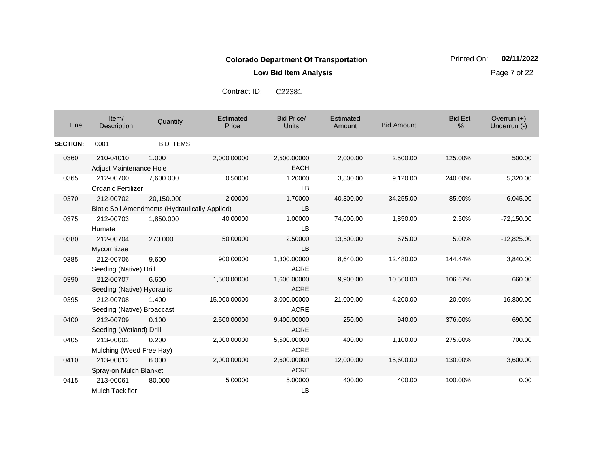**Low Bid Item Analysis Page 7 of 22** 

| C <sub>22381</sub> |
|--------------------|
|                    |

| Line            | Item/<br>Description                                        | Quantity         | Estimated<br>Price | <b>Bid Price/</b><br><b>Units</b> | Estimated<br>Amount | <b>Bid Amount</b> | <b>Bid Est</b><br>% | Overrun $(+)$<br>Underrun (-) |
|-----------------|-------------------------------------------------------------|------------------|--------------------|-----------------------------------|---------------------|-------------------|---------------------|-------------------------------|
| <b>SECTION:</b> | 0001                                                        | <b>BID ITEMS</b> |                    |                                   |                     |                   |                     |                               |
| 0360            | 210-04010<br><b>Adjust Maintenance Hole</b>                 | 1.000            | 2,000.00000        | 2,500.00000<br><b>EACH</b>        | 2,000.00            | 2,500.00          | 125.00%             | 500.00                        |
| 0365            | 212-00700<br>Organic Fertilizer                             | 7,600.000        | 0.50000            | 1.20000<br>LB                     | 3,800.00            | 9,120.00          | 240.00%             | 5,320.00                      |
| 0370            | 212-00702<br>Biotic Soil Amendments (Hydraulically Applied) | 20,150.000       | 2.00000            | 1.70000<br>LB                     | 40,300.00           | 34,255.00         | 85.00%              | $-6,045.00$                   |
| 0375            | 212-00703<br>Humate                                         | 1,850.000        | 40.00000           | 1.00000<br>LB                     | 74,000.00           | 1,850.00          | 2.50%               | $-72,150.00$                  |
| 0380            | 212-00704<br>Mycorrhizae                                    | 270.000          | 50.00000           | 2.50000<br>LB                     | 13,500.00           | 675.00            | 5.00%               | $-12,825.00$                  |
| 0385            | 212-00706<br>Seeding (Native) Drill                         | 9.600            | 900.00000          | 1,300.00000<br><b>ACRE</b>        | 8,640.00            | 12,480.00         | 144.44%             | 3,840.00                      |
| 0390            | 212-00707<br>Seeding (Native) Hydraulic                     | 6.600            | 1,500.00000        | 1,600.00000<br><b>ACRE</b>        | 9,900.00            | 10,560.00         | 106.67%             | 660.00                        |
| 0395            | 212-00708<br>Seeding (Native) Broadcast                     | 1.400            | 15,000.00000       | 3,000.00000<br><b>ACRE</b>        | 21,000.00           | 4,200.00          | 20.00%              | $-16,800.00$                  |
| 0400            | 212-00709<br>Seeding (Wetland) Drill                        | 0.100            | 2,500.00000        | 9,400.00000<br><b>ACRE</b>        | 250.00              | 940.00            | 376.00%             | 690.00                        |
| 0405            | 213-00002<br>Mulching (Weed Free Hay)                       | 0.200            | 2,000.00000        | 5,500.00000<br><b>ACRE</b>        | 400.00              | 1,100.00          | 275.00%             | 700.00                        |
| 0410            | 213-00012<br>Spray-on Mulch Blanket                         | 6.000            | 2,000.00000        | 2,600.00000<br><b>ACRE</b>        | 12,000.00           | 15,600.00         | 130.00%             | 3,600.00                      |
| 0415            | 213-00061<br><b>Mulch Tackifier</b>                         | 80.000           | 5.00000            | 5.00000<br>LB                     | 400.00              | 400.00            | 100.00%             | 0.00                          |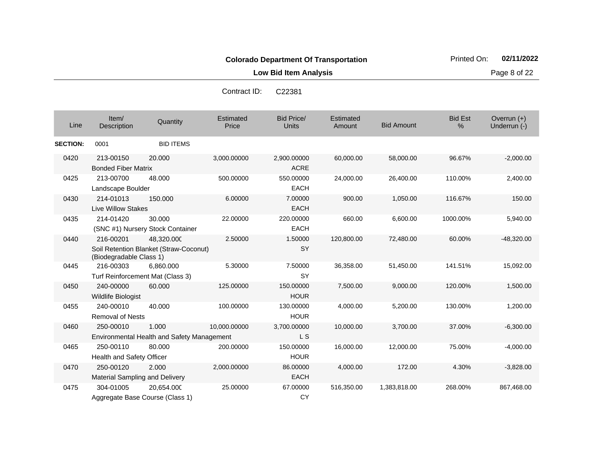%

**Low Bid Item Analysis Page 8 of 22** 

Overrun (+)<br>Underrun (-)

Bid Price/ Units **Amount** Bid Amount الساحة المستحدة التي التي تعليم المستحدة التي تعليم التي التي يتم التي يتم التي التي التي تعليم التي التي التي<br>التي يتم التي يتم التي يتم التي يتم التي يتم التي يتم التي يتم التي يتم التي يتم التي يتم التي يتم التي يتم ال Estimated Price **Estimated** Item/<br>Description Description Quantity Bid Est **SECTION:** 0001 BID ITEMS 0420 213-00150 Bonded Fiber Matrix 20.000 3,000.00000 2,900.00000 ACRE 60,000.00 58,000.00 96.67% -2,000.00 0425 213-00700 Landscape Boulder 48.000 500.00000 550.00000 EACH 24,000.00 26,400.00 110.00% 2,400.00 0430 214-01013 Live Willow Stakes 150.000 6.00000 7.00000 EACH 900.00 1,050.00 116.67% 150.00 30.000 22.00000 220.00000 EACH Contract ID: C22381

| 0435 | 214-01420                             | 30.000                                     | 22.00000     | 220,00000   | 660.00     | 6,600.00     | 1000.00% | 5,940.00     |
|------|---------------------------------------|--------------------------------------------|--------------|-------------|------------|--------------|----------|--------------|
|      |                                       | (SNC #1) Nursery Stock Container           |              | <b>EACH</b> |            |              |          |              |
| 0440 | 216-00201                             | 48,320.000                                 | 2.50000      | 1.50000     | 120,800.00 | 72,480.00    | 60.00%   | $-48,320.00$ |
|      | (Biodegradable Class 1)               | Soil Retention Blanket (Straw-Coconut)     |              | <b>SY</b>   |            |              |          |              |
| 0445 | 216-00303                             | 6,860.000                                  | 5.30000      | 7.50000     | 36,358.00  | 51,450.00    | 141.51%  | 15,092.00    |
|      |                                       | Turf Reinforcement Mat (Class 3)           |              | SY          |            |              |          |              |
| 0450 | 240-00000                             | 60.000                                     | 125.00000    | 150.00000   | 7,500.00   | 9,000.00     | 120.00%  | 1,500.00     |
|      | Wildlife Biologist                    |                                            |              | <b>HOUR</b> |            |              |          |              |
| 0455 | 240-00010                             | 40.000                                     | 100.00000    | 130.00000   | 4,000.00   | 5,200.00     | 130.00%  | 1,200.00     |
|      | <b>Removal of Nests</b>               |                                            |              | <b>HOUR</b> |            |              |          |              |
| 0460 | 250-00010                             | 1.000                                      | 10,000.00000 | 3,700.00000 | 10,000.00  | 3,700.00     | 37.00%   | $-6,300.00$  |
|      |                                       | Environmental Health and Safety Management |              | L S         |            |              |          |              |
| 0465 | 250-00110                             | 80,000                                     | 200.00000    | 150.00000   | 16,000.00  | 12,000.00    | 75.00%   | $-4,000.00$  |
|      | Health and Safety Officer             |                                            |              | <b>HOUR</b> |            |              |          |              |
| 0470 | 250-00120                             | 2.000                                      | 2,000.00000  | 86.00000    | 4,000.00   | 172.00       | 4.30%    | $-3,828.00$  |
|      | <b>Material Sampling and Delivery</b> |                                            |              | <b>EACH</b> |            |              |          |              |
| 0475 | 304-01005                             | 20,654.000                                 | 25.00000     | 67.00000    | 516,350.00 | 1,383,818.00 | 268.00%  | 867,468.00   |
|      |                                       | Aggregate Base Course (Class 1)            |              | CY          |            |              |          |              |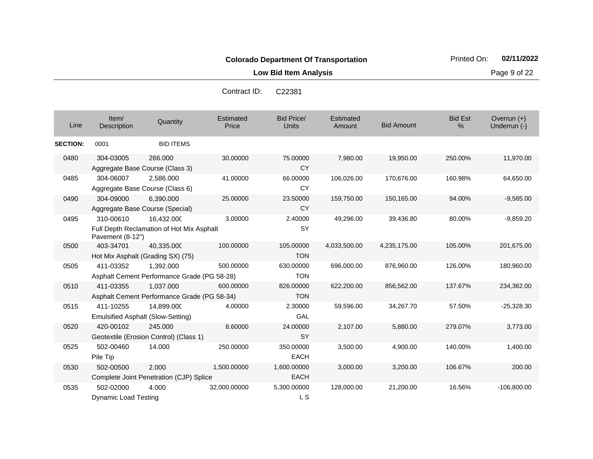**Low Bid Item Analysis Page 9 of 22** 

| Contract ID: | C <sub>22381</sub> |
|--------------|--------------------|
|              |                    |

| Line            | Item/<br>Description                                  | Quantity                                                 | <b>Estimated</b><br>Price | <b>Bid Price/</b><br><b>Units</b> | Estimated<br>Amount | <b>Bid Amount</b> | <b>Bid Est</b><br>% | Overrun $(+)$<br>Underrun (-) |
|-----------------|-------------------------------------------------------|----------------------------------------------------------|---------------------------|-----------------------------------|---------------------|-------------------|---------------------|-------------------------------|
| <b>SECTION:</b> | 0001                                                  | <b>BID ITEMS</b>                                         |                           |                                   |                     |                   |                     |                               |
| 0480            | 304-03005                                             | 266,000<br>Aggregate Base Course (Class 3)               | 30.00000                  | 75.00000<br><b>CY</b>             | 7,980.00            | 19,950.00         | 250.00%             | 11,970.00                     |
| 0485            | 304-06007                                             | 2.586.000<br>Aggregate Base Course (Class 6)             | 41.00000                  | 66.00000<br>CY                    | 106,026.00          | 170,676.00        | 160.98%             | 64,650.00                     |
| 0490            | 304-09000                                             | 6.390.000<br>Aggregate Base Course (Special)             | 25.00000                  | 23.50000<br>CY                    | 159,750.00          | 150,165.00        | 94.00%              | $-9,585.00$                   |
| 0495            | 310-00610<br>Pavement (8-12")                         | 16,432.000<br>Full Depth Reclamation of Hot Mix Asphalt  | 3.00000                   | 2.40000<br><b>SY</b>              | 49,296.00           | 39,436.80         | 80.00%              | $-9,859.20$                   |
| 0500            | 403-34701                                             | 40,335.000<br>Hot Mix Asphalt (Grading SX) (75)          | 100.00000                 | 105.00000<br><b>TON</b>           | 4,033,500.00        | 4,235,175.00      | 105.00%             | 201,675.00                    |
| 0505            | 411-03352                                             | 1,392.000<br>Asphalt Cement Performance Grade (PG 58-28) | 500.00000                 | 630.00000<br><b>TON</b>           | 696,000.00          | 876,960.00        | 126.00%             | 180,960.00                    |
| 0510            | 411-03355                                             | 1,037.000<br>Asphalt Cement Performance Grade (PG 58-34) | 600.00000                 | 826.00000<br><b>TON</b>           | 622,200.00          | 856,562.00        | 137.67%             | 234,362.00                    |
| 0515            | 411-10255<br><b>Emulsified Asphalt (Slow-Setting)</b> | 14,899.000                                               | 4.00000                   | 2.30000<br>GAL                    | 59,596.00           | 34,267.70         | 57.50%              | $-25,328.30$                  |
| 0520            | 420-00102                                             | 245.000<br>Geotextile (Erosion Control) (Class 1)        | 8.60000                   | 24.00000<br><b>SY</b>             | 2,107.00            | 5,880.00          | 279.07%             | 3,773.00                      |
| 0525            | 502-00460<br>Pile Tip                                 | 14.000                                                   | 250.00000                 | 350.00000<br><b>EACH</b>          | 3,500.00            | 4,900.00          | 140.00%             | 1,400.00                      |
| 0530            | 502-00500                                             | 2.000<br>Complete Joint Penetration (CJP) Splice         | 1,500.00000               | 1,600.00000<br><b>EACH</b>        | 3,000.00            | 3,200.00          | 106.67%             | 200.00                        |
| 0535            | 502-02000<br>Dynamic Load Testing                     | 4.000                                                    | 32,000.00000              | 5,300.00000<br>L S                | 128,000.00          | 21,200.00         | 16.56%              | $-106,800.00$                 |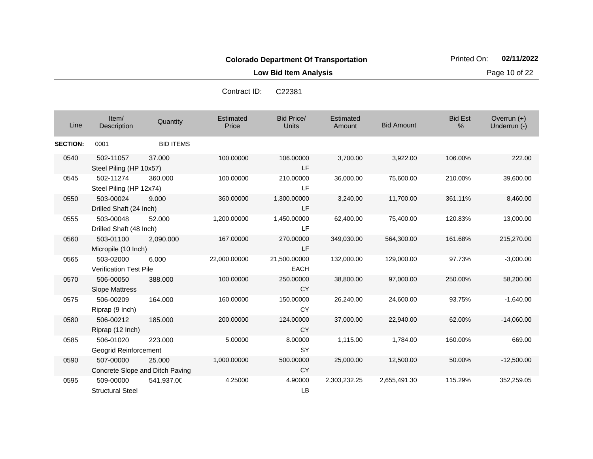**Low Bid Item Analysis Page 10 of 22** 

| Contract ID: | C <sub>22381</sub> |
|--------------|--------------------|
|              |                    |

| Line            | Item/<br>Description                         | Quantity         | Estimated<br>Price | <b>Bid Price/</b><br><b>Units</b> | Estimated<br>Amount | <b>Bid Amount</b> | <b>Bid Est</b><br>$\%$ | Overrun $(+)$<br>Underrun (-) |
|-----------------|----------------------------------------------|------------------|--------------------|-----------------------------------|---------------------|-------------------|------------------------|-------------------------------|
| <b>SECTION:</b> | 0001                                         | <b>BID ITEMS</b> |                    |                                   |                     |                   |                        |                               |
| 0540            | 502-11057<br>Steel Piling (HP 10x57)         | 37,000           | 100.00000          | 106.00000<br>LF                   | 3,700.00            | 3,922.00          | 106.00%                | 222.00                        |
| 0545            | 502-11274<br>Steel Piling (HP 12x74)         | 360.000          | 100.00000          | 210.00000<br>LF.                  | 36,000.00           | 75,600.00         | 210.00%                | 39,600.00                     |
| 0550            | 503-00024<br>Drilled Shaft (24 Inch)         | 9.000            | 360.00000          | 1,300.00000<br>LF                 | 3,240.00            | 11,700.00         | 361.11%                | 8,460.00                      |
| 0555            | 503-00048<br>Drilled Shaft (48 Inch)         | 52,000           | 1,200.00000        | 1,450.00000<br>LF                 | 62,400.00           | 75,400.00         | 120.83%                | 13,000.00                     |
| 0560            | 503-01100<br>Micropile (10 Inch)             | 2,090.000        | 167.00000          | 270.00000<br>LF.                  | 349,030.00          | 564,300.00        | 161.68%                | 215,270.00                    |
| 0565            | 503-02000<br><b>Verification Test Pile</b>   | 6.000            | 22,000.00000       | 21,500.00000<br><b>EACH</b>       | 132,000.00          | 129,000.00        | 97.73%                 | $-3,000.00$                   |
| 0570            | 506-00050<br><b>Slope Mattress</b>           | 388.000          | 100.00000          | 250.00000<br><b>CY</b>            | 38,800.00           | 97,000.00         | 250.00%                | 58,200.00                     |
| 0575            | 506-00209<br>Riprap (9 Inch)                 | 164.000          | 160.00000          | 150.00000<br><b>CY</b>            | 26,240.00           | 24,600.00         | 93.75%                 | $-1,640.00$                   |
| 0580            | 506-00212<br>Riprap (12 Inch)                | 185.000          | 200.00000          | 124.00000<br><b>CY</b>            | 37,000.00           | 22,940.00         | 62.00%                 | $-14,060.00$                  |
| 0585            | 506-01020<br>Geogrid Reinforcement           | 223.000          | 5.00000            | 8.00000<br><b>SY</b>              | 1,115.00            | 1,784.00          | 160.00%                | 669.00                        |
| 0590            | 507-00000<br>Concrete Slope and Ditch Paving | 25.000           | 1,000.00000        | 500.00000<br><b>CY</b>            | 25,000.00           | 12,500.00         | 50.00%                 | $-12,500.00$                  |
| 0595            | 509-00000<br><b>Structural Steel</b>         | 541,937.00       | 4.25000            | 4.90000<br>LB                     | 2,303,232.25        | 2,655,491.30      | 115.29%                | 352,259.05                    |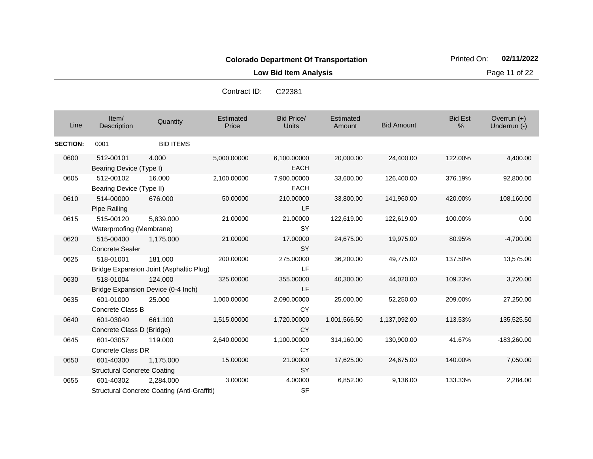**Low Bid Item Analysis Page 11 of 22** 

| Contract ID: | C <sub>22381</sub> |
|--------------|--------------------|
|--------------|--------------------|

| Line            | Item/<br>Description                            | Quantity                                                 | Estimated<br>Price | <b>Bid Price/</b><br><b>Units</b> | Estimated<br>Amount | <b>Bid Amount</b> | <b>Bid Est</b><br>% | Overrun $(+)$<br>Underrun (-) |
|-----------------|-------------------------------------------------|----------------------------------------------------------|--------------------|-----------------------------------|---------------------|-------------------|---------------------|-------------------------------|
| <b>SECTION:</b> | 0001                                            | <b>BID ITEMS</b>                                         |                    |                                   |                     |                   |                     |                               |
| 0600            | 512-00101<br>Bearing Device (Type I)            | 4.000                                                    | 5,000.00000        | 6,100.00000<br><b>EACH</b>        | 20,000.00           | 24,400.00         | 122.00%             | 4,400.00                      |
| 0605            | 512-00102<br>Bearing Device (Type II)           | 16.000                                                   | 2,100.00000        | 7,900.00000<br><b>EACH</b>        | 33,600.00           | 126,400.00        | 376.19%             | 92,800.00                     |
| 0610            | 514-00000<br>Pipe Railing                       | 676.000                                                  | 50.00000           | 210.00000<br>LF                   | 33,800.00           | 141,960.00        | 420.00%             | 108,160.00                    |
| 0615            | 515-00120<br>Waterproofing (Membrane)           | 5,839.000                                                | 21.00000           | 21.00000<br><b>SY</b>             | 122,619.00          | 122,619.00        | 100.00%             | 0.00                          |
| 0620            | 515-00400<br><b>Concrete Sealer</b>             | 1,175.000                                                | 21.00000           | 17.00000<br><b>SY</b>             | 24,675.00           | 19,975.00         | 80.95%              | $-4,700.00$                   |
| 0625            | 518-01001                                       | 181.000<br>Bridge Expansion Joint (Asphaltic Plug)       | 200.00000          | 275.00000<br>LF                   | 36,200.00           | 49,775.00         | 137.50%             | 13,575.00                     |
| 0630            | 518-01004                                       | 124.000<br>Bridge Expansion Device (0-4 Inch)            | 325.00000          | 355.00000<br>LF                   | 40,300.00           | 44,020.00         | 109.23%             | 3,720.00                      |
| 0635            | 601-01000<br>Concrete Class B                   | 25.000                                                   | 1,000.00000        | 2,090.00000<br><b>CY</b>          | 25,000.00           | 52,250.00         | 209.00%             | 27,250.00                     |
| 0640            | 601-03040<br>Concrete Class D (Bridge)          | 661.100                                                  | 1,515.00000        | 1,720.00000<br><b>CY</b>          | 1,001,566.50        | 1,137,092.00      | 113.53%             | 135,525.50                    |
| 0645            | 601-03057<br>Concrete Class DR                  | 119,000                                                  | 2,640.00000        | 1,100.00000<br><b>CY</b>          | 314,160.00          | 130,900.00        | 41.67%              | $-183,260.00$                 |
| 0650            | 601-40300<br><b>Structural Concrete Coating</b> | 1,175.000                                                | 15.00000           | 21.00000<br><b>SY</b>             | 17,625.00           | 24,675.00         | 140.00%             | 7,050.00                      |
| 0655            | 601-40302                                       | 2,284.000<br>Structural Concrete Coating (Anti-Graffiti) | 3.00000            | 4.00000<br><b>SF</b>              | 6,852.00            | 9,136.00          | 133.33%             | 2,284.00                      |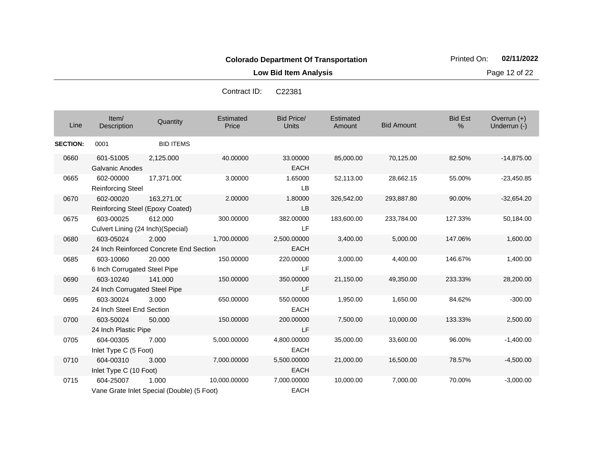**Low Bid Item Analysis Page 12 of 22** 

| Contract ID: | C <sub>22381</sub> |
|--------------|--------------------|
|--------------|--------------------|

| Line            | Item/<br>Description                            | Quantity                                            | Estimated<br>Price | <b>Bid Price/</b><br><b>Units</b> | Estimated<br>Amount | <b>Bid Amount</b> | <b>Bid Est</b><br>$\%$ | Overrun $(+)$<br>Underrun (-) |
|-----------------|-------------------------------------------------|-----------------------------------------------------|--------------------|-----------------------------------|---------------------|-------------------|------------------------|-------------------------------|
| <b>SECTION:</b> | 0001                                            | <b>BID ITEMS</b>                                    |                    |                                   |                     |                   |                        |                               |
| 0660            | 601-51005<br><b>Galvanic Anodes</b>             | 2,125.000                                           | 40.00000           | 33.00000<br><b>EACH</b>           | 85,000.00           | 70,125.00         | 82.50%                 | $-14,875.00$                  |
| 0665            | 602-00000<br><b>Reinforcing Steel</b>           | 17,371.000                                          | 3.00000            | 1.65000<br>LB                     | 52,113.00           | 28,662.15         | 55.00%                 | $-23,450.85$                  |
| 0670            | 602-00020<br>Reinforcing Steel (Epoxy Coated)   | 163,271.00                                          | 2.00000            | 1.80000<br>LB                     | 326,542.00          | 293,887.80        | 90.00%                 | $-32,654.20$                  |
| 0675            | 603-00025<br>Culvert Lining (24 Inch) (Special) | 612.000                                             | 300.00000          | 382.00000<br><b>LF</b>            | 183,600.00          | 233,784.00        | 127.33%                | 50,184.00                     |
| 0680            | 603-05024                                       | 2.000<br>24 Inch Reinforced Concrete End Section    | 1,700.00000        | 2,500.00000<br><b>EACH</b>        | 3,400.00            | 5,000.00          | 147.06%                | 1,600.00                      |
| 0685            | 603-10060<br>6 Inch Corrugated Steel Pipe       | 20,000                                              | 150.00000          | 220,00000<br><b>LF</b>            | 3,000.00            | 4,400.00          | 146.67%                | 1,400.00                      |
| 0690            | 603-10240<br>24 Inch Corrugated Steel Pipe      | 141.000                                             | 150.00000          | 350.00000<br>LF                   | 21,150.00           | 49,350.00         | 233.33%                | 28,200.00                     |
| 0695            | 603-30024<br>24 Inch Steel End Section          | 3.000                                               | 650.00000          | 550.00000<br><b>EACH</b>          | 1,950.00            | 1,650.00          | 84.62%                 | $-300.00$                     |
| 0700            | 603-50024<br>24 Inch Plastic Pipe               | 50.000                                              | 150.00000          | 200.00000<br>LF                   | 7,500.00            | 10,000.00         | 133.33%                | 2,500.00                      |
| 0705            | 604-00305<br>Inlet Type C (5 Foot)              | 7.000                                               | 5,000.00000        | 4,800.00000<br><b>EACH</b>        | 35,000.00           | 33,600.00         | 96.00%                 | $-1,400.00$                   |
| 0710            | 604-00310<br>Inlet Type C (10 Foot)             | 3.000                                               | 7,000.00000        | 5,500.00000<br><b>EACH</b>        | 21,000.00           | 16,500.00         | 78.57%                 | $-4,500.00$                   |
| 0715            | 604-25007                                       | 1.000<br>Vane Grate Inlet Special (Double) (5 Foot) | 10.000.00000       | 7,000.00000<br><b>EACH</b>        | 10,000.00           | 7.000.00          | 70.00%                 | $-3,000.00$                   |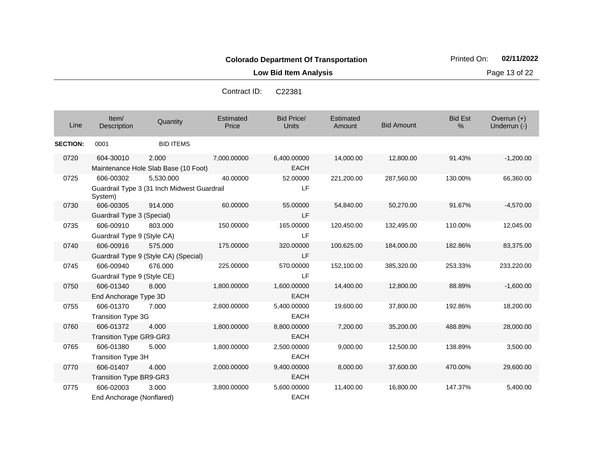**Low Bid Item Analysis Page 13 of 22** 

| Contract ID: | C <sub>22381</sub> |
|--------------|--------------------|
|              |                    |

| Line            | Item/<br>Description                        | Quantity                                                 | Estimated<br>Price | <b>Bid Price/</b><br><b>Units</b> | Estimated<br>Amount | <b>Bid Amount</b> | <b>Bid Est</b><br>% | Overrun (+)<br>Underrun (-) |
|-----------------|---------------------------------------------|----------------------------------------------------------|--------------------|-----------------------------------|---------------------|-------------------|---------------------|-----------------------------|
| <b>SECTION:</b> | 0001                                        | <b>BID ITEMS</b>                                         |                    |                                   |                     |                   |                     |                             |
| 0720            | 604-30010                                   | 2.000<br>Maintenance Hole Slab Base (10 Foot)            | 7,000.00000        | 6,400.00000<br><b>EACH</b>        | 14,000.00           | 12,800.00         | 91.43%              | $-1,200.00$                 |
| 0725            | 606-00302<br>System)                        | 5,530.000<br>Guardrail Type 3 (31 Inch Midwest Guardrail | 40.00000           | 52.00000<br>LF.                   | 221,200.00          | 287,560.00        | 130.00%             | 66,360.00                   |
| 0730            | 606-00305<br>Guardrail Type 3 (Special)     | 914.000                                                  | 60.00000           | 55.00000<br>LF                    | 54,840.00           | 50,270.00         | 91.67%              | $-4,570.00$                 |
| 0735            | 606-00910<br>Guardrail Type 9 (Style CA)    | 803.000                                                  | 150.00000          | 165.00000<br>LF                   | 120,450.00          | 132,495.00        | 110.00%             | 12,045.00                   |
| 0740            | 606-00916                                   | 575.000<br>Guardrail Type 9 (Style CA) (Special)         | 175.00000          | 320.00000<br>LF                   | 100,625.00          | 184,000.00        | 182.86%             | 83,375.00                   |
| 0745            | 606-00940<br>Guardrail Type 9 (Style CE)    | 676,000                                                  | 225.00000          | 570.00000<br>LF                   | 152,100.00          | 385,320.00        | 253.33%             | 233,220.00                  |
| 0750            | 606-01340<br>End Anchorage Type 3D          | 8.000                                                    | 1,800.00000        | 1,600.00000<br><b>EACH</b>        | 14,400.00           | 12,800.00         | 88.89%              | $-1,600.00$                 |
| 0755            | 606-01370<br><b>Transition Type 3G</b>      | 7.000                                                    | 2,800.00000        | 5,400.00000<br><b>EACH</b>        | 19,600.00           | 37,800.00         | 192.86%             | 18,200.00                   |
| 0760            | 606-01372<br><b>Transition Type GR9-GR3</b> | 4.000                                                    | 1,800.00000        | 8,800.00000<br>EACH               | 7,200.00            | 35,200.00         | 488.89%             | 28,000.00                   |
| 0765            | 606-01380<br><b>Transition Type 3H</b>      | 5.000                                                    | 1,800.00000        | 2,500.00000<br><b>EACH</b>        | 9,000.00            | 12,500.00         | 138.89%             | 3,500.00                    |
| 0770            | 606-01407<br><b>Transition Type BR9-GR3</b> | 4.000                                                    | 2,000.00000        | 9,400.00000<br><b>EACH</b>        | 8,000.00            | 37,600.00         | 470.00%             | 29,600.00                   |
| 0775            | 606-02003<br>End Anchorage (Nonflared)      | 3.000                                                    | 3,800.00000        | 5,600.00000<br><b>EACH</b>        | 11,400.00           | 16,800.00         | 147.37%             | 5,400.00                    |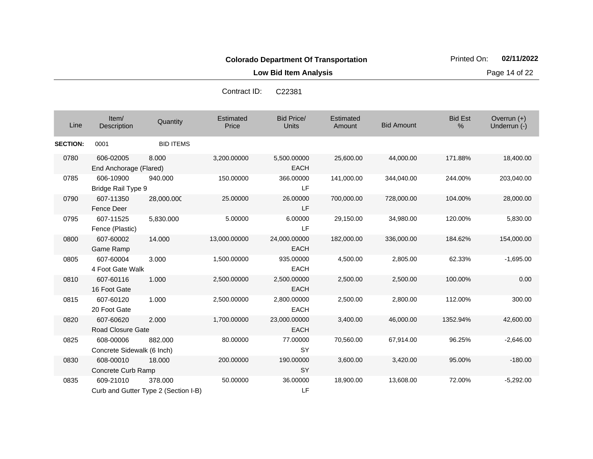**Low Bid Item Analysis Page 14 of 22** 

| Line            | Item/<br>Description                    | Quantity                                        | Estimated<br>Price | <b>Bid Price/</b><br><b>Units</b> | Estimated<br>Amount | <b>Bid Amount</b> | <b>Bid Est</b><br>$\%$ | Overrun (+)<br>Underrun (-) |
|-----------------|-----------------------------------------|-------------------------------------------------|--------------------|-----------------------------------|---------------------|-------------------|------------------------|-----------------------------|
| <b>SECTION:</b> | 0001                                    | <b>BID ITEMS</b>                                |                    |                                   |                     |                   |                        |                             |
| 0780            | 606-02005<br>End Anchorage (Flared)     | 8.000                                           | 3,200.00000        | 5,500.00000<br><b>EACH</b>        | 25,600.00           | 44,000.00         | 171.88%                | 18,400.00                   |
| 0785            | 606-10900<br>Bridge Rail Type 9         | 940.000                                         | 150.00000          | 366.00000<br>LF                   | 141,000.00          | 344,040.00        | 244.00%                | 203,040.00                  |
| 0790            | 607-11350<br><b>Fence Deer</b>          | 28,000.000                                      | 25.00000           | 26.00000<br>LF                    | 700,000.00          | 728,000.00        | 104.00%                | 28,000.00                   |
| 0795            | 607-11525<br>Fence (Plastic)            | 5,830.000                                       | 5.00000            | 6.00000<br>LF                     | 29,150.00           | 34,980.00         | 120.00%                | 5,830.00                    |
| 0800            | 607-60002<br>Game Ramp                  | 14.000                                          | 13,000.00000       | 24,000.00000<br><b>EACH</b>       | 182,000.00          | 336,000.00        | 184.62%                | 154,000.00                  |
| 0805            | 607-60004<br>4 Foot Gate Walk           | 3.000                                           | 1,500.00000        | 935.00000<br><b>EACH</b>          | 4,500.00            | 2,805.00          | 62.33%                 | $-1,695.00$                 |
| 0810            | 607-60116<br>16 Foot Gate               | 1.000                                           | 2,500.00000        | 2,500.00000<br><b>EACH</b>        | 2,500.00            | 2,500.00          | 100.00%                | 0.00                        |
| 0815            | 607-60120<br>20 Foot Gate               | 1.000                                           | 2,500.00000        | 2,800.00000<br><b>EACH</b>        | 2,500.00            | 2,800.00          | 112.00%                | 300.00                      |
| 0820            | 607-60620<br><b>Road Closure Gate</b>   | 2.000                                           | 1,700.00000        | 23,000.00000<br><b>EACH</b>       | 3,400.00            | 46,000.00         | 1352.94%               | 42,600.00                   |
| 0825            | 608-00006<br>Concrete Sidewalk (6 Inch) | 882,000                                         | 80.00000           | 77.00000<br><b>SY</b>             | 70,560.00           | 67,914.00         | 96.25%                 | $-2,646.00$                 |
| 0830            | 608-00010<br>Concrete Curb Ramp         | 18.000                                          | 200.00000          | 190.00000<br><b>SY</b>            | 3,600.00            | 3,420.00          | 95.00%                 | $-180.00$                   |
| 0835            | 609-21010                               | 378,000<br>Curb and Gutter Type 2 (Section I-B) | 50.00000           | 36.00000<br>LF                    | 18,900.00           | 13,608.00         | 72.00%                 | $-5,292.00$                 |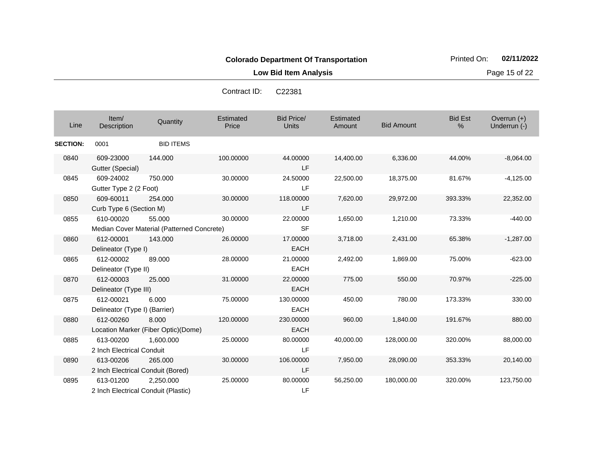**Low Bid Item Analysis Page 15 of 22** 

| Line            | Item/<br>Description                             | Quantity                                             | Estimated<br>Price | <b>Bid Price/</b><br><b>Units</b> | Estimated<br>Amount | <b>Bid Amount</b> | <b>Bid Est</b><br>% | Overrun $(+)$<br>Underrun (-) |
|-----------------|--------------------------------------------------|------------------------------------------------------|--------------------|-----------------------------------|---------------------|-------------------|---------------------|-------------------------------|
| <b>SECTION:</b> | 0001                                             | <b>BID ITEMS</b>                                     |                    |                                   |                     |                   |                     |                               |
| 0840            | 609-23000<br>Gutter (Special)                    | 144.000                                              | 100.00000          | 44.00000<br>LF.                   | 14,400.00           | 6,336.00          | 44.00%              | $-8,064.00$                   |
| 0845            | 609-24002<br>Gutter Type 2 (2 Foot)              | 750,000                                              | 30.00000           | 24.50000<br>LF.                   | 22,500.00           | 18,375.00         | 81.67%              | $-4,125.00$                   |
| 0850            | 609-60011<br>Curb Type 6 (Section M)             | 254.000                                              | 30.00000           | 118.00000<br>LF.                  | 7,620.00            | 29,972.00         | 393.33%             | 22,352.00                     |
| 0855            | 610-00020                                        | 55.000<br>Median Cover Material (Patterned Concrete) | 30.00000           | 22.00000<br><b>SF</b>             | 1,650.00            | 1,210.00          | 73.33%              | $-440.00$                     |
| 0860            | 612-00001<br>Delineator (Type I)                 | 143.000                                              | 26.00000           | 17.00000<br><b>EACH</b>           | 3,718.00            | 2,431.00          | 65.38%              | $-1,287.00$                   |
| 0865            | 612-00002<br>Delineator (Type II)                | 89.000                                               | 28.00000           | 21.00000<br><b>EACH</b>           | 2,492.00            | 1,869.00          | 75.00%              | $-623.00$                     |
| 0870            | 612-00003<br>Delineator (Type III)               | 25,000                                               | 31.00000           | 22.00000<br><b>EACH</b>           | 775.00              | 550.00            | 70.97%              | $-225.00$                     |
| 0875            | 612-00021<br>Delineator (Type I) (Barrier)       | 6.000                                                | 75.00000           | 130.00000<br><b>EACH</b>          | 450.00              | 780.00            | 173.33%             | 330.00                        |
| 0880            | 612-00260                                        | 8.000<br>Location Marker (Fiber Optic)(Dome)         | 120.00000          | 230.00000<br><b>EACH</b>          | 960.00              | 1,840.00          | 191.67%             | 880.00                        |
| 0885            | 613-00200<br>2 Inch Electrical Conduit           | 1,600.000                                            | 25.00000           | 80.00000<br>LF.                   | 40,000.00           | 128,000.00        | 320.00%             | 88,000.00                     |
| 0890            | 613-00206<br>2 Inch Electrical Conduit (Bored)   | 265,000                                              | 30.00000           | 106.00000<br>LF.                  | 7,950.00            | 28,090.00         | 353.33%             | 20,140.00                     |
| 0895            | 613-01200<br>2 Inch Electrical Conduit (Plastic) | 2,250.000                                            | 25.00000           | 80.00000<br>LF                    | 56,250.00           | 180,000.00        | 320.00%             | 123,750.00                    |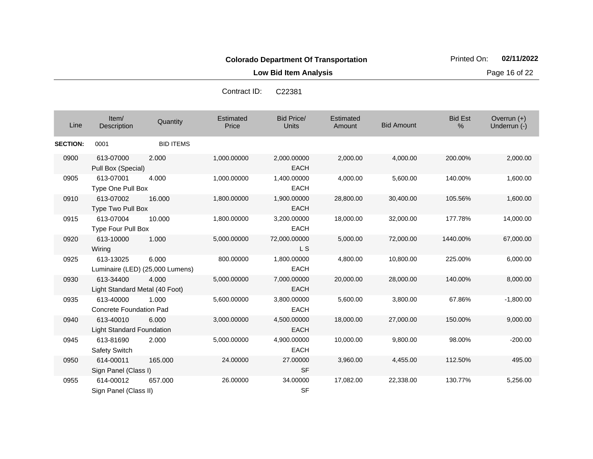**Low Bid Item Analysis Page 16 of 22** 

| C22381 |
|--------|
|        |

| Line            | Item/<br>Description                        | Quantity                                 | Estimated<br>Price | <b>Bid Price/</b><br><b>Units</b> | Estimated<br>Amount | <b>Bid Amount</b> | <b>Bid Est</b><br>% | Overrun $(+)$<br>Underrun (-) |
|-----------------|---------------------------------------------|------------------------------------------|--------------------|-----------------------------------|---------------------|-------------------|---------------------|-------------------------------|
| <b>SECTION:</b> | 0001                                        | <b>BID ITEMS</b>                         |                    |                                   |                     |                   |                     |                               |
| 0900            | 613-07000<br>Pull Box (Special)             | 2.000                                    | 1,000.00000        | 2,000.00000<br><b>EACH</b>        | 2,000.00            | 4,000.00          | 200.00%             | 2,000.00                      |
| 0905            | 613-07001<br>Type One Pull Box              | 4.000                                    | 1,000.00000        | 1,400.00000<br><b>EACH</b>        | 4,000.00            | 5,600.00          | 140.00%             | 1,600.00                      |
| 0910            | 613-07002<br>Type Two Pull Box              | 16.000                                   | 1,800.00000        | 1,900.00000<br><b>EACH</b>        | 28,800.00           | 30,400.00         | 105.56%             | 1,600.00                      |
| 0915            | 613-07004<br>Type Four Pull Box             | 10.000                                   | 1,800.00000        | 3,200.00000<br><b>EACH</b>        | 18,000.00           | 32,000.00         | 177.78%             | 14,000.00                     |
| 0920            | 613-10000<br>Wiring                         | 1.000                                    | 5,000.00000        | 72,000.00000<br>L S               | 5,000.00            | 72,000.00         | 1440.00%            | 67,000.00                     |
| 0925            | 613-13025                                   | 6.000<br>Luminaire (LED) (25,000 Lumens) | 800.00000          | 1,800.00000<br><b>EACH</b>        | 4,800.00            | 10,800.00         | 225.00%             | 6,000.00                      |
| 0930            | 613-34400<br>Light Standard Metal (40 Foot) | 4.000                                    | 5,000.00000        | 7,000.00000<br><b>EACH</b>        | 20,000.00           | 28,000.00         | 140.00%             | 8,000.00                      |
| 0935            | 613-40000<br>Concrete Foundation Pad        | 1.000                                    | 5,600.00000        | 3,800.00000<br><b>EACH</b>        | 5,600.00            | 3,800.00          | 67.86%              | $-1,800.00$                   |
| 0940            | 613-40010<br>Light Standard Foundation      | 6.000                                    | 3,000.00000        | 4,500.00000<br><b>EACH</b>        | 18,000.00           | 27,000.00         | 150.00%             | 9,000.00                      |
| 0945            | 613-81690<br>Safety Switch                  | 2.000                                    | 5,000.00000        | 4,900.00000<br><b>EACH</b>        | 10,000.00           | 9,800.00          | 98.00%              | $-200.00$                     |
| 0950            | 614-00011<br>Sign Panel (Class I)           | 165.000                                  | 24.00000           | 27.00000<br><b>SF</b>             | 3,960.00            | 4,455.00          | 112.50%             | 495.00                        |
| 0955            | 614-00012<br>Sign Panel (Class II)          | 657.000                                  | 26.00000           | 34.00000<br><b>SF</b>             | 17,082.00           | 22,338.00         | 130.77%             | 5,256.00                      |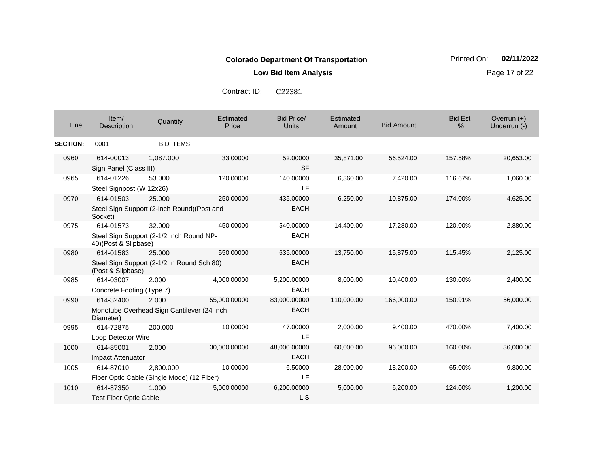**Low Bid Item Analysis Page 17 of 22** 

| Contract ID: | C <sub>22381</sub> |
|--------------|--------------------|
|              |                    |

| Line            | Item/<br>Description                       | Quantity                                                | Estimated<br>Price | <b>Bid Price/</b><br>Units  | Estimated<br>Amount | <b>Bid Amount</b> | <b>Bid Est</b><br>% | Overrun $(+)$<br>Underrun (-) |
|-----------------|--------------------------------------------|---------------------------------------------------------|--------------------|-----------------------------|---------------------|-------------------|---------------------|-------------------------------|
| <b>SECTION:</b> | 0001                                       | <b>BID ITEMS</b>                                        |                    |                             |                     |                   |                     |                               |
| 0960            | 614-00013<br>Sign Panel (Class III)        | 1,087.000                                               | 33.00000           | 52.00000<br><b>SF</b>       | 35,871.00           | 56,524.00         | 157.58%             | 20,653.00                     |
| 0965            | 614-01226<br>Steel Signpost (W 12x26)      | 53.000                                                  | 120.00000          | 140.00000<br>LF             | 6,360.00            | 7,420.00          | 116.67%             | 1,060.00                      |
| 0970            | 614-01503<br>Socket)                       | 25,000<br>Steel Sign Support (2-Inch Round)(Post and    | 250,00000          | 435.00000<br><b>EACH</b>    | 6,250.00            | 10,875.00         | 174.00%             | 4,625.00                      |
| 0975            | 614-01573<br>40)(Post & Slipbase)          | 32.000<br>Steel Sign Support (2-1/2 Inch Round NP-      | 450.00000          | 540.00000<br><b>EACH</b>    | 14,400.00           | 17,280.00         | 120.00%             | 2,880.00                      |
| 0980            | 614-01583<br>(Post & Slipbase)             | 25.000<br>Steel Sign Support (2-1/2 In Round Sch 80)    | 550.00000          | 635.00000<br><b>EACH</b>    | 13,750.00           | 15,875.00         | 115.45%             | 2,125.00                      |
| 0985            | 614-03007<br>Concrete Footing (Type 7)     | 2.000                                                   | 4,000.00000        | 5,200.00000<br><b>EACH</b>  | 8,000.00            | 10,400.00         | 130.00%             | 2,400.00                      |
| 0990            | 614-32400<br>Diameter)                     | 2.000<br>Monotube Overhead Sign Cantilever (24 Inch     | 55,000.00000       | 83,000.00000<br><b>EACH</b> | 110,000.00          | 166,000.00        | 150.91%             | 56,000.00                     |
| 0995            | 614-72875<br>Loop Detector Wire            | 200.000                                                 | 10.00000           | 47.00000<br>LF              | 2,000.00            | 9,400.00          | 470.00%             | 7,400.00                      |
| 1000            | 614-85001<br>Impact Attenuator             | 2.000                                                   | 30,000.00000       | 48,000.00000<br><b>EACH</b> | 60,000.00           | 96,000.00         | 160.00%             | 36,000.00                     |
| 1005            | 614-87010                                  | 2,800.000<br>Fiber Optic Cable (Single Mode) (12 Fiber) | 10.00000           | 6.50000<br>LF               | 28,000.00           | 18,200.00         | 65.00%              | $-9,800.00$                   |
| 1010            | 614-87350<br><b>Test Fiber Optic Cable</b> | 1.000                                                   | 5,000.00000        | 6,200.00000<br>L S          | 5,000.00            | 6,200.00          | 124.00%             | 1,200.00                      |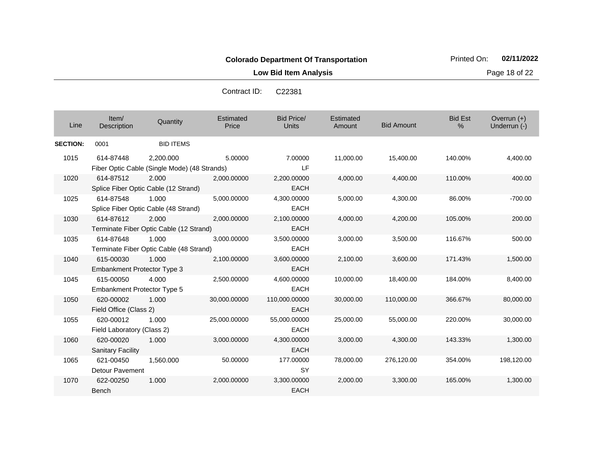**Low Bid Item Analysis Page 18 of 22** 

| Contract ID: | C <sub>22381</sub> |
|--------------|--------------------|
|              |                    |

| Line            | Item/<br>Description                            | Quantity                                                  | Estimated<br>Price | <b>Bid Price/</b><br>Units   | Estimated<br>Amount | <b>Bid Amount</b> | <b>Bid Est</b><br>% | Overrun $(+)$<br>Underrun (-) |
|-----------------|-------------------------------------------------|-----------------------------------------------------------|--------------------|------------------------------|---------------------|-------------------|---------------------|-------------------------------|
| <b>SECTION:</b> | 0001                                            | <b>BID ITEMS</b>                                          |                    |                              |                     |                   |                     |                               |
| 1015            | 614-87448                                       | 2,200.000<br>Fiber Optic Cable (Single Mode) (48 Strands) | 5.00000            | 7.00000<br>LF                | 11,000.00           | 15,400.00         | 140.00%             | 4,400.00                      |
| 1020            | 614-87512                                       | 2.000<br>Splice Fiber Optic Cable (12 Strand)             | 2,000.00000        | 2,200.00000<br><b>EACH</b>   | 4,000.00            | 4,400.00          | 110.00%             | 400.00                        |
| 1025            | 614-87548                                       | 1.000<br>Splice Fiber Optic Cable (48 Strand)             | 5,000.00000        | 4,300.00000<br><b>EACH</b>   | 5,000.00            | 4,300.00          | 86.00%              | $-700.00$                     |
| 1030            | 614-87612                                       | 2.000<br>Terminate Fiber Optic Cable (12 Strand)          | 2,000.00000        | 2,100.00000<br><b>EACH</b>   | 4,000.00            | 4,200.00          | 105.00%             | 200.00                        |
| 1035            | 614-87648                                       | 1.000<br>Terminate Fiber Optic Cable (48 Strand)          | 3,000.00000        | 3,500.00000<br><b>EACH</b>   | 3,000.00            | 3,500.00          | 116.67%             | 500.00                        |
| 1040            | 615-00030<br><b>Embankment Protector Type 3</b> | 1.000                                                     | 2,100.00000        | 3,600.00000<br><b>EACH</b>   | 2,100.00            | 3,600.00          | 171.43%             | 1,500.00                      |
| 1045            | 615-00050<br>Embankment Protector Type 5        | 4.000                                                     | 2,500.00000        | 4,600.00000<br><b>EACH</b>   | 10,000.00           | 18,400.00         | 184.00%             | 8,400.00                      |
| 1050            | 620-00002<br>Field Office (Class 2)             | 1.000                                                     | 30,000.00000       | 110,000.00000<br><b>EACH</b> | 30,000.00           | 110,000.00        | 366.67%             | 80,000.00                     |
| 1055            | 620-00012<br>Field Laboratory (Class 2)         | 1.000                                                     | 25,000.00000       | 55,000.00000<br><b>EACH</b>  | 25,000.00           | 55,000.00         | 220.00%             | 30,000.00                     |
| 1060            | 620-00020<br><b>Sanitary Facility</b>           | 1.000                                                     | 3,000.00000        | 4,300.00000<br><b>EACH</b>   | 3,000.00            | 4,300.00          | 143.33%             | 1,300.00                      |
| 1065            | 621-00450<br>Detour Pavement                    | 1,560.000                                                 | 50.00000           | 177.00000<br><b>SY</b>       | 78,000.00           | 276,120.00        | 354.00%             | 198,120.00                    |
| 1070            | 622-00250<br>Bench                              | 1.000                                                     | 2,000.00000        | 3,300.00000<br><b>EACH</b>   | 2,000.00            | 3,300.00          | 165.00%             | 1,300.00                      |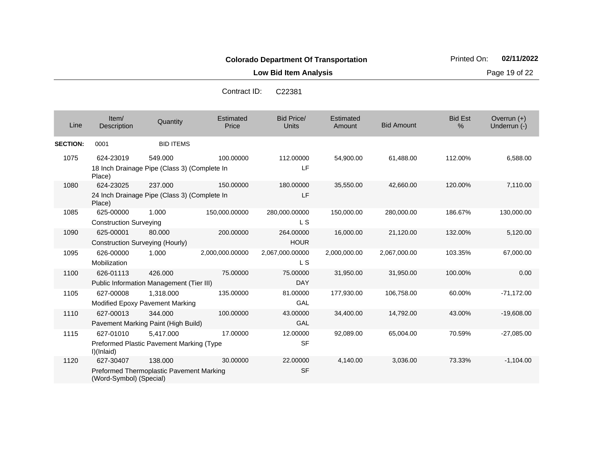**Low Bid Item Analysis Page 19 of 22** 

| Line            | Item/<br><b>Description</b>                  | Quantity                                                | Estimated<br>Price | <b>Bid Price/</b><br>Units | Estimated<br>Amount | <b>Bid Amount</b> | <b>Bid Est</b><br>$\%$ | Overrun $(+)$<br>Underrun (-) |
|-----------------|----------------------------------------------|---------------------------------------------------------|--------------------|----------------------------|---------------------|-------------------|------------------------|-------------------------------|
| <b>SECTION:</b> | 0001                                         | <b>BID ITEMS</b>                                        |                    |                            |                     |                   |                        |                               |
| 1075            | 624-23019                                    | 549.000<br>18 Inch Drainage Pipe (Class 3) (Complete In | 100.00000          | 112.00000<br>LF            | 54,900.00           | 61,488.00         | 112.00%                | 6,588.00                      |
|                 | Place)                                       |                                                         |                    |                            |                     |                   |                        |                               |
| 1080            | 624-23025<br>Place)                          | 237.000<br>24 Inch Drainage Pipe (Class 3) (Complete In | 150.00000          | 180.00000<br>LF            | 35,550.00           | 42,660.00         | 120.00%                | 7,110.00                      |
| 1085            | 625-00000<br><b>Construction Surveying</b>   | 1.000                                                   | 150,000.00000      | 280,000.00000<br>L S       | 150,000.00          | 280,000.00        | 186.67%                | 130,000.00                    |
| 1090            | 625-00001<br>Construction Surveying (Hourly) | 80.000                                                  | 200.00000          | 264.00000<br><b>HOUR</b>   | 16,000.00           | 21,120.00         | 132.00%                | 5,120.00                      |
| 1095            | 626-00000<br>Mobilization                    | 1.000                                                   | 2,000,000.00000    | 2,067,000.00000<br>L S     | 2,000,000.00        | 2,067,000.00      | 103.35%                | 67,000.00                     |
| 1100            | 626-01113                                    | 426,000<br>Public Information Management (Tier III)     | 75.00000           | 75.00000<br><b>DAY</b>     | 31,950.00           | 31,950.00         | 100.00%                | 0.00                          |
| 1105            | 627-00008                                    | 1,318.000<br>Modified Epoxy Pavement Marking            | 135.00000          | 81.00000<br>GAL            | 177,930.00          | 106,758.00        | 60.00%                 | $-71,172.00$                  |
| 1110            | 627-00013                                    | 344.000<br>Pavement Marking Paint (High Build)          | 100.00000          | 43.00000<br>GAL            | 34,400.00           | 14,792.00         | 43.00%                 | $-19,608.00$                  |
| 1115            | 627-01010<br>I)(Inlaid)                      | 5,417.000<br>Preformed Plastic Pavement Marking (Type   | 17.00000           | 12.00000<br><b>SF</b>      | 92,089.00           | 65,004.00         | 70.59%                 | $-27,085.00$                  |
| 1120            | 627-30407<br>(Word-Symbol) (Special)         | 138,000<br>Preformed Thermoplastic Pavement Marking     | 30.00000           | 22.00000<br><b>SF</b>      | 4,140.00            | 3,036.00          | 73.33%                 | $-1,104.00$                   |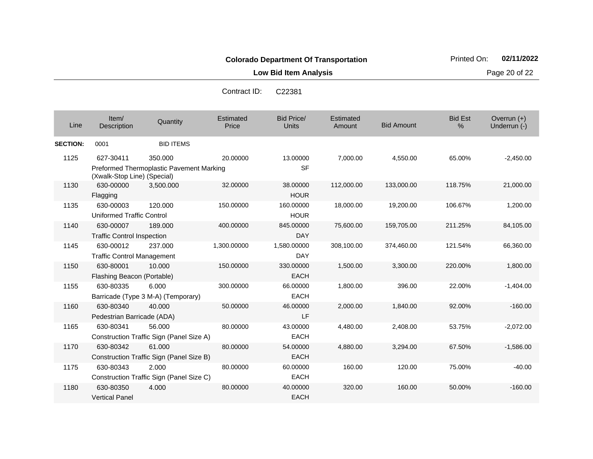**Low Bid Item Analysis Page 20 of 22** 

| Line            | Item/<br>Description                           | Quantity                                                   | Estimated<br>Price | <b>Bid Price/</b><br><b>Units</b> | Estimated<br>Amount | <b>Bid Amount</b> | <b>Bid Est</b><br>% | Overrun $(+)$<br>Underrun (-) |
|-----------------|------------------------------------------------|------------------------------------------------------------|--------------------|-----------------------------------|---------------------|-------------------|---------------------|-------------------------------|
| <b>SECTION:</b> | 0001                                           | <b>BID ITEMS</b>                                           |                    |                                   |                     |                   |                     |                               |
| 1125            | 627-30411<br>(Xwalk-Stop Line) (Special)       | 350.000<br><b>Preformed Thermoplastic Pavement Marking</b> | 20.00000           | 13.00000<br><b>SF</b>             | 7,000.00            | 4,550.00          | 65.00%              | $-2,450.00$                   |
| 1130            | 630-00000<br>Flagging                          | 3.500.000                                                  | 32.00000           | 38.00000<br><b>HOUR</b>           | 112,000.00          | 133,000.00        | 118.75%             | 21,000.00                     |
| 1135            | 630-00003<br><b>Uniformed Traffic Control</b>  | 120.000                                                    | 150.00000          | 160.00000<br><b>HOUR</b>          | 18,000.00           | 19,200.00         | 106.67%             | 1,200.00                      |
| 1140            | 630-00007<br><b>Traffic Control Inspection</b> | 189.000                                                    | 400.00000          | 845.00000<br><b>DAY</b>           | 75,600.00           | 159,705.00        | 211.25%             | 84,105.00                     |
| 1145            | 630-00012<br><b>Traffic Control Management</b> | 237.000                                                    | 1,300.00000        | 1,580.00000<br><b>DAY</b>         | 308,100.00          | 374,460.00        | 121.54%             | 66,360.00                     |
| 1150            | 630-80001<br>Flashing Beacon (Portable)        | 10.000                                                     | 150.00000          | 330.00000<br><b>EACH</b>          | 1,500.00            | 3,300.00          | 220.00%             | 1,800.00                      |
| 1155            | 630-80335                                      | 6.000<br>Barricade (Type 3 M-A) (Temporary)                | 300.00000          | 66.00000<br><b>EACH</b>           | 1,800.00            | 396.00            | 22.00%              | $-1,404.00$                   |
| 1160            | 630-80340<br>Pedestrian Barricade (ADA)        | 40.000                                                     | 50.00000           | 46.00000<br>LF                    | 2,000.00            | 1,840.00          | 92.00%              | $-160.00$                     |
| 1165            | 630-80341                                      | 56.000<br>Construction Traffic Sign (Panel Size A)         | 80.00000           | 43.00000<br><b>EACH</b>           | 4,480.00            | 2,408.00          | 53.75%              | $-2,072.00$                   |
| 1170            | 630-80342                                      | 61.000<br>Construction Traffic Sign (Panel Size B)         | 80.00000           | 54.00000<br><b>EACH</b>           | 4,880.00            | 3,294.00          | 67.50%              | $-1,586.00$                   |
| 1175            | 630-80343                                      | 2.000<br>Construction Traffic Sign (Panel Size C)          | 80.00000           | 60.00000<br><b>EACH</b>           | 160.00              | 120.00            | 75.00%              | $-40.00$                      |
| 1180            | 630-80350<br><b>Vertical Panel</b>             | 4.000                                                      | 80.00000           | 40.00000<br><b>EACH</b>           | 320.00              | 160.00            | 50.00%              | $-160.00$                     |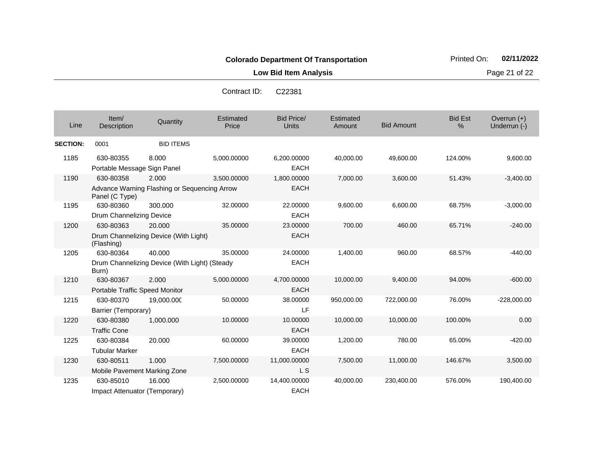**Low Bid Item Analysis Page 21 of 22** 

| Contract ID: | C <sub>22381</sub> |
|--------------|--------------------|
|              |                    |

| Line            | Item/<br>Description                        | Quantity                                                | Estimated<br>Price | <b>Bid Price/</b><br>Units  | <b>Estimated</b><br>Amount | <b>Bid Amount</b> | <b>Bid Est</b><br>% | Overrun (+)<br>Underrun (-) |
|-----------------|---------------------------------------------|---------------------------------------------------------|--------------------|-----------------------------|----------------------------|-------------------|---------------------|-----------------------------|
| <b>SECTION:</b> | 0001                                        | <b>BID ITEMS</b>                                        |                    |                             |                            |                   |                     |                             |
| 1185            | 630-80355<br>Portable Message Sign Panel    | 8.000                                                   | 5,000.00000        | 6,200.00000<br><b>EACH</b>  | 40,000.00                  | 49.600.00         | 124.00%             | 9,600.00                    |
| 1190            | 630-80358<br>Panel (C Type)                 | 2.000<br>Advance Warning Flashing or Sequencing Arrow   | 3,500.00000        | 1,800.00000<br><b>EACH</b>  | 7,000.00                   | 3,600.00          | 51.43%              | $-3,400.00$                 |
| 1195            | 630-80360<br>Drum Channelizing Device       | 300.000                                                 | 32.00000           | 22,00000<br><b>EACH</b>     | 9,600.00                   | 6,600.00          | 68.75%              | $-3,000.00$                 |
| 1200            | 630-80363<br>(Flashing)                     | 20,000<br>Drum Channelizing Device (With Light)         | 35.00000           | 23.00000<br><b>EACH</b>     | 700.00                     | 460.00            | 65.71%              | $-240.00$                   |
| 1205            | 630-80364<br>Burn)                          | 40.000<br>Drum Channelizing Device (With Light) (Steady | 35.00000           | 24.00000<br><b>EACH</b>     | 1,400.00                   | 960.00            | 68.57%              | $-440.00$                   |
| 1210            | 630-80367<br>Portable Traffic Speed Monitor | 2.000                                                   | 5,000.00000        | 4,700.00000<br><b>EACH</b>  | 10,000.00                  | 9,400.00          | 94.00%              | $-600.00$                   |
| 1215            | 630-80370<br>Barrier (Temporary)            | 19,000.000                                              | 50.00000           | 38.00000<br>LF              | 950,000.00                 | 722,000.00        | 76.00%              | $-228,000.00$               |
| 1220            | 630-80380<br><b>Traffic Cone</b>            | 1,000.000                                               | 10.00000           | 10.00000<br><b>EACH</b>     | 10,000.00                  | 10,000.00         | 100.00%             | 0.00                        |
| 1225            | 630-80384<br><b>Tubular Marker</b>          | 20,000                                                  | 60.00000           | 39.00000<br><b>EACH</b>     | 1,200.00                   | 780.00            | 65.00%              | $-420.00$                   |
| 1230            | 630-80511<br>Mobile Pavement Marking Zone   | 1.000                                                   | 7,500.00000        | 11,000.00000<br>L S         | 7,500.00                   | 11,000.00         | 146.67%             | 3,500.00                    |
| 1235            | 630-85010<br>Impact Attenuator (Temporary)  | 16.000                                                  | 2,500.00000        | 14,400.00000<br><b>EACH</b> | 40,000.00                  | 230,400.00        | 576.00%             | 190,400.00                  |